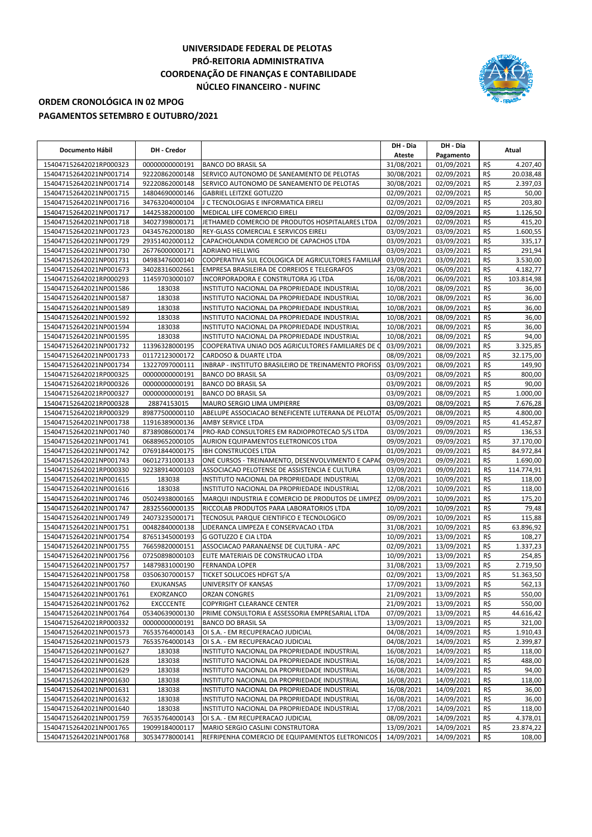## **UNIVERSIDADE FEDERAL DE PELOTAS PRÓ-REITORIA ADMINISTRATIVA COORDENAÇÃO DE FINANÇAS E CONTABILIDADE NÚCLEO FINANCEIRO - NUFINC**



## **ORDEM CRONOLÓGICA IN 02 MPOG PAGAMENTOS SETEMBRO E OUTUBRO/2021**

|                                                    |                  |                                                      | DH - Dia   | DH - Dia   |     |            |
|----------------------------------------------------|------------------|------------------------------------------------------|------------|------------|-----|------------|
| Documento Hábil                                    | DH - Credor      |                                                      | Ateste     | Pagamento  |     | Atual      |
| 154047152642021RP000323                            | 00000000000191   | <b>BANCO DO BRASIL SA</b>                            | 31/08/2021 | 01/09/2021 | R\$ | 4.207,40   |
| 154047152642021NP001714                            | 92220862000148   | SERVICO AUTONOMO DE SANEAMENTO DE PELOTAS            | 30/08/2021 | 02/09/2021 | R\$ | 20.038,48  |
|                                                    | 92220862000148   | SERVICO AUTONOMO DE SANEAMENTO DE PELOTAS            | 30/08/2021 | 02/09/2021 | R\$ | 2.397,03   |
| 154047152642021NP001714<br>154047152642021NP001715 |                  |                                                      |            |            |     |            |
|                                                    | 14804690000146   | <b>GABRIEL LEITZKE GOTUZZO</b>                       | 02/09/2021 | 02/09/2021 | R\$ | 50,00      |
| 154047152642021NP001716                            | 34763204000104   | J C TECNOLOGIAS E INFORMATICA EIRELI                 | 02/09/2021 | 02/09/2021 | R\$ | 203,80     |
| 154047152642021NP001717                            | 14425382000100   | MEDICAL LIFE COMERCIO EIRELI                         | 02/09/2021 | 02/09/2021 | R\$ | 1.126,50   |
| 154047152642021NP001718                            | 34027398000171   | JETHAMED COMERCIO DE PRODUTOS HOSPITALARES LTDA      | 02/09/2021 | 02/09/2021 | R\$ | 415,20     |
| 154047152642021NP001723                            | 04345762000180   | REY-GLASS COMERCIAL E SERVICOS EIRELI                | 03/09/2021 | 03/09/2021 | R\$ | 1.600,55   |
| 154047152642021NP001729                            | 29351402000112   | CAPACHOLANDIA COMERCIO DE CAPACHOS LTDA              | 03/09/2021 | 03/09/2021 | R\$ | 335,17     |
| 154047152642021NP001730                            | 26776000000171   | <b>ADRIANO HELLWIG</b>                               | 03/09/2021 | 03/09/2021 | R\$ | 291.94     |
| 154047152642021NP001731                            | 04983476000140   | COOPERATIVA SUL ECOLOGICA DE AGRICULTORES FAMILIAR   | 03/09/2021 | 03/09/2021 | R\$ | 3.530,00   |
| 154047152642021NP001673                            | 34028316002661   | EMPRESA BRASILEIRA DE CORREIOS E TELEGRAFOS          | 23/08/2021 | 06/09/2021 | R\$ | 4.182,77   |
| 154047152642021RP000293                            | 11459703000107   | INCORPORADORA E CONSTRUTORA JG LTDA                  | 16/08/2021 | 06/09/2021 | R\$ | 103.814,98 |
| 154047152642021NP001586                            | 183038           | INSTITUTO NACIONAL DA PROPRIEDADE INDUSTRIAL         | 10/08/2021 | 08/09/2021 | R\$ | 36,00      |
| 154047152642021NP001587                            | 183038           | INSTITUTO NACIONAL DA PROPRIEDADE INDUSTRIAL         | 10/08/2021 | 08/09/2021 | R\$ | 36,00      |
| 154047152642021NP001589                            | 183038           | INSTITUTO NACIONAL DA PROPRIEDADE INDUSTRIAL         | 10/08/2021 | 08/09/2021 | R\$ | 36,00      |
| 154047152642021NP001592                            | 183038           | INSTITUTO NACIONAL DA PROPRIEDADE INDUSTRIAL         | 10/08/2021 | 08/09/2021 | R\$ | 36,00      |
| 154047152642021NP001594                            | 183038           | INSTITUTO NACIONAL DA PROPRIEDADE INDUSTRIAL         | 10/08/2021 | 08/09/2021 | R\$ | 36,00      |
| 154047152642021NP001595                            | 183038           | INSTITUTO NACIONAL DA PROPRIEDADE INDUSTRIAL         | 10/08/2021 | 08/09/2021 | R\$ | 94,00      |
| 154047152642021NP001732                            | 11396328000195   | COOPERATIVA UNIAO DOS AGRICULTORES FAMILIARES DE C   | 03/09/2021 | 08/09/2021 | R\$ | 3.325,85   |
| 154047152642021NP001733                            | 01172123000172   | CARDOSO & DUARTE LTDA                                | 08/09/2021 | 08/09/2021 | R\$ | 32.175,00  |
| 154047152642021NP001734                            | 13227097000111   | INBRAP - INSTITUTO BRASILEIRO DE TREINAMENTO PROFISS | 03/09/2021 | 08/09/2021 | R\$ | 149,90     |
| 154047152642021RP000325                            | 00000000000191   | <b>BANCO DO BRASIL SA</b>                            | 03/09/2021 | 08/09/2021 | R\$ | 800,00     |
| 154047152642021RP000326                            | 00000000000191   | <b>BANCO DO BRASIL SA</b>                            | 03/09/2021 | 08/09/2021 | R\$ | 90,00      |
| 154047152642021RP000327                            | 00000000000191   | <b>BANCO DO BRASIL SA</b>                            | 03/09/2021 | 08/09/2021 | R\$ | 1.000,00   |
| 154047152642021RP000328                            | 28874153015      | MAURO SERGIO LIMA UMPIERRE                           | 03/09/2021 | 08/09/2021 | R\$ | 7.676,28   |
| 154047152642021RP000329                            | 89877500000110   | ABELUPE ASSOCIACAO BENEFICENTE LUTERANA DE PELOTA    | 05/09/2021 | 08/09/2021 | R\$ | 4.800,00   |
| 154047152642021NP001738                            | 11916389000136   | AMBY SERVICE LTDA                                    | 03/09/2021 | 09/09/2021 | R\$ | 41.452,87  |
| 154047152642021NP001740                            | 87389086000174   | PRO-RAD CONSULTORES EM RADIOPROTECAO S/S LTDA        | 03/09/2021 | 09/09/2021 | R\$ | 136,53     |
| 154047152642021NP001741                            | 06889652000105   | AURION EQUIPAMENTOS ELETRONICOS LTDA                 | 09/09/2021 | 09/09/2021 | R\$ | 37.170,00  |
| 154047152642021NP001742                            | 07691844000175   | <b>IBH CONSTRUCOES LTDA</b>                          | 01/09/2021 | 09/09/2021 | R\$ | 84.972,84  |
| 154047152642021NP001743                            | 06012731000133   | ONE CURSOS - TREINAMENTO, DESENVOLVIMENTO E CAPAO    | 09/09/2021 | 09/09/2021 | R\$ | 1.690,00   |
|                                                    |                  |                                                      |            |            | R\$ |            |
| 154047152642021RP000330                            | 92238914000103   | ASSOCIACAO PELOTENSE DE ASSISTENCIA E CULTURA        | 03/09/2021 | 09/09/2021 |     | 114.774,91 |
| 154047152642021NP001615                            | 183038           | INSTITUTO NACIONAL DA PROPRIEDADE INDUSTRIAL         | 12/08/2021 | 10/09/2021 | R\$ | 118,00     |
| 154047152642021NP001616                            | 183038           | INSTITUTO NACIONAL DA PROPRIEDADE INDUSTRIAL         | 12/08/2021 | 10/09/2021 | R\$ | 118,00     |
| 154047152642021NP001746                            | 05024938000165   | MARQUI INDUSTRIA E COMERCIO DE PRODUTOS DE LIMPEZ    | 09/09/2021 | 10/09/2021 | R\$ | 175,20     |
| 154047152642021NP001747                            | 28325560000135   | RICCOLAB PRODUTOS PARA LABORATORIOS LTDA             | 10/09/2021 | 10/09/2021 | R\$ | 79,48      |
| 154047152642021NP001749                            | 24073235000171   | TECNOSUL PARQUE CIENTIFICO E TECNOLOGICO             | 09/09/2021 | 10/09/2021 | R\$ | 115,88     |
| 154047152642021NP001751                            | 00482840000138   | LIDERANCA LIMPEZA E CONSERVACAO LTDA                 | 31/08/2021 | 10/09/2021 | R\$ | 63.896,92  |
| 154047152642021NP001754                            | 87651345000193   | <b>G GOTUZZO E CIA LTDA</b>                          | 10/09/2021 | 13/09/2021 | R\$ | 108,27     |
| 154047152642021NP001755                            | 76659820000151   | ASSOCIACAO PARANAENSE DE CULTURA - APC               | 02/09/2021 | 13/09/2021 | R\$ | 1.337,23   |
| 154047152642021NP001756                            | 07250898000103   | ELITE MATERIAIS DE CONSTRUCAO LTDA                   | 10/09/2021 | 13/09/2021 | R\$ | 254,85     |
| 154047152642021NP001757                            | 14879831000190   | <b>FERNANDA LOPER</b>                                | 31/08/2021 | 13/09/2021 | R\$ | 2.719,50   |
| 154047152642021NP001758                            | 03506307000157   | <b>TICKET SOLUCOES HDFGT S/A</b>                     | 02/09/2021 | 13/09/2021 | R\$ | 51.363,50  |
| 154047152642021NP001760                            | EXUKANSAS        | UNIVERSITY OF KANSAS                                 | 17/09/2021 | 13/09/2021 | R\$ | 562,13     |
| 154047152642021NP001761                            | EXORZANCO        | <b>ORZAN CONGRES</b>                                 | 21/09/2021 | 13/09/2021 | R\$ | 550,00     |
| 154047152642021NP001762                            | <b>EXCCCENTE</b> | COPYRIGHT CLEARANCE CENTER                           | 21/09/2021 | 13/09/2021 | R\$ | 550,00     |
| 154047152642021NP001764                            | 05340639000130   | PRIME CONSULTORIA E ASSESSORIA EMPRESARIAL LTDA      | 07/09/2021 | 13/09/2021 | R\$ | 44.616,42  |
| 154047152642021RP000332                            | 00000000000191   | <b>BANCO DO BRASIL SA</b>                            | 13/09/2021 | 13/09/2021 | R\$ | 321,00     |
| 154047152642021NP001573                            | 76535764000143   | OI S.A. - EM RECUPERACAO JUDICIAL                    | 04/08/2021 | 14/09/2021 | R\$ | 1.910,43   |
| 154047152642021NP001573                            | 76535764000143   | OI S.A. - EM RECUPERACAO JUDICIAL                    | 04/08/2021 | 14/09/2021 | R\$ | 2.399,87   |
| 154047152642021NP001627                            | 183038           | INSTITUTO NACIONAL DA PROPRIEDADE INDUSTRIAL         | 16/08/2021 | 14/09/2021 | R\$ | 118,00     |
| 154047152642021NP001628                            | 183038           | INSTITUTO NACIONAL DA PROPRIEDADE INDUSTRIAL         | 16/08/2021 | 14/09/2021 | R\$ | 488,00     |
| 154047152642021NP001629                            | 183038           | INSTITUTO NACIONAL DA PROPRIEDADE INDUSTRIAL         | 16/08/2021 | 14/09/2021 | R\$ | 94,00      |
| 154047152642021NP001630                            | 183038           | INSTITUTO NACIONAL DA PROPRIEDADE INDUSTRIAL         | 16/08/2021 | 14/09/2021 | R\$ | 118,00     |
| 154047152642021NP001631                            | 183038           | INSTITUTO NACIONAL DA PROPRIEDADE INDUSTRIAL         | 16/08/2021 | 14/09/2021 | R\$ | 36,00      |
| 154047152642021NP001632                            | 183038           | INSTITUTO NACIONAL DA PROPRIEDADE INDUSTRIAL         | 16/08/2021 | 14/09/2021 | R\$ | 36,00      |
| 154047152642021NP001640                            | 183038           | INSTITUTO NACIONAL DA PROPRIEDADE INDUSTRIAL         | 17/08/2021 | 14/09/2021 | R\$ | 118,00     |
| 154047152642021NP001759                            | 76535764000143   | OI S.A. - EM RECUPERACAO JUDICIAL                    | 08/09/2021 | 14/09/2021 | R\$ | 4.378,01   |
| 154047152642021NP001765                            | 19099184000117   | MARIO SERGIO CASLINI CONSTRUTORA                     | 13/09/2021 | 14/09/2021 | R\$ | 23.874,22  |
| 154047152642021NP001768                            | 30534778000141   | REFRIPENHA COMERCIO DE EQUIPAMENTOS ELETRONICOS I    | 14/09/2021 | 14/09/2021 | R\$ | 108,00     |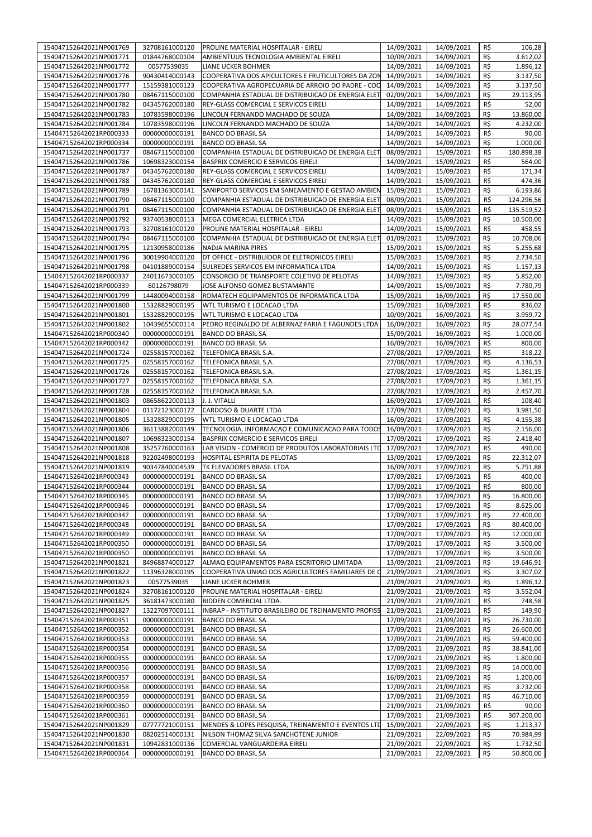| 154047152642021NP001771<br>01844768000104<br>AMBIENTUUS TECNOLOGIA AMBIENTAL EIRELI<br>10/09/2021<br>14/09/2021<br>R\$<br>3.612,02<br>R\$<br>00577539035<br>14/09/2021<br>14/09/2021<br>154047152642021NP001772<br>LIANE UCKER BOHMER<br>90430414000143<br>COOPERATIVA DOS APICULTORES E FRUTICULTORES DA ZON<br>14/09/2021<br>14/09/2021<br>R\$<br>154047152642021NP001776<br>R\$<br>154047152642021NP001777<br>15159381000123<br>COOPERATIVA AGROPECUARIA DE ARROIO DO PADRE - COO<br>14/09/2021<br>14/09/2021<br>3.137,50<br>R\$<br>154047152642021NP001780<br>08467115000100<br>COMPANHIA ESTADUAL DE DISTRIBUICAO DE ENERGIA ELET<br>02/09/2021<br>14/09/2021<br>29.113,95<br>R\$<br>154047152642021NP001782<br>04345762000180<br>REY-GLASS COMERCIAL E SERVICOS EIRELI<br>14/09/2021<br>14/09/2021<br>R\$<br>154047152642021NP001783<br>10783598000196<br>LINCOLN FERNANDO MACHADO DE SOUZA<br>14/09/2021<br>14/09/2021<br>R\$<br>154047152642021NP001784<br>LINCOLN FERNANDO MACHADO DE SOUZA<br>14/09/2021<br>14/09/2021<br>4.232,00<br>10783598000196<br>14/09/2021<br>R\$<br>90,00<br>154047152642021RP000333<br>00000000000191<br><b>BANCO DO BRASIL SA</b><br>14/09/2021<br>R\$<br>00000000000191<br><b>BANCO DO BRASIL SA</b><br>14/09/2021<br>14/09/2021<br>154047152642021RP000334<br>154047152642021NP001737<br>08467115000100<br>COMPANHIA ESTADUAL DE DISTRIBUICAO DE ENERGIA ELET<br>08/09/2021<br>15/09/2021<br>R\$<br>154047152642021NP001786<br><b>BASPRIX COMERCIO E SERVICOS EIRELI</b><br>14/09/2021<br>15/09/2021<br>R\$<br>564,00<br>10698323000154<br>154047152642021NP001787<br>04345762000180<br>REY-GLASS COMERCIAL E SERVICOS EIRELI<br>14/09/2021<br>15/09/2021<br>R\$<br>171,34<br>REY-GLASS COMERCIAL E SERVICOS EIRELI<br>R\$<br>154047152642021NP001788<br>04345762000180<br>14/09/2021<br>15/09/2021<br>154047152642021NP001789<br>16781363000141<br>SANIPORTO SERVICOS EM SANEAMENTO E GESTAO AMBIEN<br>15/09/2021<br>15/09/2021<br>R\$<br>R\$<br>154047152642021NP001790<br>08467115000100<br>COMPANHIA ESTADUAL DE DISTRIBUICAO DE ENERGIA ELET<br>08/09/2021<br>15/09/2021<br>124.296,56<br>154047152642021NP001791<br>08467115000100<br>COMPANHIA ESTADUAL DE DISTRIBUICAO DE ENERGIA ELET<br>08/09/2021<br>15/09/2021<br>R\$<br>135.519,52<br>R\$<br>15/09/2021<br>154047152642021NP001792<br>93740538000113<br>MEGA COMERCIAL ELETRICA LTDA<br>14/09/2021<br>R\$<br>154047152642021NP001793<br>32708161000120<br>PROLINE MATERIAL HOSPITALAR - EIRELI<br>14/09/2021<br>15/09/2021<br>R\$<br>154047152642021NP001794<br>08467115000100<br>COMPANHIA ESTADUAL DE DISTRIBUICAO DE ENERGIA ELET<br>01/09/2021<br>15/09/2021<br>10.708,06<br>15/09/2021<br>R\$<br>5.255,68<br>154047152642021NP001795<br>12130958000186<br>NADJA MARINA PIRES<br>15/09/2021<br>R\$<br>154047152642021NP001796<br>DT OFFICE - DISTRIBUIDOR DE ELETRONICOS EIRELI<br>15/09/2021<br>15/09/2021<br>30019904000120<br>14/09/2021<br>15/09/2021<br>R\$<br>154047152642021NP001798<br>04101889000154<br>SULREDES SERVICOS EM INFORMATICA LTDA<br>R\$<br>154047152642021RP000337<br>24011673000105<br>CONSORCIO DE TRANSPORTE COLETIVO DE PELOTAS<br>14/09/2021<br>15/09/2021<br>R\$<br>154047152642021RP000339<br>60126798079<br>JOSE ALFONSO GOMEZ BUSTAMANTE<br>14/09/2021<br>15/09/2021<br>7.780,79<br>R\$<br>154047152642021NP001799<br>14480094000158<br>ROMATECH EQUIPAMENTOS DE INFORMATICA LTDA<br>15/09/2021<br>16/09/2021<br>17.550,00<br>154047152642021NP001800<br>15328829000195<br>WTL TURISMO E LOCACAO LTDA<br>15/09/2021<br>16/09/2021<br>R\$<br>WTL TURISMO E LOCACAO LTDA<br>10/09/2021<br>R\$<br>154047152642021NP001801<br>15328829000195<br>16/09/2021<br>154047152642021NP001802<br>10439655000114<br>PEDRO REGINALDO DE ALBERNAZ FARIA E FAGUNDES LTDA<br>16/09/2021<br>16/09/2021<br>R\$<br>28.077,54<br>R\$<br>154047152642021RP000340<br>15/09/2021<br>16/09/2021<br>1.000,00<br>00000000000191<br><b>BANCO DO BRASIL SA</b><br>R\$<br>154047152642021RP000342<br>00000000000191<br><b>BANCO DO BRASIL SA</b><br>16/09/2021<br>16/09/2021<br>800,00<br>154047152642021NP001724<br>02558157000162<br>TELEFONICA BRASIL S.A.<br>27/08/2021<br>17/09/2021<br>R\$<br>27/08/2021<br>R\$<br>154047152642021NP001725<br>02558157000162<br>TELEFONICA BRASIL S.A.<br>17/09/2021<br>R\$<br>154047152642021NP001726<br>02558157000162<br>TELEFONICA BRASIL S.A.<br>27/08/2021<br>17/09/2021<br>R\$<br>154047152642021NP001727<br>02558157000162<br>TELEFONICA BRASIL S.A.<br>27/08/2021<br>17/09/2021<br>1.361,15<br>R\$<br>2.457,70<br>154047152642021NP001728<br>02558157000162<br>TELEFONICA BRASIL S.A.<br>27/08/2021<br>17/09/2021<br>R\$<br>154047152642021NP001803<br>08658622000113<br>J. J. VITALLI<br>16/09/2021<br>17/09/2021<br>108,40<br>17/09/2021<br>R\$<br>154047152642021NP001804<br>01172123000172<br>CARDOSO & DUARTE LTDA<br>17/09/2021<br>R\$<br>154047152642021NP001805<br>15328829000195<br>WTL TURISMO E LOCACAO LTDA<br>16/09/2021<br>17/09/2021<br>R\$<br>154047152642021NP001806<br>TECNOLOGIA, INFORMACAO E COMUNICACAO PARA TODOS<br>16/09/2021<br>17/09/2021<br>2.156,00<br>36113882000149<br>17/09/2021<br>R\$<br>2.418,40<br>154047152642021NP001807<br>10698323000154<br>BASPRIX COMERCIO E SERVICOS EIRELI<br>17/09/2021<br>35257760000163<br>LAB VISION - COMERCIO DE PRODUTOS LABORATORIAIS LTD<br>17/09/2021<br>R\$<br>490,00<br>154047152642021NP001808<br>17/09/2021<br>13/09/2021<br>R\$<br>22.312,07<br>154047152642021NP001818<br>92202498000193<br>HOSPITAL ESPIRITA DE PELOTAS<br>17/09/2021<br>154047152642021NP001819<br>90347840004539<br>TK ELEVADORES BRASIL LTDA<br>16/09/2021<br>17/09/2021<br>R\$<br>R\$<br>00000000000191<br><b>BANCO DO BRASIL SA</b><br>17/09/2021<br>17/09/2021<br>154047152642021RP000343<br>R\$<br>17/09/2021<br>17/09/2021<br><b>BANCO DO BRASIL SA</b><br>800,00<br>154047152642021RP000344<br>00000000000191<br>R\$<br>154047152642021RP000345<br>00000000000191<br><b>BANCO DO BRASIL SA</b><br>17/09/2021<br>17/09/2021<br>16.800,00<br>00000000000191<br>17/09/2021<br>17/09/2021<br>R\$<br>8.625,00<br>154047152642021RP000346<br><b>BANCO DO BRASIL SA</b><br>00000000000191<br>17/09/2021<br>17/09/2021<br>R\$<br>154047152642021RP000347<br><b>BANCO DO BRASIL SA</b><br>17/09/2021<br>154047152642021RP000348<br>00000000000191<br><b>BANCO DO BRASIL SA</b><br>17/09/2021<br>R\$<br>17/09/2021<br>17/09/2021<br>R\$<br>154047152642021RP000349<br>00000000000191<br><b>BANCO DO BRASIL SA</b><br>12.000,00<br>154047152642021RP000350<br>00000000000191<br><b>BANCO DO BRASIL SA</b><br>17/09/2021<br>17/09/2021<br>R\$<br>3.500,00<br>154047152642021RP000350<br>00000000000191<br><b>BANCO DO BRASIL SA</b><br>17/09/2021<br>17/09/2021<br>R\$<br>3.500,00<br>13/09/2021<br>21/09/2021<br>R\$<br>19.646,91<br>154047152642021NP001821<br>84968874000127<br>ALMAQ EQUIPAMENTOS PARA ESCRITORIO LIMITADA<br>11396328000195<br>COOPERATIVA UNIAO DOS AGRICULTORES FAMILIARES DE C<br>21/09/2021<br>21/09/2021<br>R\$<br>154047152642021NP001822<br>21/09/2021<br>21/09/2021<br>154047152642021NP001823<br>00577539035<br>R\$<br>LIANE UCKER BOHMER<br>154047152642021NP001824<br>32708161000120<br>PROLINE MATERIAL HOSPITALAR - EIRELI<br>21/09/2021<br>21/09/2021<br>R\$<br>3.552,04<br>154047152642021NP001825<br>BIDDEN COMERCIAL LTDA.<br>21/09/2021<br>21/09/2021<br>R\$<br>748,58<br>36181473000180<br>13227097000111<br>21/09/2021<br>21/09/2021<br>154047152642021NP001827<br>INBRAP - INSTITUTO BRASILEIRO DE TREINAMENTO PROFISS<br>R\$<br>149,90<br>154047152642021RP000351<br>00000000000191<br>BANCO DO BRASIL SA<br>17/09/2021<br>21/09/2021<br>R\$<br>154047152642021RP000352<br>00000000000191<br><b>BANCO DO BRASIL SA</b><br>17/09/2021<br>21/09/2021<br>R\$<br>154047152642021RP000353<br>00000000000191<br>BANCO DO BRASIL SA<br>17/09/2021<br>21/09/2021<br>R\$<br>00000000000191<br>17/09/2021<br>21/09/2021<br>R\$<br>38.841,00<br>154047152642021RP000354<br><b>BANCO DO BRASIL SA</b><br>00000000000191<br>17/09/2021<br>21/09/2021<br>R\$<br>154047152642021RP000355<br><b>BANCO DO BRASIL SA</b><br>1.800,00<br>00000000000191<br>17/09/2021<br>21/09/2021<br>R\$<br>14.000,00<br>154047152642021RP000356<br><b>BANCO DO BRASIL SA</b><br>154047152642021RP000357<br>00000000000191<br><b>BANCO DO BRASIL SA</b><br>16/09/2021<br>21/09/2021<br>R\$<br>154047152642021RP000358<br>00000000000191<br><b>BANCO DO BRASIL SA</b><br>17/09/2021<br>21/09/2021<br>R\$<br>154047152642021RP000359<br>00000000000191<br><b>BANCO DO BRASIL SA</b><br>17/09/2021<br>21/09/2021<br>R\$<br>21/09/2021<br>21/09/2021<br>154047152642021RP000360<br>00000000000191<br><b>BANCO DO BRASIL SA</b><br>R\$<br>90,00<br><b>BANCO DO BRASIL SA</b><br>17/09/2021<br>21/09/2021<br>R\$<br>307.200,00<br>154047152642021RP000361<br>00000000000191<br>15/09/2021<br>154047152642021NP001829<br>07777721000151<br>MENDES & LOPES PESQUISA, TREINAMENTO E EVENTOS LTD<br>22/09/2021<br>R\$<br>1.213,37<br>154047152642021NP001830<br>08202514000131<br>NILSON THOMAZ SILVA SANCHOTENE JUNIOR<br>21/09/2021<br>22/09/2021<br>R\$<br>154047152642021NP001831<br>10942831000136<br>21/09/2021<br>R\$<br>COMERCIAL VANGUARDEIRA EIRELI<br>22/09/2021<br>154047152642021RP000364<br>00000000000191<br><b>BANCO DO BRASIL SA</b><br>21/09/2021<br>22/09/2021<br>R\$ | 154047152642021NP001769 | 32708161000120 | PROLINE MATERIAL HOSPITALAR - EIRELI | 14/09/2021 | 14/09/2021 | R\$ | 106,28     |
|--------------------------------------------------------------------------------------------------------------------------------------------------------------------------------------------------------------------------------------------------------------------------------------------------------------------------------------------------------------------------------------------------------------------------------------------------------------------------------------------------------------------------------------------------------------------------------------------------------------------------------------------------------------------------------------------------------------------------------------------------------------------------------------------------------------------------------------------------------------------------------------------------------------------------------------------------------------------------------------------------------------------------------------------------------------------------------------------------------------------------------------------------------------------------------------------------------------------------------------------------------------------------------------------------------------------------------------------------------------------------------------------------------------------------------------------------------------------------------------------------------------------------------------------------------------------------------------------------------------------------------------------------------------------------------------------------------------------------------------------------------------------------------------------------------------------------------------------------------------------------------------------------------------------------------------------------------------------------------------------------------------------------------------------------------------------------------------------------------------------------------------------------------------------------------------------------------------------------------------------------------------------------------------------------------------------------------------------------------------------------------------------------------------------------------------------------------------------------------------------------------------------------------------------------------------------------------------------------------------------------------------------------------------------------------------------------------------------------------------------------------------------------------------------------------------------------------------------------------------------------------------------------------------------------------------------------------------------------------------------------------------------------------------------------------------------------------------------------------------------------------------------------------------------------------------------------------------------------------------------------------------------------------------------------------------------------------------------------------------------------------------------------------------------------------------------------------------------------------------------------------------------------------------------------------------------------------------------------------------------------------------------------------------------------------------------------------------------------------------------------------------------------------------------------------------------------------------------------------------------------------------------------------------------------------------------------------------------------------------------------------------------------------------------------------------------------------------------------------------------------------------------------------------------------------------------------------------------------------------------------------------------------------------------------------------------------------------------------------------------------------------------------------------------------------------------------------------------------------------------------------------------------------------------------------------------------------------------------------------------------------------------------------------------------------------------------------------------------------------------------------------------------------------------------------------------------------------------------------------------------------------------------------------------------------------------------------------------------------------------------------------------------------------------------------------------------------------------------------------------------------------------------------------------------------------------------------------------------------------------------------------------------------------------------------------------------------------------------------------------------------------------------------------------------------------------------------------------------------------------------------------------------------------------------------------------------------------------------------------------------------------------------------------------------------------------------------------------------------------------------------------------------------------------------------------------------------------------------------------------------------------------------------------------------------------------------------------------------------------------------------------------------------------------------------------------------------------------------------------------------------------------------------------------------------------------------------------------------------------------------------------------------------------------------------------------------------------------------------------------------------------------------------------------------------------------------------------------------------------------------------------------------------------------------------------------------------------------------------------------------------------------------------------------------------------------------------------------------------------------------------------------------------------------------------------------------------------------------------------------------------------------------------------------------------------------------------------------------------------------------------------------------------------------------------------------------------------------------------------------------------------------------------------------------------------------------------------------------------------------------------------------------------------------------------------------------------------------------------------------------------------------------------------------------------------------------------------------------------------------------------------------------------------------------------------------------------------------------------------------------------------------------------------------------------------------------------------------------------------------------------------------------------------------------------------------------------------------------------------------------------------------------------------------------------------------------------------------------------------------------------------------------------------------------------------------------------------------------------------------------------------------------------------------------------------------------------------------------------------------------------------------------------------------------------------------------------------------------------------------------------------------------------------------------------------------------------------------------------------------------------------------------------------------------------------------------------------------------------------------------------------------------------------------------------------------------------------------------------------------------------------------------------------------------------------------------------------------------------------------------------------------------------------------------------------------------------------------------------------------------------------------------------------------------------------------------------------------------------------------------------------------------------------------------------------------------------------------------------------------------------------------------------------------------------------------------------------------------------------------------------------------|-------------------------|----------------|--------------------------------------|------------|------------|-----|------------|
|                                                                                                                                                                                                                                                                                                                                                                                                                                                                                                                                                                                                                                                                                                                                                                                                                                                                                                                                                                                                                                                                                                                                                                                                                                                                                                                                                                                                                                                                                                                                                                                                                                                                                                                                                                                                                                                                                                                                                                                                                                                                                                                                                                                                                                                                                                                                                                                                                                                                                                                                                                                                                                                                                                                                                                                                                                                                                                                                                                                                                                                                                                                                                                                                                                                                                                                                                                                                                                                                                                                                                                                                                                                                                                                                                                                                                                                                                                                                                                                                                                                                                                                                                                                                                                                                                                                                                                                                                                                                                                                                                                                                                                                                                                                                                                                                                                                                                                                                                                                                                                                                                                                                                                                                                                                                                                                                                                                                                                                                                                                                                                                                                                                                                                                                                                                                                                                                                                                                                                                                                                                                                                                                                                                                                                                                                                                                                                                                                                                                                                                                                                                                                                                                                                                                                                                                                                                                                                                                                                                                                                                                                                                                                                                                                                                                                                                                                                                                                                                                                                                                                                                                                                                                                                                                                                                                                                                                                                                                                                                                                                                                                                                                                                                                                                                                                                                                                                                                                                                                                                                                                                                                                                                                                                                                                                                                                                                                                                                                                                                                                                                                                                                                                                                                                                                                                                                                                                                            |                         |                |                                      |            |            |     |            |
|                                                                                                                                                                                                                                                                                                                                                                                                                                                                                                                                                                                                                                                                                                                                                                                                                                                                                                                                                                                                                                                                                                                                                                                                                                                                                                                                                                                                                                                                                                                                                                                                                                                                                                                                                                                                                                                                                                                                                                                                                                                                                                                                                                                                                                                                                                                                                                                                                                                                                                                                                                                                                                                                                                                                                                                                                                                                                                                                                                                                                                                                                                                                                                                                                                                                                                                                                                                                                                                                                                                                                                                                                                                                                                                                                                                                                                                                                                                                                                                                                                                                                                                                                                                                                                                                                                                                                                                                                                                                                                                                                                                                                                                                                                                                                                                                                                                                                                                                                                                                                                                                                                                                                                                                                                                                                                                                                                                                                                                                                                                                                                                                                                                                                                                                                                                                                                                                                                                                                                                                                                                                                                                                                                                                                                                                                                                                                                                                                                                                                                                                                                                                                                                                                                                                                                                                                                                                                                                                                                                                                                                                                                                                                                                                                                                                                                                                                                                                                                                                                                                                                                                                                                                                                                                                                                                                                                                                                                                                                                                                                                                                                                                                                                                                                                                                                                                                                                                                                                                                                                                                                                                                                                                                                                                                                                                                                                                                                                                                                                                                                                                                                                                                                                                                                                                                                                                                                                                            |                         |                |                                      |            |            |     |            |
|                                                                                                                                                                                                                                                                                                                                                                                                                                                                                                                                                                                                                                                                                                                                                                                                                                                                                                                                                                                                                                                                                                                                                                                                                                                                                                                                                                                                                                                                                                                                                                                                                                                                                                                                                                                                                                                                                                                                                                                                                                                                                                                                                                                                                                                                                                                                                                                                                                                                                                                                                                                                                                                                                                                                                                                                                                                                                                                                                                                                                                                                                                                                                                                                                                                                                                                                                                                                                                                                                                                                                                                                                                                                                                                                                                                                                                                                                                                                                                                                                                                                                                                                                                                                                                                                                                                                                                                                                                                                                                                                                                                                                                                                                                                                                                                                                                                                                                                                                                                                                                                                                                                                                                                                                                                                                                                                                                                                                                                                                                                                                                                                                                                                                                                                                                                                                                                                                                                                                                                                                                                                                                                                                                                                                                                                                                                                                                                                                                                                                                                                                                                                                                                                                                                                                                                                                                                                                                                                                                                                                                                                                                                                                                                                                                                                                                                                                                                                                                                                                                                                                                                                                                                                                                                                                                                                                                                                                                                                                                                                                                                                                                                                                                                                                                                                                                                                                                                                                                                                                                                                                                                                                                                                                                                                                                                                                                                                                                                                                                                                                                                                                                                                                                                                                                                                                                                                                                                            |                         |                |                                      |            |            |     | 1.896,12   |
|                                                                                                                                                                                                                                                                                                                                                                                                                                                                                                                                                                                                                                                                                                                                                                                                                                                                                                                                                                                                                                                                                                                                                                                                                                                                                                                                                                                                                                                                                                                                                                                                                                                                                                                                                                                                                                                                                                                                                                                                                                                                                                                                                                                                                                                                                                                                                                                                                                                                                                                                                                                                                                                                                                                                                                                                                                                                                                                                                                                                                                                                                                                                                                                                                                                                                                                                                                                                                                                                                                                                                                                                                                                                                                                                                                                                                                                                                                                                                                                                                                                                                                                                                                                                                                                                                                                                                                                                                                                                                                                                                                                                                                                                                                                                                                                                                                                                                                                                                                                                                                                                                                                                                                                                                                                                                                                                                                                                                                                                                                                                                                                                                                                                                                                                                                                                                                                                                                                                                                                                                                                                                                                                                                                                                                                                                                                                                                                                                                                                                                                                                                                                                                                                                                                                                                                                                                                                                                                                                                                                                                                                                                                                                                                                                                                                                                                                                                                                                                                                                                                                                                                                                                                                                                                                                                                                                                                                                                                                                                                                                                                                                                                                                                                                                                                                                                                                                                                                                                                                                                                                                                                                                                                                                                                                                                                                                                                                                                                                                                                                                                                                                                                                                                                                                                                                                                                                                                                            |                         |                |                                      |            |            |     | 3.137,50   |
|                                                                                                                                                                                                                                                                                                                                                                                                                                                                                                                                                                                                                                                                                                                                                                                                                                                                                                                                                                                                                                                                                                                                                                                                                                                                                                                                                                                                                                                                                                                                                                                                                                                                                                                                                                                                                                                                                                                                                                                                                                                                                                                                                                                                                                                                                                                                                                                                                                                                                                                                                                                                                                                                                                                                                                                                                                                                                                                                                                                                                                                                                                                                                                                                                                                                                                                                                                                                                                                                                                                                                                                                                                                                                                                                                                                                                                                                                                                                                                                                                                                                                                                                                                                                                                                                                                                                                                                                                                                                                                                                                                                                                                                                                                                                                                                                                                                                                                                                                                                                                                                                                                                                                                                                                                                                                                                                                                                                                                                                                                                                                                                                                                                                                                                                                                                                                                                                                                                                                                                                                                                                                                                                                                                                                                                                                                                                                                                                                                                                                                                                                                                                                                                                                                                                                                                                                                                                                                                                                                                                                                                                                                                                                                                                                                                                                                                                                                                                                                                                                                                                                                                                                                                                                                                                                                                                                                                                                                                                                                                                                                                                                                                                                                                                                                                                                                                                                                                                                                                                                                                                                                                                                                                                                                                                                                                                                                                                                                                                                                                                                                                                                                                                                                                                                                                                                                                                                                                            |                         |                |                                      |            |            |     |            |
|                                                                                                                                                                                                                                                                                                                                                                                                                                                                                                                                                                                                                                                                                                                                                                                                                                                                                                                                                                                                                                                                                                                                                                                                                                                                                                                                                                                                                                                                                                                                                                                                                                                                                                                                                                                                                                                                                                                                                                                                                                                                                                                                                                                                                                                                                                                                                                                                                                                                                                                                                                                                                                                                                                                                                                                                                                                                                                                                                                                                                                                                                                                                                                                                                                                                                                                                                                                                                                                                                                                                                                                                                                                                                                                                                                                                                                                                                                                                                                                                                                                                                                                                                                                                                                                                                                                                                                                                                                                                                                                                                                                                                                                                                                                                                                                                                                                                                                                                                                                                                                                                                                                                                                                                                                                                                                                                                                                                                                                                                                                                                                                                                                                                                                                                                                                                                                                                                                                                                                                                                                                                                                                                                                                                                                                                                                                                                                                                                                                                                                                                                                                                                                                                                                                                                                                                                                                                                                                                                                                                                                                                                                                                                                                                                                                                                                                                                                                                                                                                                                                                                                                                                                                                                                                                                                                                                                                                                                                                                                                                                                                                                                                                                                                                                                                                                                                                                                                                                                                                                                                                                                                                                                                                                                                                                                                                                                                                                                                                                                                                                                                                                                                                                                                                                                                                                                                                                                                            |                         |                |                                      |            |            |     |            |
|                                                                                                                                                                                                                                                                                                                                                                                                                                                                                                                                                                                                                                                                                                                                                                                                                                                                                                                                                                                                                                                                                                                                                                                                                                                                                                                                                                                                                                                                                                                                                                                                                                                                                                                                                                                                                                                                                                                                                                                                                                                                                                                                                                                                                                                                                                                                                                                                                                                                                                                                                                                                                                                                                                                                                                                                                                                                                                                                                                                                                                                                                                                                                                                                                                                                                                                                                                                                                                                                                                                                                                                                                                                                                                                                                                                                                                                                                                                                                                                                                                                                                                                                                                                                                                                                                                                                                                                                                                                                                                                                                                                                                                                                                                                                                                                                                                                                                                                                                                                                                                                                                                                                                                                                                                                                                                                                                                                                                                                                                                                                                                                                                                                                                                                                                                                                                                                                                                                                                                                                                                                                                                                                                                                                                                                                                                                                                                                                                                                                                                                                                                                                                                                                                                                                                                                                                                                                                                                                                                                                                                                                                                                                                                                                                                                                                                                                                                                                                                                                                                                                                                                                                                                                                                                                                                                                                                                                                                                                                                                                                                                                                                                                                                                                                                                                                                                                                                                                                                                                                                                                                                                                                                                                                                                                                                                                                                                                                                                                                                                                                                                                                                                                                                                                                                                                                                                                                                                            |                         |                |                                      |            |            |     |            |
|                                                                                                                                                                                                                                                                                                                                                                                                                                                                                                                                                                                                                                                                                                                                                                                                                                                                                                                                                                                                                                                                                                                                                                                                                                                                                                                                                                                                                                                                                                                                                                                                                                                                                                                                                                                                                                                                                                                                                                                                                                                                                                                                                                                                                                                                                                                                                                                                                                                                                                                                                                                                                                                                                                                                                                                                                                                                                                                                                                                                                                                                                                                                                                                                                                                                                                                                                                                                                                                                                                                                                                                                                                                                                                                                                                                                                                                                                                                                                                                                                                                                                                                                                                                                                                                                                                                                                                                                                                                                                                                                                                                                                                                                                                                                                                                                                                                                                                                                                                                                                                                                                                                                                                                                                                                                                                                                                                                                                                                                                                                                                                                                                                                                                                                                                                                                                                                                                                                                                                                                                                                                                                                                                                                                                                                                                                                                                                                                                                                                                                                                                                                                                                                                                                                                                                                                                                                                                                                                                                                                                                                                                                                                                                                                                                                                                                                                                                                                                                                                                                                                                                                                                                                                                                                                                                                                                                                                                                                                                                                                                                                                                                                                                                                                                                                                                                                                                                                                                                                                                                                                                                                                                                                                                                                                                                                                                                                                                                                                                                                                                                                                                                                                                                                                                                                                                                                                                                                            |                         |                |                                      |            |            |     | 52,00      |
|                                                                                                                                                                                                                                                                                                                                                                                                                                                                                                                                                                                                                                                                                                                                                                                                                                                                                                                                                                                                                                                                                                                                                                                                                                                                                                                                                                                                                                                                                                                                                                                                                                                                                                                                                                                                                                                                                                                                                                                                                                                                                                                                                                                                                                                                                                                                                                                                                                                                                                                                                                                                                                                                                                                                                                                                                                                                                                                                                                                                                                                                                                                                                                                                                                                                                                                                                                                                                                                                                                                                                                                                                                                                                                                                                                                                                                                                                                                                                                                                                                                                                                                                                                                                                                                                                                                                                                                                                                                                                                                                                                                                                                                                                                                                                                                                                                                                                                                                                                                                                                                                                                                                                                                                                                                                                                                                                                                                                                                                                                                                                                                                                                                                                                                                                                                                                                                                                                                                                                                                                                                                                                                                                                                                                                                                                                                                                                                                                                                                                                                                                                                                                                                                                                                                                                                                                                                                                                                                                                                                                                                                                                                                                                                                                                                                                                                                                                                                                                                                                                                                                                                                                                                                                                                                                                                                                                                                                                                                                                                                                                                                                                                                                                                                                                                                                                                                                                                                                                                                                                                                                                                                                                                                                                                                                                                                                                                                                                                                                                                                                                                                                                                                                                                                                                                                                                                                                                                            |                         |                |                                      |            |            |     | 13.860,00  |
|                                                                                                                                                                                                                                                                                                                                                                                                                                                                                                                                                                                                                                                                                                                                                                                                                                                                                                                                                                                                                                                                                                                                                                                                                                                                                                                                                                                                                                                                                                                                                                                                                                                                                                                                                                                                                                                                                                                                                                                                                                                                                                                                                                                                                                                                                                                                                                                                                                                                                                                                                                                                                                                                                                                                                                                                                                                                                                                                                                                                                                                                                                                                                                                                                                                                                                                                                                                                                                                                                                                                                                                                                                                                                                                                                                                                                                                                                                                                                                                                                                                                                                                                                                                                                                                                                                                                                                                                                                                                                                                                                                                                                                                                                                                                                                                                                                                                                                                                                                                                                                                                                                                                                                                                                                                                                                                                                                                                                                                                                                                                                                                                                                                                                                                                                                                                                                                                                                                                                                                                                                                                                                                                                                                                                                                                                                                                                                                                                                                                                                                                                                                                                                                                                                                                                                                                                                                                                                                                                                                                                                                                                                                                                                                                                                                                                                                                                                                                                                                                                                                                                                                                                                                                                                                                                                                                                                                                                                                                                                                                                                                                                                                                                                                                                                                                                                                                                                                                                                                                                                                                                                                                                                                                                                                                                                                                                                                                                                                                                                                                                                                                                                                                                                                                                                                                                                                                                                                            |                         |                |                                      |            |            |     |            |
|                                                                                                                                                                                                                                                                                                                                                                                                                                                                                                                                                                                                                                                                                                                                                                                                                                                                                                                                                                                                                                                                                                                                                                                                                                                                                                                                                                                                                                                                                                                                                                                                                                                                                                                                                                                                                                                                                                                                                                                                                                                                                                                                                                                                                                                                                                                                                                                                                                                                                                                                                                                                                                                                                                                                                                                                                                                                                                                                                                                                                                                                                                                                                                                                                                                                                                                                                                                                                                                                                                                                                                                                                                                                                                                                                                                                                                                                                                                                                                                                                                                                                                                                                                                                                                                                                                                                                                                                                                                                                                                                                                                                                                                                                                                                                                                                                                                                                                                                                                                                                                                                                                                                                                                                                                                                                                                                                                                                                                                                                                                                                                                                                                                                                                                                                                                                                                                                                                                                                                                                                                                                                                                                                                                                                                                                                                                                                                                                                                                                                                                                                                                                                                                                                                                                                                                                                                                                                                                                                                                                                                                                                                                                                                                                                                                                                                                                                                                                                                                                                                                                                                                                                                                                                                                                                                                                                                                                                                                                                                                                                                                                                                                                                                                                                                                                                                                                                                                                                                                                                                                                                                                                                                                                                                                                                                                                                                                                                                                                                                                                                                                                                                                                                                                                                                                                                                                                                                                            |                         |                |                                      |            |            |     |            |
|                                                                                                                                                                                                                                                                                                                                                                                                                                                                                                                                                                                                                                                                                                                                                                                                                                                                                                                                                                                                                                                                                                                                                                                                                                                                                                                                                                                                                                                                                                                                                                                                                                                                                                                                                                                                                                                                                                                                                                                                                                                                                                                                                                                                                                                                                                                                                                                                                                                                                                                                                                                                                                                                                                                                                                                                                                                                                                                                                                                                                                                                                                                                                                                                                                                                                                                                                                                                                                                                                                                                                                                                                                                                                                                                                                                                                                                                                                                                                                                                                                                                                                                                                                                                                                                                                                                                                                                                                                                                                                                                                                                                                                                                                                                                                                                                                                                                                                                                                                                                                                                                                                                                                                                                                                                                                                                                                                                                                                                                                                                                                                                                                                                                                                                                                                                                                                                                                                                                                                                                                                                                                                                                                                                                                                                                                                                                                                                                                                                                                                                                                                                                                                                                                                                                                                                                                                                                                                                                                                                                                                                                                                                                                                                                                                                                                                                                                                                                                                                                                                                                                                                                                                                                                                                                                                                                                                                                                                                                                                                                                                                                                                                                                                                                                                                                                                                                                                                                                                                                                                                                                                                                                                                                                                                                                                                                                                                                                                                                                                                                                                                                                                                                                                                                                                                                                                                                                                                            |                         |                |                                      |            |            |     |            |
|                                                                                                                                                                                                                                                                                                                                                                                                                                                                                                                                                                                                                                                                                                                                                                                                                                                                                                                                                                                                                                                                                                                                                                                                                                                                                                                                                                                                                                                                                                                                                                                                                                                                                                                                                                                                                                                                                                                                                                                                                                                                                                                                                                                                                                                                                                                                                                                                                                                                                                                                                                                                                                                                                                                                                                                                                                                                                                                                                                                                                                                                                                                                                                                                                                                                                                                                                                                                                                                                                                                                                                                                                                                                                                                                                                                                                                                                                                                                                                                                                                                                                                                                                                                                                                                                                                                                                                                                                                                                                                                                                                                                                                                                                                                                                                                                                                                                                                                                                                                                                                                                                                                                                                                                                                                                                                                                                                                                                                                                                                                                                                                                                                                                                                                                                                                                                                                                                                                                                                                                                                                                                                                                                                                                                                                                                                                                                                                                                                                                                                                                                                                                                                                                                                                                                                                                                                                                                                                                                                                                                                                                                                                                                                                                                                                                                                                                                                                                                                                                                                                                                                                                                                                                                                                                                                                                                                                                                                                                                                                                                                                                                                                                                                                                                                                                                                                                                                                                                                                                                                                                                                                                                                                                                                                                                                                                                                                                                                                                                                                                                                                                                                                                                                                                                                                                                                                                                                                            |                         |                |                                      |            |            |     | 1.000,00   |
|                                                                                                                                                                                                                                                                                                                                                                                                                                                                                                                                                                                                                                                                                                                                                                                                                                                                                                                                                                                                                                                                                                                                                                                                                                                                                                                                                                                                                                                                                                                                                                                                                                                                                                                                                                                                                                                                                                                                                                                                                                                                                                                                                                                                                                                                                                                                                                                                                                                                                                                                                                                                                                                                                                                                                                                                                                                                                                                                                                                                                                                                                                                                                                                                                                                                                                                                                                                                                                                                                                                                                                                                                                                                                                                                                                                                                                                                                                                                                                                                                                                                                                                                                                                                                                                                                                                                                                                                                                                                                                                                                                                                                                                                                                                                                                                                                                                                                                                                                                                                                                                                                                                                                                                                                                                                                                                                                                                                                                                                                                                                                                                                                                                                                                                                                                                                                                                                                                                                                                                                                                                                                                                                                                                                                                                                                                                                                                                                                                                                                                                                                                                                                                                                                                                                                                                                                                                                                                                                                                                                                                                                                                                                                                                                                                                                                                                                                                                                                                                                                                                                                                                                                                                                                                                                                                                                                                                                                                                                                                                                                                                                                                                                                                                                                                                                                                                                                                                                                                                                                                                                                                                                                                                                                                                                                                                                                                                                                                                                                                                                                                                                                                                                                                                                                                                                                                                                                                                            |                         |                |                                      |            |            |     | 180.898,38 |
|                                                                                                                                                                                                                                                                                                                                                                                                                                                                                                                                                                                                                                                                                                                                                                                                                                                                                                                                                                                                                                                                                                                                                                                                                                                                                                                                                                                                                                                                                                                                                                                                                                                                                                                                                                                                                                                                                                                                                                                                                                                                                                                                                                                                                                                                                                                                                                                                                                                                                                                                                                                                                                                                                                                                                                                                                                                                                                                                                                                                                                                                                                                                                                                                                                                                                                                                                                                                                                                                                                                                                                                                                                                                                                                                                                                                                                                                                                                                                                                                                                                                                                                                                                                                                                                                                                                                                                                                                                                                                                                                                                                                                                                                                                                                                                                                                                                                                                                                                                                                                                                                                                                                                                                                                                                                                                                                                                                                                                                                                                                                                                                                                                                                                                                                                                                                                                                                                                                                                                                                                                                                                                                                                                                                                                                                                                                                                                                                                                                                                                                                                                                                                                                                                                                                                                                                                                                                                                                                                                                                                                                                                                                                                                                                                                                                                                                                                                                                                                                                                                                                                                                                                                                                                                                                                                                                                                                                                                                                                                                                                                                                                                                                                                                                                                                                                                                                                                                                                                                                                                                                                                                                                                                                                                                                                                                                                                                                                                                                                                                                                                                                                                                                                                                                                                                                                                                                                                                            |                         |                |                                      |            |            |     |            |
|                                                                                                                                                                                                                                                                                                                                                                                                                                                                                                                                                                                                                                                                                                                                                                                                                                                                                                                                                                                                                                                                                                                                                                                                                                                                                                                                                                                                                                                                                                                                                                                                                                                                                                                                                                                                                                                                                                                                                                                                                                                                                                                                                                                                                                                                                                                                                                                                                                                                                                                                                                                                                                                                                                                                                                                                                                                                                                                                                                                                                                                                                                                                                                                                                                                                                                                                                                                                                                                                                                                                                                                                                                                                                                                                                                                                                                                                                                                                                                                                                                                                                                                                                                                                                                                                                                                                                                                                                                                                                                                                                                                                                                                                                                                                                                                                                                                                                                                                                                                                                                                                                                                                                                                                                                                                                                                                                                                                                                                                                                                                                                                                                                                                                                                                                                                                                                                                                                                                                                                                                                                                                                                                                                                                                                                                                                                                                                                                                                                                                                                                                                                                                                                                                                                                                                                                                                                                                                                                                                                                                                                                                                                                                                                                                                                                                                                                                                                                                                                                                                                                                                                                                                                                                                                                                                                                                                                                                                                                                                                                                                                                                                                                                                                                                                                                                                                                                                                                                                                                                                                                                                                                                                                                                                                                                                                                                                                                                                                                                                                                                                                                                                                                                                                                                                                                                                                                                                                            |                         |                |                                      |            |            |     |            |
|                                                                                                                                                                                                                                                                                                                                                                                                                                                                                                                                                                                                                                                                                                                                                                                                                                                                                                                                                                                                                                                                                                                                                                                                                                                                                                                                                                                                                                                                                                                                                                                                                                                                                                                                                                                                                                                                                                                                                                                                                                                                                                                                                                                                                                                                                                                                                                                                                                                                                                                                                                                                                                                                                                                                                                                                                                                                                                                                                                                                                                                                                                                                                                                                                                                                                                                                                                                                                                                                                                                                                                                                                                                                                                                                                                                                                                                                                                                                                                                                                                                                                                                                                                                                                                                                                                                                                                                                                                                                                                                                                                                                                                                                                                                                                                                                                                                                                                                                                                                                                                                                                                                                                                                                                                                                                                                                                                                                                                                                                                                                                                                                                                                                                                                                                                                                                                                                                                                                                                                                                                                                                                                                                                                                                                                                                                                                                                                                                                                                                                                                                                                                                                                                                                                                                                                                                                                                                                                                                                                                                                                                                                                                                                                                                                                                                                                                                                                                                                                                                                                                                                                                                                                                                                                                                                                                                                                                                                                                                                                                                                                                                                                                                                                                                                                                                                                                                                                                                                                                                                                                                                                                                                                                                                                                                                                                                                                                                                                                                                                                                                                                                                                                                                                                                                                                                                                                                                                            |                         |                |                                      |            |            |     |            |
|                                                                                                                                                                                                                                                                                                                                                                                                                                                                                                                                                                                                                                                                                                                                                                                                                                                                                                                                                                                                                                                                                                                                                                                                                                                                                                                                                                                                                                                                                                                                                                                                                                                                                                                                                                                                                                                                                                                                                                                                                                                                                                                                                                                                                                                                                                                                                                                                                                                                                                                                                                                                                                                                                                                                                                                                                                                                                                                                                                                                                                                                                                                                                                                                                                                                                                                                                                                                                                                                                                                                                                                                                                                                                                                                                                                                                                                                                                                                                                                                                                                                                                                                                                                                                                                                                                                                                                                                                                                                                                                                                                                                                                                                                                                                                                                                                                                                                                                                                                                                                                                                                                                                                                                                                                                                                                                                                                                                                                                                                                                                                                                                                                                                                                                                                                                                                                                                                                                                                                                                                                                                                                                                                                                                                                                                                                                                                                                                                                                                                                                                                                                                                                                                                                                                                                                                                                                                                                                                                                                                                                                                                                                                                                                                                                                                                                                                                                                                                                                                                                                                                                                                                                                                                                                                                                                                                                                                                                                                                                                                                                                                                                                                                                                                                                                                                                                                                                                                                                                                                                                                                                                                                                                                                                                                                                                                                                                                                                                                                                                                                                                                                                                                                                                                                                                                                                                                                                                            |                         |                |                                      |            |            |     | 474,36     |
|                                                                                                                                                                                                                                                                                                                                                                                                                                                                                                                                                                                                                                                                                                                                                                                                                                                                                                                                                                                                                                                                                                                                                                                                                                                                                                                                                                                                                                                                                                                                                                                                                                                                                                                                                                                                                                                                                                                                                                                                                                                                                                                                                                                                                                                                                                                                                                                                                                                                                                                                                                                                                                                                                                                                                                                                                                                                                                                                                                                                                                                                                                                                                                                                                                                                                                                                                                                                                                                                                                                                                                                                                                                                                                                                                                                                                                                                                                                                                                                                                                                                                                                                                                                                                                                                                                                                                                                                                                                                                                                                                                                                                                                                                                                                                                                                                                                                                                                                                                                                                                                                                                                                                                                                                                                                                                                                                                                                                                                                                                                                                                                                                                                                                                                                                                                                                                                                                                                                                                                                                                                                                                                                                                                                                                                                                                                                                                                                                                                                                                                                                                                                                                                                                                                                                                                                                                                                                                                                                                                                                                                                                                                                                                                                                                                                                                                                                                                                                                                                                                                                                                                                                                                                                                                                                                                                                                                                                                                                                                                                                                                                                                                                                                                                                                                                                                                                                                                                                                                                                                                                                                                                                                                                                                                                                                                                                                                                                                                                                                                                                                                                                                                                                                                                                                                                                                                                                                                            |                         |                |                                      |            |            |     | 6.193,86   |
|                                                                                                                                                                                                                                                                                                                                                                                                                                                                                                                                                                                                                                                                                                                                                                                                                                                                                                                                                                                                                                                                                                                                                                                                                                                                                                                                                                                                                                                                                                                                                                                                                                                                                                                                                                                                                                                                                                                                                                                                                                                                                                                                                                                                                                                                                                                                                                                                                                                                                                                                                                                                                                                                                                                                                                                                                                                                                                                                                                                                                                                                                                                                                                                                                                                                                                                                                                                                                                                                                                                                                                                                                                                                                                                                                                                                                                                                                                                                                                                                                                                                                                                                                                                                                                                                                                                                                                                                                                                                                                                                                                                                                                                                                                                                                                                                                                                                                                                                                                                                                                                                                                                                                                                                                                                                                                                                                                                                                                                                                                                                                                                                                                                                                                                                                                                                                                                                                                                                                                                                                                                                                                                                                                                                                                                                                                                                                                                                                                                                                                                                                                                                                                                                                                                                                                                                                                                                                                                                                                                                                                                                                                                                                                                                                                                                                                                                                                                                                                                                                                                                                                                                                                                                                                                                                                                                                                                                                                                                                                                                                                                                                                                                                                                                                                                                                                                                                                                                                                                                                                                                                                                                                                                                                                                                                                                                                                                                                                                                                                                                                                                                                                                                                                                                                                                                                                                                                                                            |                         |                |                                      |            |            |     |            |
|                                                                                                                                                                                                                                                                                                                                                                                                                                                                                                                                                                                                                                                                                                                                                                                                                                                                                                                                                                                                                                                                                                                                                                                                                                                                                                                                                                                                                                                                                                                                                                                                                                                                                                                                                                                                                                                                                                                                                                                                                                                                                                                                                                                                                                                                                                                                                                                                                                                                                                                                                                                                                                                                                                                                                                                                                                                                                                                                                                                                                                                                                                                                                                                                                                                                                                                                                                                                                                                                                                                                                                                                                                                                                                                                                                                                                                                                                                                                                                                                                                                                                                                                                                                                                                                                                                                                                                                                                                                                                                                                                                                                                                                                                                                                                                                                                                                                                                                                                                                                                                                                                                                                                                                                                                                                                                                                                                                                                                                                                                                                                                                                                                                                                                                                                                                                                                                                                                                                                                                                                                                                                                                                                                                                                                                                                                                                                                                                                                                                                                                                                                                                                                                                                                                                                                                                                                                                                                                                                                                                                                                                                                                                                                                                                                                                                                                                                                                                                                                                                                                                                                                                                                                                                                                                                                                                                                                                                                                                                                                                                                                                                                                                                                                                                                                                                                                                                                                                                                                                                                                                                                                                                                                                                                                                                                                                                                                                                                                                                                                                                                                                                                                                                                                                                                                                                                                                                                                            |                         |                |                                      |            |            |     |            |
|                                                                                                                                                                                                                                                                                                                                                                                                                                                                                                                                                                                                                                                                                                                                                                                                                                                                                                                                                                                                                                                                                                                                                                                                                                                                                                                                                                                                                                                                                                                                                                                                                                                                                                                                                                                                                                                                                                                                                                                                                                                                                                                                                                                                                                                                                                                                                                                                                                                                                                                                                                                                                                                                                                                                                                                                                                                                                                                                                                                                                                                                                                                                                                                                                                                                                                                                                                                                                                                                                                                                                                                                                                                                                                                                                                                                                                                                                                                                                                                                                                                                                                                                                                                                                                                                                                                                                                                                                                                                                                                                                                                                                                                                                                                                                                                                                                                                                                                                                                                                                                                                                                                                                                                                                                                                                                                                                                                                                                                                                                                                                                                                                                                                                                                                                                                                                                                                                                                                                                                                                                                                                                                                                                                                                                                                                                                                                                                                                                                                                                                                                                                                                                                                                                                                                                                                                                                                                                                                                                                                                                                                                                                                                                                                                                                                                                                                                                                                                                                                                                                                                                                                                                                                                                                                                                                                                                                                                                                                                                                                                                                                                                                                                                                                                                                                                                                                                                                                                                                                                                                                                                                                                                                                                                                                                                                                                                                                                                                                                                                                                                                                                                                                                                                                                                                                                                                                                                                            |                         |                |                                      |            |            |     |            |
|                                                                                                                                                                                                                                                                                                                                                                                                                                                                                                                                                                                                                                                                                                                                                                                                                                                                                                                                                                                                                                                                                                                                                                                                                                                                                                                                                                                                                                                                                                                                                                                                                                                                                                                                                                                                                                                                                                                                                                                                                                                                                                                                                                                                                                                                                                                                                                                                                                                                                                                                                                                                                                                                                                                                                                                                                                                                                                                                                                                                                                                                                                                                                                                                                                                                                                                                                                                                                                                                                                                                                                                                                                                                                                                                                                                                                                                                                                                                                                                                                                                                                                                                                                                                                                                                                                                                                                                                                                                                                                                                                                                                                                                                                                                                                                                                                                                                                                                                                                                                                                                                                                                                                                                                                                                                                                                                                                                                                                                                                                                                                                                                                                                                                                                                                                                                                                                                                                                                                                                                                                                                                                                                                                                                                                                                                                                                                                                                                                                                                                                                                                                                                                                                                                                                                                                                                                                                                                                                                                                                                                                                                                                                                                                                                                                                                                                                                                                                                                                                                                                                                                                                                                                                                                                                                                                                                                                                                                                                                                                                                                                                                                                                                                                                                                                                                                                                                                                                                                                                                                                                                                                                                                                                                                                                                                                                                                                                                                                                                                                                                                                                                                                                                                                                                                                                                                                                                                                            |                         |                |                                      |            |            |     | 10.500,00  |
|                                                                                                                                                                                                                                                                                                                                                                                                                                                                                                                                                                                                                                                                                                                                                                                                                                                                                                                                                                                                                                                                                                                                                                                                                                                                                                                                                                                                                                                                                                                                                                                                                                                                                                                                                                                                                                                                                                                                                                                                                                                                                                                                                                                                                                                                                                                                                                                                                                                                                                                                                                                                                                                                                                                                                                                                                                                                                                                                                                                                                                                                                                                                                                                                                                                                                                                                                                                                                                                                                                                                                                                                                                                                                                                                                                                                                                                                                                                                                                                                                                                                                                                                                                                                                                                                                                                                                                                                                                                                                                                                                                                                                                                                                                                                                                                                                                                                                                                                                                                                                                                                                                                                                                                                                                                                                                                                                                                                                                                                                                                                                                                                                                                                                                                                                                                                                                                                                                                                                                                                                                                                                                                                                                                                                                                                                                                                                                                                                                                                                                                                                                                                                                                                                                                                                                                                                                                                                                                                                                                                                                                                                                                                                                                                                                                                                                                                                                                                                                                                                                                                                                                                                                                                                                                                                                                                                                                                                                                                                                                                                                                                                                                                                                                                                                                                                                                                                                                                                                                                                                                                                                                                                                                                                                                                                                                                                                                                                                                                                                                                                                                                                                                                                                                                                                                                                                                                                                                            |                         |                |                                      |            |            |     | 458,55     |
|                                                                                                                                                                                                                                                                                                                                                                                                                                                                                                                                                                                                                                                                                                                                                                                                                                                                                                                                                                                                                                                                                                                                                                                                                                                                                                                                                                                                                                                                                                                                                                                                                                                                                                                                                                                                                                                                                                                                                                                                                                                                                                                                                                                                                                                                                                                                                                                                                                                                                                                                                                                                                                                                                                                                                                                                                                                                                                                                                                                                                                                                                                                                                                                                                                                                                                                                                                                                                                                                                                                                                                                                                                                                                                                                                                                                                                                                                                                                                                                                                                                                                                                                                                                                                                                                                                                                                                                                                                                                                                                                                                                                                                                                                                                                                                                                                                                                                                                                                                                                                                                                                                                                                                                                                                                                                                                                                                                                                                                                                                                                                                                                                                                                                                                                                                                                                                                                                                                                                                                                                                                                                                                                                                                                                                                                                                                                                                                                                                                                                                                                                                                                                                                                                                                                                                                                                                                                                                                                                                                                                                                                                                                                                                                                                                                                                                                                                                                                                                                                                                                                                                                                                                                                                                                                                                                                                                                                                                                                                                                                                                                                                                                                                                                                                                                                                                                                                                                                                                                                                                                                                                                                                                                                                                                                                                                                                                                                                                                                                                                                                                                                                                                                                                                                                                                                                                                                                                                            |                         |                |                                      |            |            |     |            |
|                                                                                                                                                                                                                                                                                                                                                                                                                                                                                                                                                                                                                                                                                                                                                                                                                                                                                                                                                                                                                                                                                                                                                                                                                                                                                                                                                                                                                                                                                                                                                                                                                                                                                                                                                                                                                                                                                                                                                                                                                                                                                                                                                                                                                                                                                                                                                                                                                                                                                                                                                                                                                                                                                                                                                                                                                                                                                                                                                                                                                                                                                                                                                                                                                                                                                                                                                                                                                                                                                                                                                                                                                                                                                                                                                                                                                                                                                                                                                                                                                                                                                                                                                                                                                                                                                                                                                                                                                                                                                                                                                                                                                                                                                                                                                                                                                                                                                                                                                                                                                                                                                                                                                                                                                                                                                                                                                                                                                                                                                                                                                                                                                                                                                                                                                                                                                                                                                                                                                                                                                                                                                                                                                                                                                                                                                                                                                                                                                                                                                                                                                                                                                                                                                                                                                                                                                                                                                                                                                                                                                                                                                                                                                                                                                                                                                                                                                                                                                                                                                                                                                                                                                                                                                                                                                                                                                                                                                                                                                                                                                                                                                                                                                                                                                                                                                                                                                                                                                                                                                                                                                                                                                                                                                                                                                                                                                                                                                                                                                                                                                                                                                                                                                                                                                                                                                                                                                                                            |                         |                |                                      |            |            |     |            |
|                                                                                                                                                                                                                                                                                                                                                                                                                                                                                                                                                                                                                                                                                                                                                                                                                                                                                                                                                                                                                                                                                                                                                                                                                                                                                                                                                                                                                                                                                                                                                                                                                                                                                                                                                                                                                                                                                                                                                                                                                                                                                                                                                                                                                                                                                                                                                                                                                                                                                                                                                                                                                                                                                                                                                                                                                                                                                                                                                                                                                                                                                                                                                                                                                                                                                                                                                                                                                                                                                                                                                                                                                                                                                                                                                                                                                                                                                                                                                                                                                                                                                                                                                                                                                                                                                                                                                                                                                                                                                                                                                                                                                                                                                                                                                                                                                                                                                                                                                                                                                                                                                                                                                                                                                                                                                                                                                                                                                                                                                                                                                                                                                                                                                                                                                                                                                                                                                                                                                                                                                                                                                                                                                                                                                                                                                                                                                                                                                                                                                                                                                                                                                                                                                                                                                                                                                                                                                                                                                                                                                                                                                                                                                                                                                                                                                                                                                                                                                                                                                                                                                                                                                                                                                                                                                                                                                                                                                                                                                                                                                                                                                                                                                                                                                                                                                                                                                                                                                                                                                                                                                                                                                                                                                                                                                                                                                                                                                                                                                                                                                                                                                                                                                                                                                                                                                                                                                                                            |                         |                |                                      |            |            |     |            |
|                                                                                                                                                                                                                                                                                                                                                                                                                                                                                                                                                                                                                                                                                                                                                                                                                                                                                                                                                                                                                                                                                                                                                                                                                                                                                                                                                                                                                                                                                                                                                                                                                                                                                                                                                                                                                                                                                                                                                                                                                                                                                                                                                                                                                                                                                                                                                                                                                                                                                                                                                                                                                                                                                                                                                                                                                                                                                                                                                                                                                                                                                                                                                                                                                                                                                                                                                                                                                                                                                                                                                                                                                                                                                                                                                                                                                                                                                                                                                                                                                                                                                                                                                                                                                                                                                                                                                                                                                                                                                                                                                                                                                                                                                                                                                                                                                                                                                                                                                                                                                                                                                                                                                                                                                                                                                                                                                                                                                                                                                                                                                                                                                                                                                                                                                                                                                                                                                                                                                                                                                                                                                                                                                                                                                                                                                                                                                                                                                                                                                                                                                                                                                                                                                                                                                                                                                                                                                                                                                                                                                                                                                                                                                                                                                                                                                                                                                                                                                                                                                                                                                                                                                                                                                                                                                                                                                                                                                                                                                                                                                                                                                                                                                                                                                                                                                                                                                                                                                                                                                                                                                                                                                                                                                                                                                                                                                                                                                                                                                                                                                                                                                                                                                                                                                                                                                                                                                                                            |                         |                |                                      |            |            |     | 2.734,50   |
|                                                                                                                                                                                                                                                                                                                                                                                                                                                                                                                                                                                                                                                                                                                                                                                                                                                                                                                                                                                                                                                                                                                                                                                                                                                                                                                                                                                                                                                                                                                                                                                                                                                                                                                                                                                                                                                                                                                                                                                                                                                                                                                                                                                                                                                                                                                                                                                                                                                                                                                                                                                                                                                                                                                                                                                                                                                                                                                                                                                                                                                                                                                                                                                                                                                                                                                                                                                                                                                                                                                                                                                                                                                                                                                                                                                                                                                                                                                                                                                                                                                                                                                                                                                                                                                                                                                                                                                                                                                                                                                                                                                                                                                                                                                                                                                                                                                                                                                                                                                                                                                                                                                                                                                                                                                                                                                                                                                                                                                                                                                                                                                                                                                                                                                                                                                                                                                                                                                                                                                                                                                                                                                                                                                                                                                                                                                                                                                                                                                                                                                                                                                                                                                                                                                                                                                                                                                                                                                                                                                                                                                                                                                                                                                                                                                                                                                                                                                                                                                                                                                                                                                                                                                                                                                                                                                                                                                                                                                                                                                                                                                                                                                                                                                                                                                                                                                                                                                                                                                                                                                                                                                                                                                                                                                                                                                                                                                                                                                                                                                                                                                                                                                                                                                                                                                                                                                                                                                            |                         |                |                                      |            |            |     | 1.157,13   |
|                                                                                                                                                                                                                                                                                                                                                                                                                                                                                                                                                                                                                                                                                                                                                                                                                                                                                                                                                                                                                                                                                                                                                                                                                                                                                                                                                                                                                                                                                                                                                                                                                                                                                                                                                                                                                                                                                                                                                                                                                                                                                                                                                                                                                                                                                                                                                                                                                                                                                                                                                                                                                                                                                                                                                                                                                                                                                                                                                                                                                                                                                                                                                                                                                                                                                                                                                                                                                                                                                                                                                                                                                                                                                                                                                                                                                                                                                                                                                                                                                                                                                                                                                                                                                                                                                                                                                                                                                                                                                                                                                                                                                                                                                                                                                                                                                                                                                                                                                                                                                                                                                                                                                                                                                                                                                                                                                                                                                                                                                                                                                                                                                                                                                                                                                                                                                                                                                                                                                                                                                                                                                                                                                                                                                                                                                                                                                                                                                                                                                                                                                                                                                                                                                                                                                                                                                                                                                                                                                                                                                                                                                                                                                                                                                                                                                                                                                                                                                                                                                                                                                                                                                                                                                                                                                                                                                                                                                                                                                                                                                                                                                                                                                                                                                                                                                                                                                                                                                                                                                                                                                                                                                                                                                                                                                                                                                                                                                                                                                                                                                                                                                                                                                                                                                                                                                                                                                                                            |                         |                |                                      |            |            |     | 5.852,00   |
|                                                                                                                                                                                                                                                                                                                                                                                                                                                                                                                                                                                                                                                                                                                                                                                                                                                                                                                                                                                                                                                                                                                                                                                                                                                                                                                                                                                                                                                                                                                                                                                                                                                                                                                                                                                                                                                                                                                                                                                                                                                                                                                                                                                                                                                                                                                                                                                                                                                                                                                                                                                                                                                                                                                                                                                                                                                                                                                                                                                                                                                                                                                                                                                                                                                                                                                                                                                                                                                                                                                                                                                                                                                                                                                                                                                                                                                                                                                                                                                                                                                                                                                                                                                                                                                                                                                                                                                                                                                                                                                                                                                                                                                                                                                                                                                                                                                                                                                                                                                                                                                                                                                                                                                                                                                                                                                                                                                                                                                                                                                                                                                                                                                                                                                                                                                                                                                                                                                                                                                                                                                                                                                                                                                                                                                                                                                                                                                                                                                                                                                                                                                                                                                                                                                                                                                                                                                                                                                                                                                                                                                                                                                                                                                                                                                                                                                                                                                                                                                                                                                                                                                                                                                                                                                                                                                                                                                                                                                                                                                                                                                                                                                                                                                                                                                                                                                                                                                                                                                                                                                                                                                                                                                                                                                                                                                                                                                                                                                                                                                                                                                                                                                                                                                                                                                                                                                                                                                            |                         |                |                                      |            |            |     |            |
|                                                                                                                                                                                                                                                                                                                                                                                                                                                                                                                                                                                                                                                                                                                                                                                                                                                                                                                                                                                                                                                                                                                                                                                                                                                                                                                                                                                                                                                                                                                                                                                                                                                                                                                                                                                                                                                                                                                                                                                                                                                                                                                                                                                                                                                                                                                                                                                                                                                                                                                                                                                                                                                                                                                                                                                                                                                                                                                                                                                                                                                                                                                                                                                                                                                                                                                                                                                                                                                                                                                                                                                                                                                                                                                                                                                                                                                                                                                                                                                                                                                                                                                                                                                                                                                                                                                                                                                                                                                                                                                                                                                                                                                                                                                                                                                                                                                                                                                                                                                                                                                                                                                                                                                                                                                                                                                                                                                                                                                                                                                                                                                                                                                                                                                                                                                                                                                                                                                                                                                                                                                                                                                                                                                                                                                                                                                                                                                                                                                                                                                                                                                                                                                                                                                                                                                                                                                                                                                                                                                                                                                                                                                                                                                                                                                                                                                                                                                                                                                                                                                                                                                                                                                                                                                                                                                                                                                                                                                                                                                                                                                                                                                                                                                                                                                                                                                                                                                                                                                                                                                                                                                                                                                                                                                                                                                                                                                                                                                                                                                                                                                                                                                                                                                                                                                                                                                                                                                            |                         |                |                                      |            |            |     |            |
|                                                                                                                                                                                                                                                                                                                                                                                                                                                                                                                                                                                                                                                                                                                                                                                                                                                                                                                                                                                                                                                                                                                                                                                                                                                                                                                                                                                                                                                                                                                                                                                                                                                                                                                                                                                                                                                                                                                                                                                                                                                                                                                                                                                                                                                                                                                                                                                                                                                                                                                                                                                                                                                                                                                                                                                                                                                                                                                                                                                                                                                                                                                                                                                                                                                                                                                                                                                                                                                                                                                                                                                                                                                                                                                                                                                                                                                                                                                                                                                                                                                                                                                                                                                                                                                                                                                                                                                                                                                                                                                                                                                                                                                                                                                                                                                                                                                                                                                                                                                                                                                                                                                                                                                                                                                                                                                                                                                                                                                                                                                                                                                                                                                                                                                                                                                                                                                                                                                                                                                                                                                                                                                                                                                                                                                                                                                                                                                                                                                                                                                                                                                                                                                                                                                                                                                                                                                                                                                                                                                                                                                                                                                                                                                                                                                                                                                                                                                                                                                                                                                                                                                                                                                                                                                                                                                                                                                                                                                                                                                                                                                                                                                                                                                                                                                                                                                                                                                                                                                                                                                                                                                                                                                                                                                                                                                                                                                                                                                                                                                                                                                                                                                                                                                                                                                                                                                                                                                            |                         |                |                                      |            |            |     |            |
|                                                                                                                                                                                                                                                                                                                                                                                                                                                                                                                                                                                                                                                                                                                                                                                                                                                                                                                                                                                                                                                                                                                                                                                                                                                                                                                                                                                                                                                                                                                                                                                                                                                                                                                                                                                                                                                                                                                                                                                                                                                                                                                                                                                                                                                                                                                                                                                                                                                                                                                                                                                                                                                                                                                                                                                                                                                                                                                                                                                                                                                                                                                                                                                                                                                                                                                                                                                                                                                                                                                                                                                                                                                                                                                                                                                                                                                                                                                                                                                                                                                                                                                                                                                                                                                                                                                                                                                                                                                                                                                                                                                                                                                                                                                                                                                                                                                                                                                                                                                                                                                                                                                                                                                                                                                                                                                                                                                                                                                                                                                                                                                                                                                                                                                                                                                                                                                                                                                                                                                                                                                                                                                                                                                                                                                                                                                                                                                                                                                                                                                                                                                                                                                                                                                                                                                                                                                                                                                                                                                                                                                                                                                                                                                                                                                                                                                                                                                                                                                                                                                                                                                                                                                                                                                                                                                                                                                                                                                                                                                                                                                                                                                                                                                                                                                                                                                                                                                                                                                                                                                                                                                                                                                                                                                                                                                                                                                                                                                                                                                                                                                                                                                                                                                                                                                                                                                                                                                            |                         |                |                                      |            |            |     | 836,02     |
|                                                                                                                                                                                                                                                                                                                                                                                                                                                                                                                                                                                                                                                                                                                                                                                                                                                                                                                                                                                                                                                                                                                                                                                                                                                                                                                                                                                                                                                                                                                                                                                                                                                                                                                                                                                                                                                                                                                                                                                                                                                                                                                                                                                                                                                                                                                                                                                                                                                                                                                                                                                                                                                                                                                                                                                                                                                                                                                                                                                                                                                                                                                                                                                                                                                                                                                                                                                                                                                                                                                                                                                                                                                                                                                                                                                                                                                                                                                                                                                                                                                                                                                                                                                                                                                                                                                                                                                                                                                                                                                                                                                                                                                                                                                                                                                                                                                                                                                                                                                                                                                                                                                                                                                                                                                                                                                                                                                                                                                                                                                                                                                                                                                                                                                                                                                                                                                                                                                                                                                                                                                                                                                                                                                                                                                                                                                                                                                                                                                                                                                                                                                                                                                                                                                                                                                                                                                                                                                                                                                                                                                                                                                                                                                                                                                                                                                                                                                                                                                                                                                                                                                                                                                                                                                                                                                                                                                                                                                                                                                                                                                                                                                                                                                                                                                                                                                                                                                                                                                                                                                                                                                                                                                                                                                                                                                                                                                                                                                                                                                                                                                                                                                                                                                                                                                                                                                                                                                            |                         |                |                                      |            |            |     | 3.959,72   |
|                                                                                                                                                                                                                                                                                                                                                                                                                                                                                                                                                                                                                                                                                                                                                                                                                                                                                                                                                                                                                                                                                                                                                                                                                                                                                                                                                                                                                                                                                                                                                                                                                                                                                                                                                                                                                                                                                                                                                                                                                                                                                                                                                                                                                                                                                                                                                                                                                                                                                                                                                                                                                                                                                                                                                                                                                                                                                                                                                                                                                                                                                                                                                                                                                                                                                                                                                                                                                                                                                                                                                                                                                                                                                                                                                                                                                                                                                                                                                                                                                                                                                                                                                                                                                                                                                                                                                                                                                                                                                                                                                                                                                                                                                                                                                                                                                                                                                                                                                                                                                                                                                                                                                                                                                                                                                                                                                                                                                                                                                                                                                                                                                                                                                                                                                                                                                                                                                                                                                                                                                                                                                                                                                                                                                                                                                                                                                                                                                                                                                                                                                                                                                                                                                                                                                                                                                                                                                                                                                                                                                                                                                                                                                                                                                                                                                                                                                                                                                                                                                                                                                                                                                                                                                                                                                                                                                                                                                                                                                                                                                                                                                                                                                                                                                                                                                                                                                                                                                                                                                                                                                                                                                                                                                                                                                                                                                                                                                                                                                                                                                                                                                                                                                                                                                                                                                                                                                                                            |                         |                |                                      |            |            |     |            |
|                                                                                                                                                                                                                                                                                                                                                                                                                                                                                                                                                                                                                                                                                                                                                                                                                                                                                                                                                                                                                                                                                                                                                                                                                                                                                                                                                                                                                                                                                                                                                                                                                                                                                                                                                                                                                                                                                                                                                                                                                                                                                                                                                                                                                                                                                                                                                                                                                                                                                                                                                                                                                                                                                                                                                                                                                                                                                                                                                                                                                                                                                                                                                                                                                                                                                                                                                                                                                                                                                                                                                                                                                                                                                                                                                                                                                                                                                                                                                                                                                                                                                                                                                                                                                                                                                                                                                                                                                                                                                                                                                                                                                                                                                                                                                                                                                                                                                                                                                                                                                                                                                                                                                                                                                                                                                                                                                                                                                                                                                                                                                                                                                                                                                                                                                                                                                                                                                                                                                                                                                                                                                                                                                                                                                                                                                                                                                                                                                                                                                                                                                                                                                                                                                                                                                                                                                                                                                                                                                                                                                                                                                                                                                                                                                                                                                                                                                                                                                                                                                                                                                                                                                                                                                                                                                                                                                                                                                                                                                                                                                                                                                                                                                                                                                                                                                                                                                                                                                                                                                                                                                                                                                                                                                                                                                                                                                                                                                                                                                                                                                                                                                                                                                                                                                                                                                                                                                                                            |                         |                |                                      |            |            |     |            |
|                                                                                                                                                                                                                                                                                                                                                                                                                                                                                                                                                                                                                                                                                                                                                                                                                                                                                                                                                                                                                                                                                                                                                                                                                                                                                                                                                                                                                                                                                                                                                                                                                                                                                                                                                                                                                                                                                                                                                                                                                                                                                                                                                                                                                                                                                                                                                                                                                                                                                                                                                                                                                                                                                                                                                                                                                                                                                                                                                                                                                                                                                                                                                                                                                                                                                                                                                                                                                                                                                                                                                                                                                                                                                                                                                                                                                                                                                                                                                                                                                                                                                                                                                                                                                                                                                                                                                                                                                                                                                                                                                                                                                                                                                                                                                                                                                                                                                                                                                                                                                                                                                                                                                                                                                                                                                                                                                                                                                                                                                                                                                                                                                                                                                                                                                                                                                                                                                                                                                                                                                                                                                                                                                                                                                                                                                                                                                                                                                                                                                                                                                                                                                                                                                                                                                                                                                                                                                                                                                                                                                                                                                                                                                                                                                                                                                                                                                                                                                                                                                                                                                                                                                                                                                                                                                                                                                                                                                                                                                                                                                                                                                                                                                                                                                                                                                                                                                                                                                                                                                                                                                                                                                                                                                                                                                                                                                                                                                                                                                                                                                                                                                                                                                                                                                                                                                                                                                                                            |                         |                |                                      |            |            |     |            |
|                                                                                                                                                                                                                                                                                                                                                                                                                                                                                                                                                                                                                                                                                                                                                                                                                                                                                                                                                                                                                                                                                                                                                                                                                                                                                                                                                                                                                                                                                                                                                                                                                                                                                                                                                                                                                                                                                                                                                                                                                                                                                                                                                                                                                                                                                                                                                                                                                                                                                                                                                                                                                                                                                                                                                                                                                                                                                                                                                                                                                                                                                                                                                                                                                                                                                                                                                                                                                                                                                                                                                                                                                                                                                                                                                                                                                                                                                                                                                                                                                                                                                                                                                                                                                                                                                                                                                                                                                                                                                                                                                                                                                                                                                                                                                                                                                                                                                                                                                                                                                                                                                                                                                                                                                                                                                                                                                                                                                                                                                                                                                                                                                                                                                                                                                                                                                                                                                                                                                                                                                                                                                                                                                                                                                                                                                                                                                                                                                                                                                                                                                                                                                                                                                                                                                                                                                                                                                                                                                                                                                                                                                                                                                                                                                                                                                                                                                                                                                                                                                                                                                                                                                                                                                                                                                                                                                                                                                                                                                                                                                                                                                                                                                                                                                                                                                                                                                                                                                                                                                                                                                                                                                                                                                                                                                                                                                                                                                                                                                                                                                                                                                                                                                                                                                                                                                                                                                                                            |                         |                |                                      |            |            |     |            |
|                                                                                                                                                                                                                                                                                                                                                                                                                                                                                                                                                                                                                                                                                                                                                                                                                                                                                                                                                                                                                                                                                                                                                                                                                                                                                                                                                                                                                                                                                                                                                                                                                                                                                                                                                                                                                                                                                                                                                                                                                                                                                                                                                                                                                                                                                                                                                                                                                                                                                                                                                                                                                                                                                                                                                                                                                                                                                                                                                                                                                                                                                                                                                                                                                                                                                                                                                                                                                                                                                                                                                                                                                                                                                                                                                                                                                                                                                                                                                                                                                                                                                                                                                                                                                                                                                                                                                                                                                                                                                                                                                                                                                                                                                                                                                                                                                                                                                                                                                                                                                                                                                                                                                                                                                                                                                                                                                                                                                                                                                                                                                                                                                                                                                                                                                                                                                                                                                                                                                                                                                                                                                                                                                                                                                                                                                                                                                                                                                                                                                                                                                                                                                                                                                                                                                                                                                                                                                                                                                                                                                                                                                                                                                                                                                                                                                                                                                                                                                                                                                                                                                                                                                                                                                                                                                                                                                                                                                                                                                                                                                                                                                                                                                                                                                                                                                                                                                                                                                                                                                                                                                                                                                                                                                                                                                                                                                                                                                                                                                                                                                                                                                                                                                                                                                                                                                                                                                                                            |                         |                |                                      |            |            |     | 318,22     |
|                                                                                                                                                                                                                                                                                                                                                                                                                                                                                                                                                                                                                                                                                                                                                                                                                                                                                                                                                                                                                                                                                                                                                                                                                                                                                                                                                                                                                                                                                                                                                                                                                                                                                                                                                                                                                                                                                                                                                                                                                                                                                                                                                                                                                                                                                                                                                                                                                                                                                                                                                                                                                                                                                                                                                                                                                                                                                                                                                                                                                                                                                                                                                                                                                                                                                                                                                                                                                                                                                                                                                                                                                                                                                                                                                                                                                                                                                                                                                                                                                                                                                                                                                                                                                                                                                                                                                                                                                                                                                                                                                                                                                                                                                                                                                                                                                                                                                                                                                                                                                                                                                                                                                                                                                                                                                                                                                                                                                                                                                                                                                                                                                                                                                                                                                                                                                                                                                                                                                                                                                                                                                                                                                                                                                                                                                                                                                                                                                                                                                                                                                                                                                                                                                                                                                                                                                                                                                                                                                                                                                                                                                                                                                                                                                                                                                                                                                                                                                                                                                                                                                                                                                                                                                                                                                                                                                                                                                                                                                                                                                                                                                                                                                                                                                                                                                                                                                                                                                                                                                                                                                                                                                                                                                                                                                                                                                                                                                                                                                                                                                                                                                                                                                                                                                                                                                                                                                                                            |                         |                |                                      |            |            |     | 4.136,53   |
|                                                                                                                                                                                                                                                                                                                                                                                                                                                                                                                                                                                                                                                                                                                                                                                                                                                                                                                                                                                                                                                                                                                                                                                                                                                                                                                                                                                                                                                                                                                                                                                                                                                                                                                                                                                                                                                                                                                                                                                                                                                                                                                                                                                                                                                                                                                                                                                                                                                                                                                                                                                                                                                                                                                                                                                                                                                                                                                                                                                                                                                                                                                                                                                                                                                                                                                                                                                                                                                                                                                                                                                                                                                                                                                                                                                                                                                                                                                                                                                                                                                                                                                                                                                                                                                                                                                                                                                                                                                                                                                                                                                                                                                                                                                                                                                                                                                                                                                                                                                                                                                                                                                                                                                                                                                                                                                                                                                                                                                                                                                                                                                                                                                                                                                                                                                                                                                                                                                                                                                                                                                                                                                                                                                                                                                                                                                                                                                                                                                                                                                                                                                                                                                                                                                                                                                                                                                                                                                                                                                                                                                                                                                                                                                                                                                                                                                                                                                                                                                                                                                                                                                                                                                                                                                                                                                                                                                                                                                                                                                                                                                                                                                                                                                                                                                                                                                                                                                                                                                                                                                                                                                                                                                                                                                                                                                                                                                                                                                                                                                                                                                                                                                                                                                                                                                                                                                                                                                            |                         |                |                                      |            |            |     | 1.361,15   |
|                                                                                                                                                                                                                                                                                                                                                                                                                                                                                                                                                                                                                                                                                                                                                                                                                                                                                                                                                                                                                                                                                                                                                                                                                                                                                                                                                                                                                                                                                                                                                                                                                                                                                                                                                                                                                                                                                                                                                                                                                                                                                                                                                                                                                                                                                                                                                                                                                                                                                                                                                                                                                                                                                                                                                                                                                                                                                                                                                                                                                                                                                                                                                                                                                                                                                                                                                                                                                                                                                                                                                                                                                                                                                                                                                                                                                                                                                                                                                                                                                                                                                                                                                                                                                                                                                                                                                                                                                                                                                                                                                                                                                                                                                                                                                                                                                                                                                                                                                                                                                                                                                                                                                                                                                                                                                                                                                                                                                                                                                                                                                                                                                                                                                                                                                                                                                                                                                                                                                                                                                                                                                                                                                                                                                                                                                                                                                                                                                                                                                                                                                                                                                                                                                                                                                                                                                                                                                                                                                                                                                                                                                                                                                                                                                                                                                                                                                                                                                                                                                                                                                                                                                                                                                                                                                                                                                                                                                                                                                                                                                                                                                                                                                                                                                                                                                                                                                                                                                                                                                                                                                                                                                                                                                                                                                                                                                                                                                                                                                                                                                                                                                                                                                                                                                                                                                                                                                                                            |                         |                |                                      |            |            |     |            |
|                                                                                                                                                                                                                                                                                                                                                                                                                                                                                                                                                                                                                                                                                                                                                                                                                                                                                                                                                                                                                                                                                                                                                                                                                                                                                                                                                                                                                                                                                                                                                                                                                                                                                                                                                                                                                                                                                                                                                                                                                                                                                                                                                                                                                                                                                                                                                                                                                                                                                                                                                                                                                                                                                                                                                                                                                                                                                                                                                                                                                                                                                                                                                                                                                                                                                                                                                                                                                                                                                                                                                                                                                                                                                                                                                                                                                                                                                                                                                                                                                                                                                                                                                                                                                                                                                                                                                                                                                                                                                                                                                                                                                                                                                                                                                                                                                                                                                                                                                                                                                                                                                                                                                                                                                                                                                                                                                                                                                                                                                                                                                                                                                                                                                                                                                                                                                                                                                                                                                                                                                                                                                                                                                                                                                                                                                                                                                                                                                                                                                                                                                                                                                                                                                                                                                                                                                                                                                                                                                                                                                                                                                                                                                                                                                                                                                                                                                                                                                                                                                                                                                                                                                                                                                                                                                                                                                                                                                                                                                                                                                                                                                                                                                                                                                                                                                                                                                                                                                                                                                                                                                                                                                                                                                                                                                                                                                                                                                                                                                                                                                                                                                                                                                                                                                                                                                                                                                                                            |                         |                |                                      |            |            |     |            |
|                                                                                                                                                                                                                                                                                                                                                                                                                                                                                                                                                                                                                                                                                                                                                                                                                                                                                                                                                                                                                                                                                                                                                                                                                                                                                                                                                                                                                                                                                                                                                                                                                                                                                                                                                                                                                                                                                                                                                                                                                                                                                                                                                                                                                                                                                                                                                                                                                                                                                                                                                                                                                                                                                                                                                                                                                                                                                                                                                                                                                                                                                                                                                                                                                                                                                                                                                                                                                                                                                                                                                                                                                                                                                                                                                                                                                                                                                                                                                                                                                                                                                                                                                                                                                                                                                                                                                                                                                                                                                                                                                                                                                                                                                                                                                                                                                                                                                                                                                                                                                                                                                                                                                                                                                                                                                                                                                                                                                                                                                                                                                                                                                                                                                                                                                                                                                                                                                                                                                                                                                                                                                                                                                                                                                                                                                                                                                                                                                                                                                                                                                                                                                                                                                                                                                                                                                                                                                                                                                                                                                                                                                                                                                                                                                                                                                                                                                                                                                                                                                                                                                                                                                                                                                                                                                                                                                                                                                                                                                                                                                                                                                                                                                                                                                                                                                                                                                                                                                                                                                                                                                                                                                                                                                                                                                                                                                                                                                                                                                                                                                                                                                                                                                                                                                                                                                                                                                                                            |                         |                |                                      |            |            |     |            |
|                                                                                                                                                                                                                                                                                                                                                                                                                                                                                                                                                                                                                                                                                                                                                                                                                                                                                                                                                                                                                                                                                                                                                                                                                                                                                                                                                                                                                                                                                                                                                                                                                                                                                                                                                                                                                                                                                                                                                                                                                                                                                                                                                                                                                                                                                                                                                                                                                                                                                                                                                                                                                                                                                                                                                                                                                                                                                                                                                                                                                                                                                                                                                                                                                                                                                                                                                                                                                                                                                                                                                                                                                                                                                                                                                                                                                                                                                                                                                                                                                                                                                                                                                                                                                                                                                                                                                                                                                                                                                                                                                                                                                                                                                                                                                                                                                                                                                                                                                                                                                                                                                                                                                                                                                                                                                                                                                                                                                                                                                                                                                                                                                                                                                                                                                                                                                                                                                                                                                                                                                                                                                                                                                                                                                                                                                                                                                                                                                                                                                                                                                                                                                                                                                                                                                                                                                                                                                                                                                                                                                                                                                                                                                                                                                                                                                                                                                                                                                                                                                                                                                                                                                                                                                                                                                                                                                                                                                                                                                                                                                                                                                                                                                                                                                                                                                                                                                                                                                                                                                                                                                                                                                                                                                                                                                                                                                                                                                                                                                                                                                                                                                                                                                                                                                                                                                                                                                                                            |                         |                |                                      |            |            |     |            |
|                                                                                                                                                                                                                                                                                                                                                                                                                                                                                                                                                                                                                                                                                                                                                                                                                                                                                                                                                                                                                                                                                                                                                                                                                                                                                                                                                                                                                                                                                                                                                                                                                                                                                                                                                                                                                                                                                                                                                                                                                                                                                                                                                                                                                                                                                                                                                                                                                                                                                                                                                                                                                                                                                                                                                                                                                                                                                                                                                                                                                                                                                                                                                                                                                                                                                                                                                                                                                                                                                                                                                                                                                                                                                                                                                                                                                                                                                                                                                                                                                                                                                                                                                                                                                                                                                                                                                                                                                                                                                                                                                                                                                                                                                                                                                                                                                                                                                                                                                                                                                                                                                                                                                                                                                                                                                                                                                                                                                                                                                                                                                                                                                                                                                                                                                                                                                                                                                                                                                                                                                                                                                                                                                                                                                                                                                                                                                                                                                                                                                                                                                                                                                                                                                                                                                                                                                                                                                                                                                                                                                                                                                                                                                                                                                                                                                                                                                                                                                                                                                                                                                                                                                                                                                                                                                                                                                                                                                                                                                                                                                                                                                                                                                                                                                                                                                                                                                                                                                                                                                                                                                                                                                                                                                                                                                                                                                                                                                                                                                                                                                                                                                                                                                                                                                                                                                                                                                                                            |                         |                |                                      |            |            |     | 3.981,50   |
|                                                                                                                                                                                                                                                                                                                                                                                                                                                                                                                                                                                                                                                                                                                                                                                                                                                                                                                                                                                                                                                                                                                                                                                                                                                                                                                                                                                                                                                                                                                                                                                                                                                                                                                                                                                                                                                                                                                                                                                                                                                                                                                                                                                                                                                                                                                                                                                                                                                                                                                                                                                                                                                                                                                                                                                                                                                                                                                                                                                                                                                                                                                                                                                                                                                                                                                                                                                                                                                                                                                                                                                                                                                                                                                                                                                                                                                                                                                                                                                                                                                                                                                                                                                                                                                                                                                                                                                                                                                                                                                                                                                                                                                                                                                                                                                                                                                                                                                                                                                                                                                                                                                                                                                                                                                                                                                                                                                                                                                                                                                                                                                                                                                                                                                                                                                                                                                                                                                                                                                                                                                                                                                                                                                                                                                                                                                                                                                                                                                                                                                                                                                                                                                                                                                                                                                                                                                                                                                                                                                                                                                                                                                                                                                                                                                                                                                                                                                                                                                                                                                                                                                                                                                                                                                                                                                                                                                                                                                                                                                                                                                                                                                                                                                                                                                                                                                                                                                                                                                                                                                                                                                                                                                                                                                                                                                                                                                                                                                                                                                                                                                                                                                                                                                                                                                                                                                                                                                            |                         |                |                                      |            |            |     | 4.155,38   |
|                                                                                                                                                                                                                                                                                                                                                                                                                                                                                                                                                                                                                                                                                                                                                                                                                                                                                                                                                                                                                                                                                                                                                                                                                                                                                                                                                                                                                                                                                                                                                                                                                                                                                                                                                                                                                                                                                                                                                                                                                                                                                                                                                                                                                                                                                                                                                                                                                                                                                                                                                                                                                                                                                                                                                                                                                                                                                                                                                                                                                                                                                                                                                                                                                                                                                                                                                                                                                                                                                                                                                                                                                                                                                                                                                                                                                                                                                                                                                                                                                                                                                                                                                                                                                                                                                                                                                                                                                                                                                                                                                                                                                                                                                                                                                                                                                                                                                                                                                                                                                                                                                                                                                                                                                                                                                                                                                                                                                                                                                                                                                                                                                                                                                                                                                                                                                                                                                                                                                                                                                                                                                                                                                                                                                                                                                                                                                                                                                                                                                                                                                                                                                                                                                                                                                                                                                                                                                                                                                                                                                                                                                                                                                                                                                                                                                                                                                                                                                                                                                                                                                                                                                                                                                                                                                                                                                                                                                                                                                                                                                                                                                                                                                                                                                                                                                                                                                                                                                                                                                                                                                                                                                                                                                                                                                                                                                                                                                                                                                                                                                                                                                                                                                                                                                                                                                                                                                                                            |                         |                |                                      |            |            |     |            |
|                                                                                                                                                                                                                                                                                                                                                                                                                                                                                                                                                                                                                                                                                                                                                                                                                                                                                                                                                                                                                                                                                                                                                                                                                                                                                                                                                                                                                                                                                                                                                                                                                                                                                                                                                                                                                                                                                                                                                                                                                                                                                                                                                                                                                                                                                                                                                                                                                                                                                                                                                                                                                                                                                                                                                                                                                                                                                                                                                                                                                                                                                                                                                                                                                                                                                                                                                                                                                                                                                                                                                                                                                                                                                                                                                                                                                                                                                                                                                                                                                                                                                                                                                                                                                                                                                                                                                                                                                                                                                                                                                                                                                                                                                                                                                                                                                                                                                                                                                                                                                                                                                                                                                                                                                                                                                                                                                                                                                                                                                                                                                                                                                                                                                                                                                                                                                                                                                                                                                                                                                                                                                                                                                                                                                                                                                                                                                                                                                                                                                                                                                                                                                                                                                                                                                                                                                                                                                                                                                                                                                                                                                                                                                                                                                                                                                                                                                                                                                                                                                                                                                                                                                                                                                                                                                                                                                                                                                                                                                                                                                                                                                                                                                                                                                                                                                                                                                                                                                                                                                                                                                                                                                                                                                                                                                                                                                                                                                                                                                                                                                                                                                                                                                                                                                                                                                                                                                                                            |                         |                |                                      |            |            |     |            |
|                                                                                                                                                                                                                                                                                                                                                                                                                                                                                                                                                                                                                                                                                                                                                                                                                                                                                                                                                                                                                                                                                                                                                                                                                                                                                                                                                                                                                                                                                                                                                                                                                                                                                                                                                                                                                                                                                                                                                                                                                                                                                                                                                                                                                                                                                                                                                                                                                                                                                                                                                                                                                                                                                                                                                                                                                                                                                                                                                                                                                                                                                                                                                                                                                                                                                                                                                                                                                                                                                                                                                                                                                                                                                                                                                                                                                                                                                                                                                                                                                                                                                                                                                                                                                                                                                                                                                                                                                                                                                                                                                                                                                                                                                                                                                                                                                                                                                                                                                                                                                                                                                                                                                                                                                                                                                                                                                                                                                                                                                                                                                                                                                                                                                                                                                                                                                                                                                                                                                                                                                                                                                                                                                                                                                                                                                                                                                                                                                                                                                                                                                                                                                                                                                                                                                                                                                                                                                                                                                                                                                                                                                                                                                                                                                                                                                                                                                                                                                                                                                                                                                                                                                                                                                                                                                                                                                                                                                                                                                                                                                                                                                                                                                                                                                                                                                                                                                                                                                                                                                                                                                                                                                                                                                                                                                                                                                                                                                                                                                                                                                                                                                                                                                                                                                                                                                                                                                                                            |                         |                |                                      |            |            |     |            |
|                                                                                                                                                                                                                                                                                                                                                                                                                                                                                                                                                                                                                                                                                                                                                                                                                                                                                                                                                                                                                                                                                                                                                                                                                                                                                                                                                                                                                                                                                                                                                                                                                                                                                                                                                                                                                                                                                                                                                                                                                                                                                                                                                                                                                                                                                                                                                                                                                                                                                                                                                                                                                                                                                                                                                                                                                                                                                                                                                                                                                                                                                                                                                                                                                                                                                                                                                                                                                                                                                                                                                                                                                                                                                                                                                                                                                                                                                                                                                                                                                                                                                                                                                                                                                                                                                                                                                                                                                                                                                                                                                                                                                                                                                                                                                                                                                                                                                                                                                                                                                                                                                                                                                                                                                                                                                                                                                                                                                                                                                                                                                                                                                                                                                                                                                                                                                                                                                                                                                                                                                                                                                                                                                                                                                                                                                                                                                                                                                                                                                                                                                                                                                                                                                                                                                                                                                                                                                                                                                                                                                                                                                                                                                                                                                                                                                                                                                                                                                                                                                                                                                                                                                                                                                                                                                                                                                                                                                                                                                                                                                                                                                                                                                                                                                                                                                                                                                                                                                                                                                                                                                                                                                                                                                                                                                                                                                                                                                                                                                                                                                                                                                                                                                                                                                                                                                                                                                                                            |                         |                |                                      |            |            |     |            |
|                                                                                                                                                                                                                                                                                                                                                                                                                                                                                                                                                                                                                                                                                                                                                                                                                                                                                                                                                                                                                                                                                                                                                                                                                                                                                                                                                                                                                                                                                                                                                                                                                                                                                                                                                                                                                                                                                                                                                                                                                                                                                                                                                                                                                                                                                                                                                                                                                                                                                                                                                                                                                                                                                                                                                                                                                                                                                                                                                                                                                                                                                                                                                                                                                                                                                                                                                                                                                                                                                                                                                                                                                                                                                                                                                                                                                                                                                                                                                                                                                                                                                                                                                                                                                                                                                                                                                                                                                                                                                                                                                                                                                                                                                                                                                                                                                                                                                                                                                                                                                                                                                                                                                                                                                                                                                                                                                                                                                                                                                                                                                                                                                                                                                                                                                                                                                                                                                                                                                                                                                                                                                                                                                                                                                                                                                                                                                                                                                                                                                                                                                                                                                                                                                                                                                                                                                                                                                                                                                                                                                                                                                                                                                                                                                                                                                                                                                                                                                                                                                                                                                                                                                                                                                                                                                                                                                                                                                                                                                                                                                                                                                                                                                                                                                                                                                                                                                                                                                                                                                                                                                                                                                                                                                                                                                                                                                                                                                                                                                                                                                                                                                                                                                                                                                                                                                                                                                                                            |                         |                |                                      |            |            |     |            |
|                                                                                                                                                                                                                                                                                                                                                                                                                                                                                                                                                                                                                                                                                                                                                                                                                                                                                                                                                                                                                                                                                                                                                                                                                                                                                                                                                                                                                                                                                                                                                                                                                                                                                                                                                                                                                                                                                                                                                                                                                                                                                                                                                                                                                                                                                                                                                                                                                                                                                                                                                                                                                                                                                                                                                                                                                                                                                                                                                                                                                                                                                                                                                                                                                                                                                                                                                                                                                                                                                                                                                                                                                                                                                                                                                                                                                                                                                                                                                                                                                                                                                                                                                                                                                                                                                                                                                                                                                                                                                                                                                                                                                                                                                                                                                                                                                                                                                                                                                                                                                                                                                                                                                                                                                                                                                                                                                                                                                                                                                                                                                                                                                                                                                                                                                                                                                                                                                                                                                                                                                                                                                                                                                                                                                                                                                                                                                                                                                                                                                                                                                                                                                                                                                                                                                                                                                                                                                                                                                                                                                                                                                                                                                                                                                                                                                                                                                                                                                                                                                                                                                                                                                                                                                                                                                                                                                                                                                                                                                                                                                                                                                                                                                                                                                                                                                                                                                                                                                                                                                                                                                                                                                                                                                                                                                                                                                                                                                                                                                                                                                                                                                                                                                                                                                                                                                                                                                                                            |                         |                |                                      |            |            |     | 5.751,88   |
|                                                                                                                                                                                                                                                                                                                                                                                                                                                                                                                                                                                                                                                                                                                                                                                                                                                                                                                                                                                                                                                                                                                                                                                                                                                                                                                                                                                                                                                                                                                                                                                                                                                                                                                                                                                                                                                                                                                                                                                                                                                                                                                                                                                                                                                                                                                                                                                                                                                                                                                                                                                                                                                                                                                                                                                                                                                                                                                                                                                                                                                                                                                                                                                                                                                                                                                                                                                                                                                                                                                                                                                                                                                                                                                                                                                                                                                                                                                                                                                                                                                                                                                                                                                                                                                                                                                                                                                                                                                                                                                                                                                                                                                                                                                                                                                                                                                                                                                                                                                                                                                                                                                                                                                                                                                                                                                                                                                                                                                                                                                                                                                                                                                                                                                                                                                                                                                                                                                                                                                                                                                                                                                                                                                                                                                                                                                                                                                                                                                                                                                                                                                                                                                                                                                                                                                                                                                                                                                                                                                                                                                                                                                                                                                                                                                                                                                                                                                                                                                                                                                                                                                                                                                                                                                                                                                                                                                                                                                                                                                                                                                                                                                                                                                                                                                                                                                                                                                                                                                                                                                                                                                                                                                                                                                                                                                                                                                                                                                                                                                                                                                                                                                                                                                                                                                                                                                                                                                            |                         |                |                                      |            |            |     | 400,00     |
|                                                                                                                                                                                                                                                                                                                                                                                                                                                                                                                                                                                                                                                                                                                                                                                                                                                                                                                                                                                                                                                                                                                                                                                                                                                                                                                                                                                                                                                                                                                                                                                                                                                                                                                                                                                                                                                                                                                                                                                                                                                                                                                                                                                                                                                                                                                                                                                                                                                                                                                                                                                                                                                                                                                                                                                                                                                                                                                                                                                                                                                                                                                                                                                                                                                                                                                                                                                                                                                                                                                                                                                                                                                                                                                                                                                                                                                                                                                                                                                                                                                                                                                                                                                                                                                                                                                                                                                                                                                                                                                                                                                                                                                                                                                                                                                                                                                                                                                                                                                                                                                                                                                                                                                                                                                                                                                                                                                                                                                                                                                                                                                                                                                                                                                                                                                                                                                                                                                                                                                                                                                                                                                                                                                                                                                                                                                                                                                                                                                                                                                                                                                                                                                                                                                                                                                                                                                                                                                                                                                                                                                                                                                                                                                                                                                                                                                                                                                                                                                                                                                                                                                                                                                                                                                                                                                                                                                                                                                                                                                                                                                                                                                                                                                                                                                                                                                                                                                                                                                                                                                                                                                                                                                                                                                                                                                                                                                                                                                                                                                                                                                                                                                                                                                                                                                                                                                                                                                            |                         |                |                                      |            |            |     |            |
|                                                                                                                                                                                                                                                                                                                                                                                                                                                                                                                                                                                                                                                                                                                                                                                                                                                                                                                                                                                                                                                                                                                                                                                                                                                                                                                                                                                                                                                                                                                                                                                                                                                                                                                                                                                                                                                                                                                                                                                                                                                                                                                                                                                                                                                                                                                                                                                                                                                                                                                                                                                                                                                                                                                                                                                                                                                                                                                                                                                                                                                                                                                                                                                                                                                                                                                                                                                                                                                                                                                                                                                                                                                                                                                                                                                                                                                                                                                                                                                                                                                                                                                                                                                                                                                                                                                                                                                                                                                                                                                                                                                                                                                                                                                                                                                                                                                                                                                                                                                                                                                                                                                                                                                                                                                                                                                                                                                                                                                                                                                                                                                                                                                                                                                                                                                                                                                                                                                                                                                                                                                                                                                                                                                                                                                                                                                                                                                                                                                                                                                                                                                                                                                                                                                                                                                                                                                                                                                                                                                                                                                                                                                                                                                                                                                                                                                                                                                                                                                                                                                                                                                                                                                                                                                                                                                                                                                                                                                                                                                                                                                                                                                                                                                                                                                                                                                                                                                                                                                                                                                                                                                                                                                                                                                                                                                                                                                                                                                                                                                                                                                                                                                                                                                                                                                                                                                                                                                            |                         |                |                                      |            |            |     |            |
|                                                                                                                                                                                                                                                                                                                                                                                                                                                                                                                                                                                                                                                                                                                                                                                                                                                                                                                                                                                                                                                                                                                                                                                                                                                                                                                                                                                                                                                                                                                                                                                                                                                                                                                                                                                                                                                                                                                                                                                                                                                                                                                                                                                                                                                                                                                                                                                                                                                                                                                                                                                                                                                                                                                                                                                                                                                                                                                                                                                                                                                                                                                                                                                                                                                                                                                                                                                                                                                                                                                                                                                                                                                                                                                                                                                                                                                                                                                                                                                                                                                                                                                                                                                                                                                                                                                                                                                                                                                                                                                                                                                                                                                                                                                                                                                                                                                                                                                                                                                                                                                                                                                                                                                                                                                                                                                                                                                                                                                                                                                                                                                                                                                                                                                                                                                                                                                                                                                                                                                                                                                                                                                                                                                                                                                                                                                                                                                                                                                                                                                                                                                                                                                                                                                                                                                                                                                                                                                                                                                                                                                                                                                                                                                                                                                                                                                                                                                                                                                                                                                                                                                                                                                                                                                                                                                                                                                                                                                                                                                                                                                                                                                                                                                                                                                                                                                                                                                                                                                                                                                                                                                                                                                                                                                                                                                                                                                                                                                                                                                                                                                                                                                                                                                                                                                                                                                                                                                            |                         |                |                                      |            |            |     |            |
|                                                                                                                                                                                                                                                                                                                                                                                                                                                                                                                                                                                                                                                                                                                                                                                                                                                                                                                                                                                                                                                                                                                                                                                                                                                                                                                                                                                                                                                                                                                                                                                                                                                                                                                                                                                                                                                                                                                                                                                                                                                                                                                                                                                                                                                                                                                                                                                                                                                                                                                                                                                                                                                                                                                                                                                                                                                                                                                                                                                                                                                                                                                                                                                                                                                                                                                                                                                                                                                                                                                                                                                                                                                                                                                                                                                                                                                                                                                                                                                                                                                                                                                                                                                                                                                                                                                                                                                                                                                                                                                                                                                                                                                                                                                                                                                                                                                                                                                                                                                                                                                                                                                                                                                                                                                                                                                                                                                                                                                                                                                                                                                                                                                                                                                                                                                                                                                                                                                                                                                                                                                                                                                                                                                                                                                                                                                                                                                                                                                                                                                                                                                                                                                                                                                                                                                                                                                                                                                                                                                                                                                                                                                                                                                                                                                                                                                                                                                                                                                                                                                                                                                                                                                                                                                                                                                                                                                                                                                                                                                                                                                                                                                                                                                                                                                                                                                                                                                                                                                                                                                                                                                                                                                                                                                                                                                                                                                                                                                                                                                                                                                                                                                                                                                                                                                                                                                                                                                            |                         |                |                                      |            |            |     |            |
|                                                                                                                                                                                                                                                                                                                                                                                                                                                                                                                                                                                                                                                                                                                                                                                                                                                                                                                                                                                                                                                                                                                                                                                                                                                                                                                                                                                                                                                                                                                                                                                                                                                                                                                                                                                                                                                                                                                                                                                                                                                                                                                                                                                                                                                                                                                                                                                                                                                                                                                                                                                                                                                                                                                                                                                                                                                                                                                                                                                                                                                                                                                                                                                                                                                                                                                                                                                                                                                                                                                                                                                                                                                                                                                                                                                                                                                                                                                                                                                                                                                                                                                                                                                                                                                                                                                                                                                                                                                                                                                                                                                                                                                                                                                                                                                                                                                                                                                                                                                                                                                                                                                                                                                                                                                                                                                                                                                                                                                                                                                                                                                                                                                                                                                                                                                                                                                                                                                                                                                                                                                                                                                                                                                                                                                                                                                                                                                                                                                                                                                                                                                                                                                                                                                                                                                                                                                                                                                                                                                                                                                                                                                                                                                                                                                                                                                                                                                                                                                                                                                                                                                                                                                                                                                                                                                                                                                                                                                                                                                                                                                                                                                                                                                                                                                                                                                                                                                                                                                                                                                                                                                                                                                                                                                                                                                                                                                                                                                                                                                                                                                                                                                                                                                                                                                                                                                                                                                            |                         |                |                                      |            |            |     | 22.400,00  |
|                                                                                                                                                                                                                                                                                                                                                                                                                                                                                                                                                                                                                                                                                                                                                                                                                                                                                                                                                                                                                                                                                                                                                                                                                                                                                                                                                                                                                                                                                                                                                                                                                                                                                                                                                                                                                                                                                                                                                                                                                                                                                                                                                                                                                                                                                                                                                                                                                                                                                                                                                                                                                                                                                                                                                                                                                                                                                                                                                                                                                                                                                                                                                                                                                                                                                                                                                                                                                                                                                                                                                                                                                                                                                                                                                                                                                                                                                                                                                                                                                                                                                                                                                                                                                                                                                                                                                                                                                                                                                                                                                                                                                                                                                                                                                                                                                                                                                                                                                                                                                                                                                                                                                                                                                                                                                                                                                                                                                                                                                                                                                                                                                                                                                                                                                                                                                                                                                                                                                                                                                                                                                                                                                                                                                                                                                                                                                                                                                                                                                                                                                                                                                                                                                                                                                                                                                                                                                                                                                                                                                                                                                                                                                                                                                                                                                                                                                                                                                                                                                                                                                                                                                                                                                                                                                                                                                                                                                                                                                                                                                                                                                                                                                                                                                                                                                                                                                                                                                                                                                                                                                                                                                                                                                                                                                                                                                                                                                                                                                                                                                                                                                                                                                                                                                                                                                                                                                                                            |                         |                |                                      |            |            |     | 80.400,00  |
|                                                                                                                                                                                                                                                                                                                                                                                                                                                                                                                                                                                                                                                                                                                                                                                                                                                                                                                                                                                                                                                                                                                                                                                                                                                                                                                                                                                                                                                                                                                                                                                                                                                                                                                                                                                                                                                                                                                                                                                                                                                                                                                                                                                                                                                                                                                                                                                                                                                                                                                                                                                                                                                                                                                                                                                                                                                                                                                                                                                                                                                                                                                                                                                                                                                                                                                                                                                                                                                                                                                                                                                                                                                                                                                                                                                                                                                                                                                                                                                                                                                                                                                                                                                                                                                                                                                                                                                                                                                                                                                                                                                                                                                                                                                                                                                                                                                                                                                                                                                                                                                                                                                                                                                                                                                                                                                                                                                                                                                                                                                                                                                                                                                                                                                                                                                                                                                                                                                                                                                                                                                                                                                                                                                                                                                                                                                                                                                                                                                                                                                                                                                                                                                                                                                                                                                                                                                                                                                                                                                                                                                                                                                                                                                                                                                                                                                                                                                                                                                                                                                                                                                                                                                                                                                                                                                                                                                                                                                                                                                                                                                                                                                                                                                                                                                                                                                                                                                                                                                                                                                                                                                                                                                                                                                                                                                                                                                                                                                                                                                                                                                                                                                                                                                                                                                                                                                                                                                            |                         |                |                                      |            |            |     |            |
|                                                                                                                                                                                                                                                                                                                                                                                                                                                                                                                                                                                                                                                                                                                                                                                                                                                                                                                                                                                                                                                                                                                                                                                                                                                                                                                                                                                                                                                                                                                                                                                                                                                                                                                                                                                                                                                                                                                                                                                                                                                                                                                                                                                                                                                                                                                                                                                                                                                                                                                                                                                                                                                                                                                                                                                                                                                                                                                                                                                                                                                                                                                                                                                                                                                                                                                                                                                                                                                                                                                                                                                                                                                                                                                                                                                                                                                                                                                                                                                                                                                                                                                                                                                                                                                                                                                                                                                                                                                                                                                                                                                                                                                                                                                                                                                                                                                                                                                                                                                                                                                                                                                                                                                                                                                                                                                                                                                                                                                                                                                                                                                                                                                                                                                                                                                                                                                                                                                                                                                                                                                                                                                                                                                                                                                                                                                                                                                                                                                                                                                                                                                                                                                                                                                                                                                                                                                                                                                                                                                                                                                                                                                                                                                                                                                                                                                                                                                                                                                                                                                                                                                                                                                                                                                                                                                                                                                                                                                                                                                                                                                                                                                                                                                                                                                                                                                                                                                                                                                                                                                                                                                                                                                                                                                                                                                                                                                                                                                                                                                                                                                                                                                                                                                                                                                                                                                                                                                            |                         |                |                                      |            |            |     |            |
|                                                                                                                                                                                                                                                                                                                                                                                                                                                                                                                                                                                                                                                                                                                                                                                                                                                                                                                                                                                                                                                                                                                                                                                                                                                                                                                                                                                                                                                                                                                                                                                                                                                                                                                                                                                                                                                                                                                                                                                                                                                                                                                                                                                                                                                                                                                                                                                                                                                                                                                                                                                                                                                                                                                                                                                                                                                                                                                                                                                                                                                                                                                                                                                                                                                                                                                                                                                                                                                                                                                                                                                                                                                                                                                                                                                                                                                                                                                                                                                                                                                                                                                                                                                                                                                                                                                                                                                                                                                                                                                                                                                                                                                                                                                                                                                                                                                                                                                                                                                                                                                                                                                                                                                                                                                                                                                                                                                                                                                                                                                                                                                                                                                                                                                                                                                                                                                                                                                                                                                                                                                                                                                                                                                                                                                                                                                                                                                                                                                                                                                                                                                                                                                                                                                                                                                                                                                                                                                                                                                                                                                                                                                                                                                                                                                                                                                                                                                                                                                                                                                                                                                                                                                                                                                                                                                                                                                                                                                                                                                                                                                                                                                                                                                                                                                                                                                                                                                                                                                                                                                                                                                                                                                                                                                                                                                                                                                                                                                                                                                                                                                                                                                                                                                                                                                                                                                                                                                            |                         |                |                                      |            |            |     |            |
|                                                                                                                                                                                                                                                                                                                                                                                                                                                                                                                                                                                                                                                                                                                                                                                                                                                                                                                                                                                                                                                                                                                                                                                                                                                                                                                                                                                                                                                                                                                                                                                                                                                                                                                                                                                                                                                                                                                                                                                                                                                                                                                                                                                                                                                                                                                                                                                                                                                                                                                                                                                                                                                                                                                                                                                                                                                                                                                                                                                                                                                                                                                                                                                                                                                                                                                                                                                                                                                                                                                                                                                                                                                                                                                                                                                                                                                                                                                                                                                                                                                                                                                                                                                                                                                                                                                                                                                                                                                                                                                                                                                                                                                                                                                                                                                                                                                                                                                                                                                                                                                                                                                                                                                                                                                                                                                                                                                                                                                                                                                                                                                                                                                                                                                                                                                                                                                                                                                                                                                                                                                                                                                                                                                                                                                                                                                                                                                                                                                                                                                                                                                                                                                                                                                                                                                                                                                                                                                                                                                                                                                                                                                                                                                                                                                                                                                                                                                                                                                                                                                                                                                                                                                                                                                                                                                                                                                                                                                                                                                                                                                                                                                                                                                                                                                                                                                                                                                                                                                                                                                                                                                                                                                                                                                                                                                                                                                                                                                                                                                                                                                                                                                                                                                                                                                                                                                                                                                            |                         |                |                                      |            |            |     |            |
|                                                                                                                                                                                                                                                                                                                                                                                                                                                                                                                                                                                                                                                                                                                                                                                                                                                                                                                                                                                                                                                                                                                                                                                                                                                                                                                                                                                                                                                                                                                                                                                                                                                                                                                                                                                                                                                                                                                                                                                                                                                                                                                                                                                                                                                                                                                                                                                                                                                                                                                                                                                                                                                                                                                                                                                                                                                                                                                                                                                                                                                                                                                                                                                                                                                                                                                                                                                                                                                                                                                                                                                                                                                                                                                                                                                                                                                                                                                                                                                                                                                                                                                                                                                                                                                                                                                                                                                                                                                                                                                                                                                                                                                                                                                                                                                                                                                                                                                                                                                                                                                                                                                                                                                                                                                                                                                                                                                                                                                                                                                                                                                                                                                                                                                                                                                                                                                                                                                                                                                                                                                                                                                                                                                                                                                                                                                                                                                                                                                                                                                                                                                                                                                                                                                                                                                                                                                                                                                                                                                                                                                                                                                                                                                                                                                                                                                                                                                                                                                                                                                                                                                                                                                                                                                                                                                                                                                                                                                                                                                                                                                                                                                                                                                                                                                                                                                                                                                                                                                                                                                                                                                                                                                                                                                                                                                                                                                                                                                                                                                                                                                                                                                                                                                                                                                                                                                                                                                            |                         |                |                                      |            |            |     |            |
|                                                                                                                                                                                                                                                                                                                                                                                                                                                                                                                                                                                                                                                                                                                                                                                                                                                                                                                                                                                                                                                                                                                                                                                                                                                                                                                                                                                                                                                                                                                                                                                                                                                                                                                                                                                                                                                                                                                                                                                                                                                                                                                                                                                                                                                                                                                                                                                                                                                                                                                                                                                                                                                                                                                                                                                                                                                                                                                                                                                                                                                                                                                                                                                                                                                                                                                                                                                                                                                                                                                                                                                                                                                                                                                                                                                                                                                                                                                                                                                                                                                                                                                                                                                                                                                                                                                                                                                                                                                                                                                                                                                                                                                                                                                                                                                                                                                                                                                                                                                                                                                                                                                                                                                                                                                                                                                                                                                                                                                                                                                                                                                                                                                                                                                                                                                                                                                                                                                                                                                                                                                                                                                                                                                                                                                                                                                                                                                                                                                                                                                                                                                                                                                                                                                                                                                                                                                                                                                                                                                                                                                                                                                                                                                                                                                                                                                                                                                                                                                                                                                                                                                                                                                                                                                                                                                                                                                                                                                                                                                                                                                                                                                                                                                                                                                                                                                                                                                                                                                                                                                                                                                                                                                                                                                                                                                                                                                                                                                                                                                                                                                                                                                                                                                                                                                                                                                                                                                            |                         |                |                                      |            |            |     | 3.307,02   |
|                                                                                                                                                                                                                                                                                                                                                                                                                                                                                                                                                                                                                                                                                                                                                                                                                                                                                                                                                                                                                                                                                                                                                                                                                                                                                                                                                                                                                                                                                                                                                                                                                                                                                                                                                                                                                                                                                                                                                                                                                                                                                                                                                                                                                                                                                                                                                                                                                                                                                                                                                                                                                                                                                                                                                                                                                                                                                                                                                                                                                                                                                                                                                                                                                                                                                                                                                                                                                                                                                                                                                                                                                                                                                                                                                                                                                                                                                                                                                                                                                                                                                                                                                                                                                                                                                                                                                                                                                                                                                                                                                                                                                                                                                                                                                                                                                                                                                                                                                                                                                                                                                                                                                                                                                                                                                                                                                                                                                                                                                                                                                                                                                                                                                                                                                                                                                                                                                                                                                                                                                                                                                                                                                                                                                                                                                                                                                                                                                                                                                                                                                                                                                                                                                                                                                                                                                                                                                                                                                                                                                                                                                                                                                                                                                                                                                                                                                                                                                                                                                                                                                                                                                                                                                                                                                                                                                                                                                                                                                                                                                                                                                                                                                                                                                                                                                                                                                                                                                                                                                                                                                                                                                                                                                                                                                                                                                                                                                                                                                                                                                                                                                                                                                                                                                                                                                                                                                                                            |                         |                |                                      |            |            |     | 1.896,12   |
|                                                                                                                                                                                                                                                                                                                                                                                                                                                                                                                                                                                                                                                                                                                                                                                                                                                                                                                                                                                                                                                                                                                                                                                                                                                                                                                                                                                                                                                                                                                                                                                                                                                                                                                                                                                                                                                                                                                                                                                                                                                                                                                                                                                                                                                                                                                                                                                                                                                                                                                                                                                                                                                                                                                                                                                                                                                                                                                                                                                                                                                                                                                                                                                                                                                                                                                                                                                                                                                                                                                                                                                                                                                                                                                                                                                                                                                                                                                                                                                                                                                                                                                                                                                                                                                                                                                                                                                                                                                                                                                                                                                                                                                                                                                                                                                                                                                                                                                                                                                                                                                                                                                                                                                                                                                                                                                                                                                                                                                                                                                                                                                                                                                                                                                                                                                                                                                                                                                                                                                                                                                                                                                                                                                                                                                                                                                                                                                                                                                                                                                                                                                                                                                                                                                                                                                                                                                                                                                                                                                                                                                                                                                                                                                                                                                                                                                                                                                                                                                                                                                                                                                                                                                                                                                                                                                                                                                                                                                                                                                                                                                                                                                                                                                                                                                                                                                                                                                                                                                                                                                                                                                                                                                                                                                                                                                                                                                                                                                                                                                                                                                                                                                                                                                                                                                                                                                                                                                            |                         |                |                                      |            |            |     |            |
|                                                                                                                                                                                                                                                                                                                                                                                                                                                                                                                                                                                                                                                                                                                                                                                                                                                                                                                                                                                                                                                                                                                                                                                                                                                                                                                                                                                                                                                                                                                                                                                                                                                                                                                                                                                                                                                                                                                                                                                                                                                                                                                                                                                                                                                                                                                                                                                                                                                                                                                                                                                                                                                                                                                                                                                                                                                                                                                                                                                                                                                                                                                                                                                                                                                                                                                                                                                                                                                                                                                                                                                                                                                                                                                                                                                                                                                                                                                                                                                                                                                                                                                                                                                                                                                                                                                                                                                                                                                                                                                                                                                                                                                                                                                                                                                                                                                                                                                                                                                                                                                                                                                                                                                                                                                                                                                                                                                                                                                                                                                                                                                                                                                                                                                                                                                                                                                                                                                                                                                                                                                                                                                                                                                                                                                                                                                                                                                                                                                                                                                                                                                                                                                                                                                                                                                                                                                                                                                                                                                                                                                                                                                                                                                                                                                                                                                                                                                                                                                                                                                                                                                                                                                                                                                                                                                                                                                                                                                                                                                                                                                                                                                                                                                                                                                                                                                                                                                                                                                                                                                                                                                                                                                                                                                                                                                                                                                                                                                                                                                                                                                                                                                                                                                                                                                                                                                                                                                            |                         |                |                                      |            |            |     |            |
|                                                                                                                                                                                                                                                                                                                                                                                                                                                                                                                                                                                                                                                                                                                                                                                                                                                                                                                                                                                                                                                                                                                                                                                                                                                                                                                                                                                                                                                                                                                                                                                                                                                                                                                                                                                                                                                                                                                                                                                                                                                                                                                                                                                                                                                                                                                                                                                                                                                                                                                                                                                                                                                                                                                                                                                                                                                                                                                                                                                                                                                                                                                                                                                                                                                                                                                                                                                                                                                                                                                                                                                                                                                                                                                                                                                                                                                                                                                                                                                                                                                                                                                                                                                                                                                                                                                                                                                                                                                                                                                                                                                                                                                                                                                                                                                                                                                                                                                                                                                                                                                                                                                                                                                                                                                                                                                                                                                                                                                                                                                                                                                                                                                                                                                                                                                                                                                                                                                                                                                                                                                                                                                                                                                                                                                                                                                                                                                                                                                                                                                                                                                                                                                                                                                                                                                                                                                                                                                                                                                                                                                                                                                                                                                                                                                                                                                                                                                                                                                                                                                                                                                                                                                                                                                                                                                                                                                                                                                                                                                                                                                                                                                                                                                                                                                                                                                                                                                                                                                                                                                                                                                                                                                                                                                                                                                                                                                                                                                                                                                                                                                                                                                                                                                                                                                                                                                                                                                            |                         |                |                                      |            |            |     |            |
|                                                                                                                                                                                                                                                                                                                                                                                                                                                                                                                                                                                                                                                                                                                                                                                                                                                                                                                                                                                                                                                                                                                                                                                                                                                                                                                                                                                                                                                                                                                                                                                                                                                                                                                                                                                                                                                                                                                                                                                                                                                                                                                                                                                                                                                                                                                                                                                                                                                                                                                                                                                                                                                                                                                                                                                                                                                                                                                                                                                                                                                                                                                                                                                                                                                                                                                                                                                                                                                                                                                                                                                                                                                                                                                                                                                                                                                                                                                                                                                                                                                                                                                                                                                                                                                                                                                                                                                                                                                                                                                                                                                                                                                                                                                                                                                                                                                                                                                                                                                                                                                                                                                                                                                                                                                                                                                                                                                                                                                                                                                                                                                                                                                                                                                                                                                                                                                                                                                                                                                                                                                                                                                                                                                                                                                                                                                                                                                                                                                                                                                                                                                                                                                                                                                                                                                                                                                                                                                                                                                                                                                                                                                                                                                                                                                                                                                                                                                                                                                                                                                                                                                                                                                                                                                                                                                                                                                                                                                                                                                                                                                                                                                                                                                                                                                                                                                                                                                                                                                                                                                                                                                                                                                                                                                                                                                                                                                                                                                                                                                                                                                                                                                                                                                                                                                                                                                                                                                            |                         |                |                                      |            |            |     |            |
|                                                                                                                                                                                                                                                                                                                                                                                                                                                                                                                                                                                                                                                                                                                                                                                                                                                                                                                                                                                                                                                                                                                                                                                                                                                                                                                                                                                                                                                                                                                                                                                                                                                                                                                                                                                                                                                                                                                                                                                                                                                                                                                                                                                                                                                                                                                                                                                                                                                                                                                                                                                                                                                                                                                                                                                                                                                                                                                                                                                                                                                                                                                                                                                                                                                                                                                                                                                                                                                                                                                                                                                                                                                                                                                                                                                                                                                                                                                                                                                                                                                                                                                                                                                                                                                                                                                                                                                                                                                                                                                                                                                                                                                                                                                                                                                                                                                                                                                                                                                                                                                                                                                                                                                                                                                                                                                                                                                                                                                                                                                                                                                                                                                                                                                                                                                                                                                                                                                                                                                                                                                                                                                                                                                                                                                                                                                                                                                                                                                                                                                                                                                                                                                                                                                                                                                                                                                                                                                                                                                                                                                                                                                                                                                                                                                                                                                                                                                                                                                                                                                                                                                                                                                                                                                                                                                                                                                                                                                                                                                                                                                                                                                                                                                                                                                                                                                                                                                                                                                                                                                                                                                                                                                                                                                                                                                                                                                                                                                                                                                                                                                                                                                                                                                                                                                                                                                                                                                            |                         |                |                                      |            |            |     | 26.730,00  |
|                                                                                                                                                                                                                                                                                                                                                                                                                                                                                                                                                                                                                                                                                                                                                                                                                                                                                                                                                                                                                                                                                                                                                                                                                                                                                                                                                                                                                                                                                                                                                                                                                                                                                                                                                                                                                                                                                                                                                                                                                                                                                                                                                                                                                                                                                                                                                                                                                                                                                                                                                                                                                                                                                                                                                                                                                                                                                                                                                                                                                                                                                                                                                                                                                                                                                                                                                                                                                                                                                                                                                                                                                                                                                                                                                                                                                                                                                                                                                                                                                                                                                                                                                                                                                                                                                                                                                                                                                                                                                                                                                                                                                                                                                                                                                                                                                                                                                                                                                                                                                                                                                                                                                                                                                                                                                                                                                                                                                                                                                                                                                                                                                                                                                                                                                                                                                                                                                                                                                                                                                                                                                                                                                                                                                                                                                                                                                                                                                                                                                                                                                                                                                                                                                                                                                                                                                                                                                                                                                                                                                                                                                                                                                                                                                                                                                                                                                                                                                                                                                                                                                                                                                                                                                                                                                                                                                                                                                                                                                                                                                                                                                                                                                                                                                                                                                                                                                                                                                                                                                                                                                                                                                                                                                                                                                                                                                                                                                                                                                                                                                                                                                                                                                                                                                                                                                                                                                                                            |                         |                |                                      |            |            |     | 26.600,00  |
|                                                                                                                                                                                                                                                                                                                                                                                                                                                                                                                                                                                                                                                                                                                                                                                                                                                                                                                                                                                                                                                                                                                                                                                                                                                                                                                                                                                                                                                                                                                                                                                                                                                                                                                                                                                                                                                                                                                                                                                                                                                                                                                                                                                                                                                                                                                                                                                                                                                                                                                                                                                                                                                                                                                                                                                                                                                                                                                                                                                                                                                                                                                                                                                                                                                                                                                                                                                                                                                                                                                                                                                                                                                                                                                                                                                                                                                                                                                                                                                                                                                                                                                                                                                                                                                                                                                                                                                                                                                                                                                                                                                                                                                                                                                                                                                                                                                                                                                                                                                                                                                                                                                                                                                                                                                                                                                                                                                                                                                                                                                                                                                                                                                                                                                                                                                                                                                                                                                                                                                                                                                                                                                                                                                                                                                                                                                                                                                                                                                                                                                                                                                                                                                                                                                                                                                                                                                                                                                                                                                                                                                                                                                                                                                                                                                                                                                                                                                                                                                                                                                                                                                                                                                                                                                                                                                                                                                                                                                                                                                                                                                                                                                                                                                                                                                                                                                                                                                                                                                                                                                                                                                                                                                                                                                                                                                                                                                                                                                                                                                                                                                                                                                                                                                                                                                                                                                                                                                            |                         |                |                                      |            |            |     | 59.400,00  |
|                                                                                                                                                                                                                                                                                                                                                                                                                                                                                                                                                                                                                                                                                                                                                                                                                                                                                                                                                                                                                                                                                                                                                                                                                                                                                                                                                                                                                                                                                                                                                                                                                                                                                                                                                                                                                                                                                                                                                                                                                                                                                                                                                                                                                                                                                                                                                                                                                                                                                                                                                                                                                                                                                                                                                                                                                                                                                                                                                                                                                                                                                                                                                                                                                                                                                                                                                                                                                                                                                                                                                                                                                                                                                                                                                                                                                                                                                                                                                                                                                                                                                                                                                                                                                                                                                                                                                                                                                                                                                                                                                                                                                                                                                                                                                                                                                                                                                                                                                                                                                                                                                                                                                                                                                                                                                                                                                                                                                                                                                                                                                                                                                                                                                                                                                                                                                                                                                                                                                                                                                                                                                                                                                                                                                                                                                                                                                                                                                                                                                                                                                                                                                                                                                                                                                                                                                                                                                                                                                                                                                                                                                                                                                                                                                                                                                                                                                                                                                                                                                                                                                                                                                                                                                                                                                                                                                                                                                                                                                                                                                                                                                                                                                                                                                                                                                                                                                                                                                                                                                                                                                                                                                                                                                                                                                                                                                                                                                                                                                                                                                                                                                                                                                                                                                                                                                                                                                                                            |                         |                |                                      |            |            |     |            |
|                                                                                                                                                                                                                                                                                                                                                                                                                                                                                                                                                                                                                                                                                                                                                                                                                                                                                                                                                                                                                                                                                                                                                                                                                                                                                                                                                                                                                                                                                                                                                                                                                                                                                                                                                                                                                                                                                                                                                                                                                                                                                                                                                                                                                                                                                                                                                                                                                                                                                                                                                                                                                                                                                                                                                                                                                                                                                                                                                                                                                                                                                                                                                                                                                                                                                                                                                                                                                                                                                                                                                                                                                                                                                                                                                                                                                                                                                                                                                                                                                                                                                                                                                                                                                                                                                                                                                                                                                                                                                                                                                                                                                                                                                                                                                                                                                                                                                                                                                                                                                                                                                                                                                                                                                                                                                                                                                                                                                                                                                                                                                                                                                                                                                                                                                                                                                                                                                                                                                                                                                                                                                                                                                                                                                                                                                                                                                                                                                                                                                                                                                                                                                                                                                                                                                                                                                                                                                                                                                                                                                                                                                                                                                                                                                                                                                                                                                                                                                                                                                                                                                                                                                                                                                                                                                                                                                                                                                                                                                                                                                                                                                                                                                                                                                                                                                                                                                                                                                                                                                                                                                                                                                                                                                                                                                                                                                                                                                                                                                                                                                                                                                                                                                                                                                                                                                                                                                                                            |                         |                |                                      |            |            |     |            |
|                                                                                                                                                                                                                                                                                                                                                                                                                                                                                                                                                                                                                                                                                                                                                                                                                                                                                                                                                                                                                                                                                                                                                                                                                                                                                                                                                                                                                                                                                                                                                                                                                                                                                                                                                                                                                                                                                                                                                                                                                                                                                                                                                                                                                                                                                                                                                                                                                                                                                                                                                                                                                                                                                                                                                                                                                                                                                                                                                                                                                                                                                                                                                                                                                                                                                                                                                                                                                                                                                                                                                                                                                                                                                                                                                                                                                                                                                                                                                                                                                                                                                                                                                                                                                                                                                                                                                                                                                                                                                                                                                                                                                                                                                                                                                                                                                                                                                                                                                                                                                                                                                                                                                                                                                                                                                                                                                                                                                                                                                                                                                                                                                                                                                                                                                                                                                                                                                                                                                                                                                                                                                                                                                                                                                                                                                                                                                                                                                                                                                                                                                                                                                                                                                                                                                                                                                                                                                                                                                                                                                                                                                                                                                                                                                                                                                                                                                                                                                                                                                                                                                                                                                                                                                                                                                                                                                                                                                                                                                                                                                                                                                                                                                                                                                                                                                                                                                                                                                                                                                                                                                                                                                                                                                                                                                                                                                                                                                                                                                                                                                                                                                                                                                                                                                                                                                                                                                                                            |                         |                |                                      |            |            |     |            |
|                                                                                                                                                                                                                                                                                                                                                                                                                                                                                                                                                                                                                                                                                                                                                                                                                                                                                                                                                                                                                                                                                                                                                                                                                                                                                                                                                                                                                                                                                                                                                                                                                                                                                                                                                                                                                                                                                                                                                                                                                                                                                                                                                                                                                                                                                                                                                                                                                                                                                                                                                                                                                                                                                                                                                                                                                                                                                                                                                                                                                                                                                                                                                                                                                                                                                                                                                                                                                                                                                                                                                                                                                                                                                                                                                                                                                                                                                                                                                                                                                                                                                                                                                                                                                                                                                                                                                                                                                                                                                                                                                                                                                                                                                                                                                                                                                                                                                                                                                                                                                                                                                                                                                                                                                                                                                                                                                                                                                                                                                                                                                                                                                                                                                                                                                                                                                                                                                                                                                                                                                                                                                                                                                                                                                                                                                                                                                                                                                                                                                                                                                                                                                                                                                                                                                                                                                                                                                                                                                                                                                                                                                                                                                                                                                                                                                                                                                                                                                                                                                                                                                                                                                                                                                                                                                                                                                                                                                                                                                                                                                                                                                                                                                                                                                                                                                                                                                                                                                                                                                                                                                                                                                                                                                                                                                                                                                                                                                                                                                                                                                                                                                                                                                                                                                                                                                                                                                                                            |                         |                |                                      |            |            |     |            |
|                                                                                                                                                                                                                                                                                                                                                                                                                                                                                                                                                                                                                                                                                                                                                                                                                                                                                                                                                                                                                                                                                                                                                                                                                                                                                                                                                                                                                                                                                                                                                                                                                                                                                                                                                                                                                                                                                                                                                                                                                                                                                                                                                                                                                                                                                                                                                                                                                                                                                                                                                                                                                                                                                                                                                                                                                                                                                                                                                                                                                                                                                                                                                                                                                                                                                                                                                                                                                                                                                                                                                                                                                                                                                                                                                                                                                                                                                                                                                                                                                                                                                                                                                                                                                                                                                                                                                                                                                                                                                                                                                                                                                                                                                                                                                                                                                                                                                                                                                                                                                                                                                                                                                                                                                                                                                                                                                                                                                                                                                                                                                                                                                                                                                                                                                                                                                                                                                                                                                                                                                                                                                                                                                                                                                                                                                                                                                                                                                                                                                                                                                                                                                                                                                                                                                                                                                                                                                                                                                                                                                                                                                                                                                                                                                                                                                                                                                                                                                                                                                                                                                                                                                                                                                                                                                                                                                                                                                                                                                                                                                                                                                                                                                                                                                                                                                                                                                                                                                                                                                                                                                                                                                                                                                                                                                                                                                                                                                                                                                                                                                                                                                                                                                                                                                                                                                                                                                                                            |                         |                |                                      |            |            |     | 1.200,00   |
|                                                                                                                                                                                                                                                                                                                                                                                                                                                                                                                                                                                                                                                                                                                                                                                                                                                                                                                                                                                                                                                                                                                                                                                                                                                                                                                                                                                                                                                                                                                                                                                                                                                                                                                                                                                                                                                                                                                                                                                                                                                                                                                                                                                                                                                                                                                                                                                                                                                                                                                                                                                                                                                                                                                                                                                                                                                                                                                                                                                                                                                                                                                                                                                                                                                                                                                                                                                                                                                                                                                                                                                                                                                                                                                                                                                                                                                                                                                                                                                                                                                                                                                                                                                                                                                                                                                                                                                                                                                                                                                                                                                                                                                                                                                                                                                                                                                                                                                                                                                                                                                                                                                                                                                                                                                                                                                                                                                                                                                                                                                                                                                                                                                                                                                                                                                                                                                                                                                                                                                                                                                                                                                                                                                                                                                                                                                                                                                                                                                                                                                                                                                                                                                                                                                                                                                                                                                                                                                                                                                                                                                                                                                                                                                                                                                                                                                                                                                                                                                                                                                                                                                                                                                                                                                                                                                                                                                                                                                                                                                                                                                                                                                                                                                                                                                                                                                                                                                                                                                                                                                                                                                                                                                                                                                                                                                                                                                                                                                                                                                                                                                                                                                                                                                                                                                                                                                                                                                            |                         |                |                                      |            |            |     | 3.732,00   |
|                                                                                                                                                                                                                                                                                                                                                                                                                                                                                                                                                                                                                                                                                                                                                                                                                                                                                                                                                                                                                                                                                                                                                                                                                                                                                                                                                                                                                                                                                                                                                                                                                                                                                                                                                                                                                                                                                                                                                                                                                                                                                                                                                                                                                                                                                                                                                                                                                                                                                                                                                                                                                                                                                                                                                                                                                                                                                                                                                                                                                                                                                                                                                                                                                                                                                                                                                                                                                                                                                                                                                                                                                                                                                                                                                                                                                                                                                                                                                                                                                                                                                                                                                                                                                                                                                                                                                                                                                                                                                                                                                                                                                                                                                                                                                                                                                                                                                                                                                                                                                                                                                                                                                                                                                                                                                                                                                                                                                                                                                                                                                                                                                                                                                                                                                                                                                                                                                                                                                                                                                                                                                                                                                                                                                                                                                                                                                                                                                                                                                                                                                                                                                                                                                                                                                                                                                                                                                                                                                                                                                                                                                                                                                                                                                                                                                                                                                                                                                                                                                                                                                                                                                                                                                                                                                                                                                                                                                                                                                                                                                                                                                                                                                                                                                                                                                                                                                                                                                                                                                                                                                                                                                                                                                                                                                                                                                                                                                                                                                                                                                                                                                                                                                                                                                                                                                                                                                                                            |                         |                |                                      |            |            |     | 46.710,00  |
|                                                                                                                                                                                                                                                                                                                                                                                                                                                                                                                                                                                                                                                                                                                                                                                                                                                                                                                                                                                                                                                                                                                                                                                                                                                                                                                                                                                                                                                                                                                                                                                                                                                                                                                                                                                                                                                                                                                                                                                                                                                                                                                                                                                                                                                                                                                                                                                                                                                                                                                                                                                                                                                                                                                                                                                                                                                                                                                                                                                                                                                                                                                                                                                                                                                                                                                                                                                                                                                                                                                                                                                                                                                                                                                                                                                                                                                                                                                                                                                                                                                                                                                                                                                                                                                                                                                                                                                                                                                                                                                                                                                                                                                                                                                                                                                                                                                                                                                                                                                                                                                                                                                                                                                                                                                                                                                                                                                                                                                                                                                                                                                                                                                                                                                                                                                                                                                                                                                                                                                                                                                                                                                                                                                                                                                                                                                                                                                                                                                                                                                                                                                                                                                                                                                                                                                                                                                                                                                                                                                                                                                                                                                                                                                                                                                                                                                                                                                                                                                                                                                                                                                                                                                                                                                                                                                                                                                                                                                                                                                                                                                                                                                                                                                                                                                                                                                                                                                                                                                                                                                                                                                                                                                                                                                                                                                                                                                                                                                                                                                                                                                                                                                                                                                                                                                                                                                                                                                            |                         |                |                                      |            |            |     |            |
|                                                                                                                                                                                                                                                                                                                                                                                                                                                                                                                                                                                                                                                                                                                                                                                                                                                                                                                                                                                                                                                                                                                                                                                                                                                                                                                                                                                                                                                                                                                                                                                                                                                                                                                                                                                                                                                                                                                                                                                                                                                                                                                                                                                                                                                                                                                                                                                                                                                                                                                                                                                                                                                                                                                                                                                                                                                                                                                                                                                                                                                                                                                                                                                                                                                                                                                                                                                                                                                                                                                                                                                                                                                                                                                                                                                                                                                                                                                                                                                                                                                                                                                                                                                                                                                                                                                                                                                                                                                                                                                                                                                                                                                                                                                                                                                                                                                                                                                                                                                                                                                                                                                                                                                                                                                                                                                                                                                                                                                                                                                                                                                                                                                                                                                                                                                                                                                                                                                                                                                                                                                                                                                                                                                                                                                                                                                                                                                                                                                                                                                                                                                                                                                                                                                                                                                                                                                                                                                                                                                                                                                                                                                                                                                                                                                                                                                                                                                                                                                                                                                                                                                                                                                                                                                                                                                                                                                                                                                                                                                                                                                                                                                                                                                                                                                                                                                                                                                                                                                                                                                                                                                                                                                                                                                                                                                                                                                                                                                                                                                                                                                                                                                                                                                                                                                                                                                                                                                            |                         |                |                                      |            |            |     |            |
|                                                                                                                                                                                                                                                                                                                                                                                                                                                                                                                                                                                                                                                                                                                                                                                                                                                                                                                                                                                                                                                                                                                                                                                                                                                                                                                                                                                                                                                                                                                                                                                                                                                                                                                                                                                                                                                                                                                                                                                                                                                                                                                                                                                                                                                                                                                                                                                                                                                                                                                                                                                                                                                                                                                                                                                                                                                                                                                                                                                                                                                                                                                                                                                                                                                                                                                                                                                                                                                                                                                                                                                                                                                                                                                                                                                                                                                                                                                                                                                                                                                                                                                                                                                                                                                                                                                                                                                                                                                                                                                                                                                                                                                                                                                                                                                                                                                                                                                                                                                                                                                                                                                                                                                                                                                                                                                                                                                                                                                                                                                                                                                                                                                                                                                                                                                                                                                                                                                                                                                                                                                                                                                                                                                                                                                                                                                                                                                                                                                                                                                                                                                                                                                                                                                                                                                                                                                                                                                                                                                                                                                                                                                                                                                                                                                                                                                                                                                                                                                                                                                                                                                                                                                                                                                                                                                                                                                                                                                                                                                                                                                                                                                                                                                                                                                                                                                                                                                                                                                                                                                                                                                                                                                                                                                                                                                                                                                                                                                                                                                                                                                                                                                                                                                                                                                                                                                                                                                            |                         |                |                                      |            |            |     |            |
|                                                                                                                                                                                                                                                                                                                                                                                                                                                                                                                                                                                                                                                                                                                                                                                                                                                                                                                                                                                                                                                                                                                                                                                                                                                                                                                                                                                                                                                                                                                                                                                                                                                                                                                                                                                                                                                                                                                                                                                                                                                                                                                                                                                                                                                                                                                                                                                                                                                                                                                                                                                                                                                                                                                                                                                                                                                                                                                                                                                                                                                                                                                                                                                                                                                                                                                                                                                                                                                                                                                                                                                                                                                                                                                                                                                                                                                                                                                                                                                                                                                                                                                                                                                                                                                                                                                                                                                                                                                                                                                                                                                                                                                                                                                                                                                                                                                                                                                                                                                                                                                                                                                                                                                                                                                                                                                                                                                                                                                                                                                                                                                                                                                                                                                                                                                                                                                                                                                                                                                                                                                                                                                                                                                                                                                                                                                                                                                                                                                                                                                                                                                                                                                                                                                                                                                                                                                                                                                                                                                                                                                                                                                                                                                                                                                                                                                                                                                                                                                                                                                                                                                                                                                                                                                                                                                                                                                                                                                                                                                                                                                                                                                                                                                                                                                                                                                                                                                                                                                                                                                                                                                                                                                                                                                                                                                                                                                                                                                                                                                                                                                                                                                                                                                                                                                                                                                                                                                            |                         |                |                                      |            |            |     |            |
|                                                                                                                                                                                                                                                                                                                                                                                                                                                                                                                                                                                                                                                                                                                                                                                                                                                                                                                                                                                                                                                                                                                                                                                                                                                                                                                                                                                                                                                                                                                                                                                                                                                                                                                                                                                                                                                                                                                                                                                                                                                                                                                                                                                                                                                                                                                                                                                                                                                                                                                                                                                                                                                                                                                                                                                                                                                                                                                                                                                                                                                                                                                                                                                                                                                                                                                                                                                                                                                                                                                                                                                                                                                                                                                                                                                                                                                                                                                                                                                                                                                                                                                                                                                                                                                                                                                                                                                                                                                                                                                                                                                                                                                                                                                                                                                                                                                                                                                                                                                                                                                                                                                                                                                                                                                                                                                                                                                                                                                                                                                                                                                                                                                                                                                                                                                                                                                                                                                                                                                                                                                                                                                                                                                                                                                                                                                                                                                                                                                                                                                                                                                                                                                                                                                                                                                                                                                                                                                                                                                                                                                                                                                                                                                                                                                                                                                                                                                                                                                                                                                                                                                                                                                                                                                                                                                                                                                                                                                                                                                                                                                                                                                                                                                                                                                                                                                                                                                                                                                                                                                                                                                                                                                                                                                                                                                                                                                                                                                                                                                                                                                                                                                                                                                                                                                                                                                                                                                            |                         |                |                                      |            |            |     | 70.984,99  |
|                                                                                                                                                                                                                                                                                                                                                                                                                                                                                                                                                                                                                                                                                                                                                                                                                                                                                                                                                                                                                                                                                                                                                                                                                                                                                                                                                                                                                                                                                                                                                                                                                                                                                                                                                                                                                                                                                                                                                                                                                                                                                                                                                                                                                                                                                                                                                                                                                                                                                                                                                                                                                                                                                                                                                                                                                                                                                                                                                                                                                                                                                                                                                                                                                                                                                                                                                                                                                                                                                                                                                                                                                                                                                                                                                                                                                                                                                                                                                                                                                                                                                                                                                                                                                                                                                                                                                                                                                                                                                                                                                                                                                                                                                                                                                                                                                                                                                                                                                                                                                                                                                                                                                                                                                                                                                                                                                                                                                                                                                                                                                                                                                                                                                                                                                                                                                                                                                                                                                                                                                                                                                                                                                                                                                                                                                                                                                                                                                                                                                                                                                                                                                                                                                                                                                                                                                                                                                                                                                                                                                                                                                                                                                                                                                                                                                                                                                                                                                                                                                                                                                                                                                                                                                                                                                                                                                                                                                                                                                                                                                                                                                                                                                                                                                                                                                                                                                                                                                                                                                                                                                                                                                                                                                                                                                                                                                                                                                                                                                                                                                                                                                                                                                                                                                                                                                                                                                                                            |                         |                |                                      |            |            |     | 1.732,50   |
|                                                                                                                                                                                                                                                                                                                                                                                                                                                                                                                                                                                                                                                                                                                                                                                                                                                                                                                                                                                                                                                                                                                                                                                                                                                                                                                                                                                                                                                                                                                                                                                                                                                                                                                                                                                                                                                                                                                                                                                                                                                                                                                                                                                                                                                                                                                                                                                                                                                                                                                                                                                                                                                                                                                                                                                                                                                                                                                                                                                                                                                                                                                                                                                                                                                                                                                                                                                                                                                                                                                                                                                                                                                                                                                                                                                                                                                                                                                                                                                                                                                                                                                                                                                                                                                                                                                                                                                                                                                                                                                                                                                                                                                                                                                                                                                                                                                                                                                                                                                                                                                                                                                                                                                                                                                                                                                                                                                                                                                                                                                                                                                                                                                                                                                                                                                                                                                                                                                                                                                                                                                                                                                                                                                                                                                                                                                                                                                                                                                                                                                                                                                                                                                                                                                                                                                                                                                                                                                                                                                                                                                                                                                                                                                                                                                                                                                                                                                                                                                                                                                                                                                                                                                                                                                                                                                                                                                                                                                                                                                                                                                                                                                                                                                                                                                                                                                                                                                                                                                                                                                                                                                                                                                                                                                                                                                                                                                                                                                                                                                                                                                                                                                                                                                                                                                                                                                                                                                            |                         |                |                                      |            |            |     | 50.800,00  |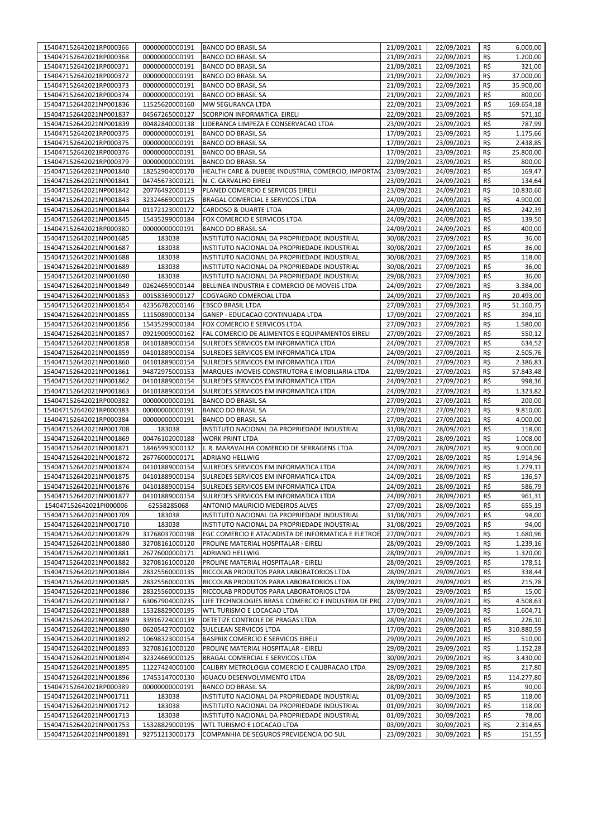| 154047152642021RP000366 | 00000000000191 | <b>BANCO DO BRASIL SA</b>                            | 21/09/2021 | 22/09/2021 | R\$ | 6.000,00   |
|-------------------------|----------------|------------------------------------------------------|------------|------------|-----|------------|
| 154047152642021RP000368 | 00000000000191 | <b>BANCO DO BRASIL SA</b>                            | 21/09/2021 | 22/09/2021 | R\$ | 1.200,00   |
|                         |                |                                                      |            |            |     |            |
| 154047152642021RP000371 | 00000000000191 | <b>BANCO DO BRASIL SA</b>                            | 21/09/2021 | 22/09/2021 | R\$ | 321,00     |
| 154047152642021RP000372 | 00000000000191 | <b>BANCO DO BRASIL SA</b>                            | 21/09/2021 | 22/09/2021 | R\$ | 37.000,00  |
| 154047152642021RP000373 | 00000000000191 | <b>BANCO DO BRASIL SA</b>                            | 21/09/2021 | 22/09/2021 | R\$ | 35.900,00  |
| 154047152642021RP000374 | 00000000000191 | <b>BANCO DO BRASIL SA</b>                            | 21/09/2021 | 22/09/2021 | R\$ | 800,00     |
| 154047152642021NP001836 | 11525620000160 | MW SEGURANCA LTDA                                    | 22/09/2021 | 23/09/2021 | R\$ | 169.654,18 |
| 154047152642021NP001837 | 04567265000127 | SCORPION INFORMATICA EIRELI                          | 22/09/2021 | 23/09/2021 | R\$ | 571,10     |
| 154047152642021NP001839 | 00482840000138 | LIDERANCA LIMPEZA E CONSERVACAO LTDA                 | 23/09/2021 | 23/09/2021 | R\$ | 787,99     |
|                         |                |                                                      |            |            |     |            |
| 154047152642021RP000375 | 00000000000191 | <b>BANCO DO BRASIL SA</b>                            | 17/09/2021 | 23/09/2021 | R\$ | 1.175,66   |
| 154047152642021RP000375 | 00000000000191 | <b>BANCO DO BRASIL SA</b>                            | 17/09/2021 | 23/09/2021 | R\$ | 2.438,85   |
| 154047152642021RP000376 | 00000000000191 | <b>BANCO DO BRASIL SA</b>                            | 17/09/2021 | 23/09/2021 | R\$ | 25.800,00  |
| 154047152642021RP000379 | 00000000000191 | <b>BANCO DO BRASIL SA</b>                            | 22/09/2021 | 23/09/2021 | R\$ | 800,00     |
| 154047152642021NP001840 | 18252904000170 | HEALTH CARE & DUBEBE INDUSTRIA, COMERCIO, IMPORTAC   | 23/09/2021 | 24/09/2021 | R\$ | 169,47     |
| 154047152642021NP001841 | 04745673000121 | N. C. CARVALHO EIRELI                                | 23/09/2021 | 24/09/2021 | R\$ | 134,64     |
| 154047152642021NP001842 | 20776492000119 | PLANED COMERCIO E SERVICOS EIRELI                    | 23/09/2021 | 24/09/2021 | R\$ | 10.830,60  |
|                         |                |                                                      |            |            |     |            |
| 154047152642021NP001843 | 32324669000125 | BRAGAL COMERCIAL E SERVICOS LTDA                     | 24/09/2021 | 24/09/2021 | R\$ | 4.900,00   |
| 154047152642021NP001844 | 01172123000172 | CARDOSO & DUARTE LTDA                                | 24/09/2021 | 24/09/2021 | R\$ | 242,39     |
| 154047152642021NP001845 | 15435299000184 | FOX COMERCIO E SERVICOS LTDA                         | 24/09/2021 | 24/09/2021 | R\$ | 139,50     |
| 154047152642021RP000380 | 00000000000191 | <b>BANCO DO BRASIL SA</b>                            | 24/09/2021 | 24/09/2021 | R\$ | 400,00     |
| 154047152642021NP001685 | 183038         | INSTITUTO NACIONAL DA PROPRIEDADE INDUSTRIAL         | 30/08/2021 | 27/09/2021 | R\$ | 36,00      |
| 154047152642021NP001687 | 183038         | INSTITUTO NACIONAL DA PROPRIEDADE INDUSTRIAL         | 30/08/2021 | 27/09/2021 | R\$ | 36,00      |
|                         | 183038         | INSTITUTO NACIONAL DA PROPRIEDADE INDUSTRIAL         |            |            | R\$ | 118,00     |
| 154047152642021NP001688 |                |                                                      | 30/08/2021 | 27/09/2021 |     |            |
| 154047152642021NP001689 | 183038         | INSTITUTO NACIONAL DA PROPRIEDADE INDUSTRIAL         | 30/08/2021 | 27/09/2021 | R\$ | 36,00      |
| 154047152642021NP001690 | 183038         | INSTITUTO NACIONAL DA PROPRIEDADE INDUSTRIAL         | 29/08/2021 | 27/09/2021 | R\$ | 36,00      |
| 154047152642021NP001849 | 02624659000144 | BELLINEA INDUSTRIA E COMERCIO DE MOVEIS LTDA         | 24/09/2021 | 27/09/2021 | R\$ | 3.384,00   |
| 154047152642021NP001853 | 00158369000127 | COGYAGRO COMERCIAL LTDA                              | 24/09/2021 | 27/09/2021 | R\$ | 20.493,00  |
| 154047152642021NP001854 | 42356782000146 | <b>EBSCO BRASIL LTDA</b>                             | 27/09/2021 | 27/09/2021 | R\$ | 51.160,75  |
| 154047152642021NP001855 | 11150890000134 | GANEP - EDUCACAO CONTINUADA LTDA                     | 17/09/2021 | 27/09/2021 | R\$ | 394,10     |
|                         |                |                                                      |            |            |     |            |
| 154047152642021NP001856 | 15435299000184 | FOX COMERCIO E SERVICOS LTDA                         | 27/09/2021 | 27/09/2021 | R\$ | 1.580,00   |
| 154047152642021NP001857 | 09219009000162 | FAL COMERCIO DE ALIMENTOS E EQUIPAMENTOS EIRELI      | 27/09/2021 | 27/09/2021 | R\$ | 550,12     |
| 154047152642021NP001858 | 04101889000154 | SULREDES SERVICOS EM INFORMATICA LTDA                | 24/09/2021 | 27/09/2021 | R\$ | 634,52     |
| 154047152642021NP001859 | 04101889000154 | SULREDES SERVICOS EM INFORMATICA LTDA                | 24/09/2021 | 27/09/2021 | R\$ | 2.505,76   |
| 154047152642021NP001860 | 04101889000154 | SULREDES SERVICOS EM INFORMATICA LTDA                | 24/09/2021 | 27/09/2021 | R\$ | 2.386,83   |
| 154047152642021NP001861 | 94872975000153 | MARQUES IMOVEIS CONSTRUTORA E IMOBILIARIA LTDA       | 22/09/2021 | 27/09/2021 | R\$ | 57.843,48  |
| 154047152642021NP001862 | 04101889000154 | SULREDES SERVICOS EM INFORMATICA LTDA                |            |            | R\$ |            |
|                         |                |                                                      | 24/09/2021 | 27/09/2021 |     | 998,36     |
| 154047152642021NP001863 | 04101889000154 | SULREDES SERVICOS EM INFORMATICA LTDA                | 24/09/2021 | 27/09/2021 | R\$ | 1.323,82   |
| 154047152642021RP000382 | 00000000000191 | <b>BANCO DO BRASIL SA</b>                            | 27/09/2021 | 27/09/2021 | R\$ | 200,00     |
| 154047152642021RP000383 | 00000000000191 | <b>BANCO DO BRASIL SA</b>                            | 27/09/2021 | 27/09/2021 | R\$ | 9.810,00   |
| 154047152642021RP000384 | 00000000000191 | <b>BANCO DO BRASIL SA</b>                            | 27/09/2021 | 27/09/2021 | R\$ | 4.000,00   |
| 154047152642021NP001708 | 183038         | INSTITUTO NACIONAL DA PROPRIEDADE INDUSTRIAL         | 31/08/2021 | 28/09/2021 | R\$ | 118,00     |
| 154047152642021NP001869 | 00476102000188 | <b>WORK PRINT LTDA</b>                               | 27/09/2021 | 28/09/2021 | R\$ | 1.008,00   |
|                         | 18465993000132 | J. R. MARAVALHA COMERCIO DE SERRAGENS LTDA           | 24/09/2021 |            | R\$ | 9.000,00   |
| 154047152642021NP001871 |                |                                                      |            | 28/09/2021 |     |            |
| 154047152642021NP001872 | 26776000000171 | ADRIANO HELLWIG                                      | 27/09/2021 | 28/09/2021 | R\$ | 1.914,96   |
| 154047152642021NP001874 | 04101889000154 | SULREDES SERVICOS EM INFORMATICA LTDA                | 24/09/2021 | 28/09/2021 | R\$ | 1.279,11   |
| 154047152642021NP001875 | 04101889000154 | SULREDES SERVICOS EM INFORMATICA LTDA                | 24/09/2021 | 28/09/2021 | R\$ | 136,57     |
| 154047152642021NP001876 | 04101889000154 | <b>SULREDES SERVICOS EM INFORMATICA LTDA</b>         | 24/09/2021 | 28/09/2021 | R\$ | 586,79     |
| 154047152642021NP001877 | 04101889000154 | SULREDES SERVICOS EM INFORMATICA LTDA                | 24/09/2021 | 28/09/2021 | R\$ | 961,31     |
| 154047152642021PI000006 | 62558285068    | ANTONIO MAURICIO MEDEIROS ALVES                      | 27/09/2021 | 28/09/2021 | R\$ | 655,19     |
|                         |                |                                                      |            |            |     |            |
| 154047152642021NP001709 | 183038         | INSTITUTO NACIONAL DA PROPRIEDADE INDUSTRIAL         | 31/08/2021 | 29/09/2021 | R\$ | 94,00      |
| 154047152642021NP001710 | 183038         | INSTITUTO NACIONAL DA PROPRIEDADE INDUSTRIAL         | 31/08/2021 | 29/09/2021 | R\$ | 94,00      |
| 154047152642021NP001879 | 31768037000198 | EGC COMERCIO E ATACADISTA DE INFORMATICA E ELETROE   | 27/09/2021 | 29/09/2021 | R\$ | 1.680,96   |
| 154047152642021NP001880 | 32708161000120 | PROLINE MATERIAL HOSPITALAR - EIRELI                 | 28/09/2021 | 29/09/2021 | R\$ | 1.239,16   |
| 154047152642021NP001881 | 26776000000171 | ADRIANO HELLWIG                                      | 28/09/2021 | 29/09/2021 | R\$ | 1.320,00   |
| 154047152642021NP001882 | 32708161000120 | PROLINE MATERIAL HOSPITALAR - EIRELI                 | 28/09/2021 | 29/09/2021 | R\$ | 178,51     |
| 154047152642021NP001884 | 28325560000135 |                                                      | 28/09/2021 | 29/09/2021 | R\$ |            |
|                         |                | RICCOLAB PRODUTOS PARA LABORATORIOS LTDA             |            |            |     | 338,44     |
| 154047152642021NP001885 | 28325560000135 | RICCOLAB PRODUTOS PARA LABORATORIOS LTDA             | 28/09/2021 | 29/09/2021 | R\$ | 215,78     |
| 154047152642021NP001886 | 28325560000135 | RICCOLAB PRODUTOS PARA LABORATORIOS LTDA             | 28/09/2021 | 29/09/2021 | R\$ | 15,00      |
| 154047152642021NP001887 | 63067904000235 | LIFE TECHNOLOGIES BRASIL COMERCIO E INDUSTRIA DE PRO | 27/09/2021 | 29/09/2021 | R\$ | 4.508,63   |
| 154047152642021NP001888 | 15328829000195 | WTL TURISMO E LOCACAO LTDA                           | 17/09/2021 | 29/09/2021 | R\$ | 1.604,71   |
| 154047152642021NP001889 | 33916724000139 | DETETIZE CONTROLE DE PRAGAS LTDA                     | 28/09/2021 | 29/09/2021 | R\$ | 226,10     |
| 154047152642021NP001890 | 06205427000102 | SULCLEAN SERVICOS LTDA                               | 17/09/2021 | 29/09/2021 | R\$ | 310.880,59 |
|                         |                |                                                      |            |            | R\$ | 510,00     |
| 154047152642021NP001892 | 10698323000154 | BASPRIX COMERCIO E SERVICOS EIRELI                   | 29/09/2021 | 29/09/2021 |     |            |
| 154047152642021NP001893 | 32708161000120 | PROLINE MATERIAL HOSPITALAR - EIRELI                 | 29/09/2021 | 29/09/2021 | R\$ | 1.152,28   |
| 154047152642021NP001894 | 32324669000125 | BRAGAL COMERCIAL E SERVICOS LTDA                     | 30/09/2021 | 29/09/2021 | R\$ | 3.430,00   |
| 154047152642021NP001895 | 11227424000100 | CALIBRY METROLOGIA COMERCIO E CALIBRACAO LTDA        | 29/09/2021 | 29/09/2021 | R\$ | 217,80     |
| 154047152642021NP001896 | 17453147000130 | IGUACU DESENVOLVIMENTO LTDA                          | 28/09/2021 | 29/09/2021 | R\$ | 114.277,80 |
| 154047152642021RP000389 | 00000000000191 | BANCO DO BRASIL SA                                   | 28/09/2021 | 29/09/2021 | R\$ | 90,00      |
| 154047152642021NP001711 | 183038         | INSTITUTO NACIONAL DA PROPRIEDADE INDUSTRIAL         | 01/09/2021 | 30/09/2021 | R\$ | 118,00     |
|                         |                |                                                      |            |            |     |            |
| 154047152642021NP001712 | 183038         | INSTITUTO NACIONAL DA PROPRIEDADE INDUSTRIAL         | 01/09/2021 | 30/09/2021 | R\$ | 118,00     |
| 154047152642021NP001713 | 183038         | INSTITUTO NACIONAL DA PROPRIEDADE INDUSTRIAL         | 01/09/2021 | 30/09/2021 | R\$ | 78,00      |
| 154047152642021NP001753 | 15328829000195 | WTL TURISMO E LOCACAO LTDA                           | 03/09/2021 | 30/09/2021 | R\$ | 2.314,65   |
| 154047152642021NP001891 | 92751213000173 | COMPANHIA DE SEGUROS PREVIDENCIA DO SUL              | 23/09/2021 | 30/09/2021 | R\$ | 151,55     |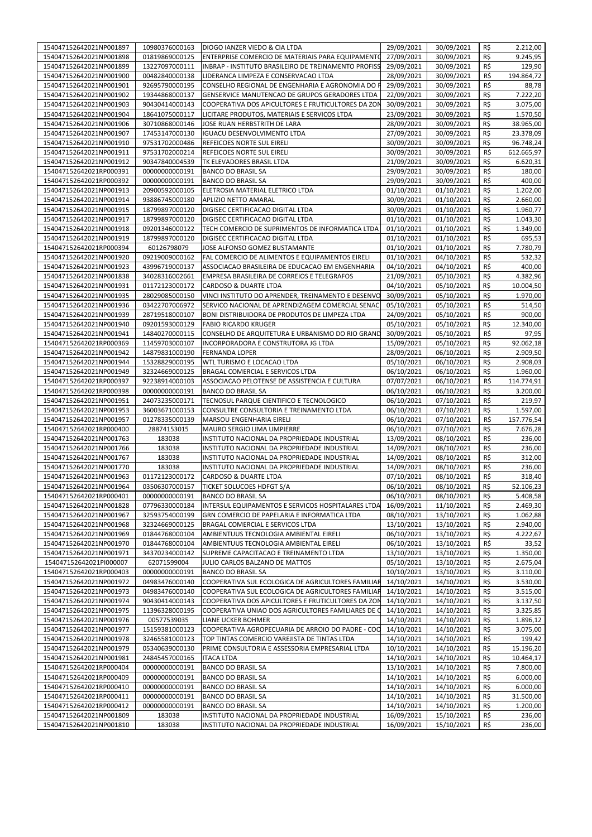| 154047152642021NP001897                            | 10980376000163   | DIOGO IANZER VIEDO & CIA LTDA                                                                | 29/09/2021               | 30/09/2021               | R\$        | 2.212,00         |
|----------------------------------------------------|------------------|----------------------------------------------------------------------------------------------|--------------------------|--------------------------|------------|------------------|
|                                                    |                  |                                                                                              |                          |                          |            |                  |
| 154047152642021NP001898                            | 01819869000125   | ENTERPRISE COMERCIO DE MATERIAIS PARA EQUIPAMENTO                                            | 27/09/2021               | 30/09/2021               | R\$        | 9.245,95         |
| 154047152642021NP001899                            | 13227097000111   | INBRAP - INSTITUTO BRASILEIRO DE TREINAMENTO PROFISS                                         | 29/09/2021               | 30/09/2021               | R\$        | 129,90           |
| 154047152642021NP001900                            | 00482840000138   | LIDERANCA LIMPEZA E CONSERVACAO LTDA                                                         | 28/09/2021               | 30/09/2021               | R\$        | 194.864,72       |
|                                                    |                  |                                                                                              |                          |                          |            |                  |
| 154047152642021NP001901                            | 92695790000195   | CONSELHO REGIONAL DE ENGENHARIA E AGRONOMIA DO R                                             | 29/09/2021               | 30/09/2021               | R\$        | 88,78            |
| 154047152642021NP001902                            | 19344868000137   | GENSERVICE MANUTENCAO DE GRUPOS GERADORES LTDA                                               | 22/09/2021               | 30/09/2021               | R\$        | 7.222,20         |
| 154047152642021NP001903                            | 90430414000143   | COOPERATIVA DOS APICULTORES E FRUTICULTORES DA ZON                                           | 30/09/2021               | 30/09/2021               | R\$        | 3.075,00         |
|                                                    |                  |                                                                                              |                          |                          |            |                  |
| 154047152642021NP001904                            | 18641075000117   | LICITARE PRODUTOS, MATERIAIS E SERVICOS LTDA                                                 | 23/09/2021               | 30/09/2021               | R\$        | 1.570,50         |
| 154047152642021NP001906                            | 30710868000146   | JOSE RUAN HERBSTRITH DE LARA                                                                 | 28/09/2021               | 30/09/2021               | R\$        | 38.965,00        |
| 154047152642021NP001907                            | 17453147000130   | IGUACU DESENVOLVIMENTO LTDA                                                                  | 27/09/2021               | 30/09/2021               | R\$        | 23.378,09        |
|                                                    |                  |                                                                                              |                          |                          |            |                  |
| 154047152642021NP001910                            | 97531702000486   | REFEICOES NORTE SUL EIRELI                                                                   | 30/09/2021               | 30/09/2021               | R\$        | 96.748,24        |
| 154047152642021NP001911                            | 97531702000214   | REFEICOES NORTE SUL EIRELI                                                                   | 30/09/2021               | 30/09/2021               | R\$        | 612.665,97       |
| 154047152642021NP001912                            | 90347840004539   | TK ELEVADORES BRASIL LTDA                                                                    | 21/09/2021               | 30/09/2021               | R\$        | 6.620,31         |
|                                                    |                  |                                                                                              |                          |                          |            |                  |
| 154047152642021RP000391                            | 00000000000191   | <b>BANCO DO BRASIL SA</b>                                                                    | 29/09/2021               | 30/09/2021               | R\$        | 180,00           |
| 154047152642021RP000392                            | 00000000000191   | <b>BANCO DO BRASIL SA</b>                                                                    | 29/09/2021               | 30/09/2021               | R\$        | 400,00           |
| 154047152642021NP001913                            | 20900592000105   | ELETROSIA MATERIAL ELETRICO LTDA                                                             | 01/10/2021               | 01/10/2021               | R\$        | 1.202,00         |
| 154047152642021NP001914                            | 93886745000180   | APLIZIO NETTO AMARAL                                                                         | 30/09/2021               | 01/10/2021               | R\$        | 2.660,00         |
|                                                    |                  |                                                                                              |                          |                          |            |                  |
| 154047152642021NP001915                            | 18799897000120   | DIGISEC CERTIFICACAO DIGITAL LTDA                                                            | 30/09/2021               | 01/10/2021               | R\$        | 1.960,77         |
| 154047152642021NP001917                            | 18799897000120   | DIGISEC CERTIFICACAO DIGITAL LTDA                                                            | 01/10/2021               | 01/10/2021               | R\$        | 1.043,30         |
| 154047152642021NP001918                            | 09201346000122   | TECH COMERCIO DE SUPRIMENTOS DE INFORMATICA LTDA                                             | 01/10/2021               | 01/10/2021               | R\$        | 1.349,00         |
|                                                    |                  |                                                                                              |                          |                          |            |                  |
| 154047152642021NP001919                            | 18799897000120   | DIGISEC CERTIFICACAO DIGITAL LTDA                                                            | 01/10/2021               | 01/10/2021               | R\$        | 695,53           |
| 154047152642021RP000394                            | 60126798079      | JOSE ALFONSO GOMEZ BUSTAMANTE                                                                | 01/10/2021               | 01/10/2021               | R\$        | 7.780,79         |
| 154047152642021NP001920                            | 09219009000162   | FAL COMERCIO DE ALIMENTOS E EQUIPAMENTOS EIRELI                                              | 01/10/2021               | 04/10/2021               | R\$        | 532,32           |
|                                                    |                  |                                                                                              |                          |                          |            |                  |
| 154047152642021NP001923                            | 43996719000137   | ASSOCIACAO BRASILEIRA DE EDUCACAO EM ENGENHARIA                                              | 04/10/2021               | 04/10/2021               | R\$        | 400,00           |
| 154047152642021NP001838                            | 34028316002661   | EMPRESA BRASILEIRA DE CORREIOS E TELEGRAFOS                                                  | 21/09/2021               | 05/10/2021               | R\$        | 4.382,96         |
| 154047152642021NP001931                            | 01172123000172   | CARDOSO & DUARTE LTDA                                                                        | 04/10/2021               | 05/10/2021               | R\$        | 10.004,50        |
| 154047152642021NP001935                            |                  |                                                                                              |                          |                          | R\$        | 1.970,00         |
|                                                    | 28029085000150   | VINCI INSTITUTO DO APRENDER, TREINAMENTO E DESENVO                                           | 30/09/2021               | 05/10/2021               |            |                  |
| 154047152642021NP001936                            | 03422707006972   | SERVICO NACIONAL DE APRENDIZAGEM COMERCIAL SENAC                                             | 05/10/2021               | 05/10/2021               | R\$        | 514,50           |
| 154047152642021NP001939                            | 28719518000107   | BONI DISTRIBUIDORA DE PRODUTOS DE LIMPEZA LTDA                                               | 24/09/2021               | 05/10/2021               | R\$        | 900,00           |
| 154047152642021NP001940                            | 09201593000129   | <b>FABIO RICARDO KRUGER</b>                                                                  | 05/10/2021               | 05/10/2021               | R\$        | 12.340,00        |
|                                                    |                  |                                                                                              |                          |                          |            |                  |
| 154047152642021NP001941                            | 14840270000115   | CONSELHO DE ARQUITETURA E URBANISMO DO RIO GRAND                                             | 30/09/2021               | 05/10/2021               | R\$        | 97,95            |
| 154047152642021RP000369                            | 11459703000107   | INCORPORADORA E CONSTRUTORA JG LTDA                                                          | 15/09/2021               | 05/10/2021               | R\$        | 92.062,18        |
| 154047152642021NP001942                            | 14879831000190   | <b>FERNANDA LOPER</b>                                                                        | 28/09/2021               | 06/10/2021               | R\$        | 2.909,50         |
|                                                    |                  |                                                                                              |                          |                          |            |                  |
| 154047152642021NP001944                            | 15328829000195   | WTL TURISMO E LOCACAO LTDA                                                                   | 05/10/2021               | 06/10/2021               | R\$        | 2.908,03         |
| 154047152642021NP001949                            | 32324669000125   | BRAGAL COMERCIAL E SERVICOS LTDA                                                             | 06/10/2021               | 06/10/2021               | R\$        | 1.960,00         |
| 154047152642021RP000397                            | 92238914000103   | ASSOCIACAO PELOTENSE DE ASSISTENCIA E CULTURA                                                | 07/07/2021               | 06/10/2021               | R\$        | 114.774,91       |
|                                                    |                  |                                                                                              |                          |                          |            |                  |
|                                                    |                  |                                                                                              |                          |                          |            |                  |
| 154047152642021RP000398                            | 00000000000191   | <b>BANCO DO BRASIL SA</b>                                                                    | 06/10/2021               | 06/10/2021               | R\$        | 3.200,00         |
| 154047152642021NP001951                            | 24073235000171   | TECNOSUL PARQUE CIENTIFICO E TECNOLOGICO                                                     | 06/10/2021               | 07/10/2021               | R\$        | 219,97           |
| 154047152642021NP001953                            | 36003671000153   | CONSULTRE CONSULTORIA E TREINAMENTO LTDA                                                     | 06/10/2021               | 07/10/2021               | R\$        | 1.597,00         |
|                                                    |                  |                                                                                              |                          |                          |            |                  |
| 154047152642021NP001957                            | 01278335000139   | MARSOU ENGENHARIA EIRELI                                                                     | 06/10/2021               | 07/10/2021               | R\$        | 157.776,54       |
| 154047152642021RP000400                            | 28874153015      | MAURO SERGIO LIMA UMPIERRE                                                                   | 06/10/2021               | 07/10/2021               | R\$        | 7.676,28         |
| 154047152642021NP001763                            | 183038           | INSTITUTO NACIONAL DA PROPRIEDADE INDUSTRIAL                                                 | 13/09/2021               | 08/10/2021               | R\$        | 236,00           |
|                                                    |                  |                                                                                              |                          |                          |            |                  |
| 154047152642021NP001766                            | 183038           | INSTITUTO NACIONAL DA PROPRIEDADE INDUSTRIAL                                                 | 14/09/2021               | 08/10/2021               | R\$        | 236,00           |
| 154047152642021NP001767                            | 183038           | INSTITUTO NACIONAL DA PROPRIEDADE INDUSTRIAL                                                 | 14/09/2021               | 08/10/2021               | R\$        | 312,00           |
| 154047152642021NP001770                            | 183038           | INSTITUTO NACIONAL DA PROPRIEDADE INDUSTRIAL                                                 | 14/09/2021               | 08/10/2021               | R\$        | 236,00           |
| 154047152642021NP001963                            | 01172123000172   | CARDOSO & DUARTE LTDA                                                                        | 07/10/2021               | 08/10/2021               | R\$        | 318,40           |
|                                                    |                  |                                                                                              |                          | 08/10/2021               |            |                  |
| 154047152642021NP001964                            |                  | 03506307000157 TICKET SOLUCOES HDFGT S/A                                                     | 06/10/2021               |                          | R\$        | 52.106,23        |
| 154047152642021RP000401                            | 00000000000191   | <b>BANCO DO BRASIL SA</b>                                                                    | 06/10/2021               | 08/10/2021               | R\$        | 5.408,58         |
| 154047152642021NP001828                            | 07796330000184   | INTERSUL EQUIPAMENTOS E SERVICOS HOSPITALARES LTDA                                           | 16/09/2021               | 11/10/2021               | R\$        | 2.469,30         |
| 154047152642021NP001967                            | 32593754000199   | GRN COMERCIO DE PAPELARIA E INFORMATICA LTDA                                                 | 08/10/2021               | 13/10/2021               |            | 1.062,88         |
|                                                    |                  |                                                                                              |                          |                          | R\$        |                  |
| 154047152642021NP001968                            | 32324669000125   | BRAGAL COMERCIAL E SERVICOS LTDA                                                             | 13/10/2021               | 13/10/2021               | R\$        | 2.940,00         |
| 154047152642021NP001969                            | 01844768000104   | AMBIENTUUS TECNOLOGIA AMBIENTAL EIRELI                                                       | 06/10/2021               | 13/10/2021               | R\$        | 4.222,67         |
| 154047152642021NP001970                            | 01844768000104   | AMBIENTUUS TECNOLOGIA AMBIENTAL EIRELI                                                       | 06/10/2021               | 13/10/2021               | R\$        | 33,52            |
|                                                    |                  |                                                                                              |                          |                          |            |                  |
| 154047152642021NP001971                            | 34370234000142   | SUPREME CAPACITACAO E TREINAMENTO LTDA                                                       | 13/10/2021               | 13/10/2021               | R\$        | 1.350,00         |
| 154047152642021Pl000007                            | 62071599004      | JULIO CARLOS BALZANO DE MATTOS                                                               | 05/10/2021               | 13/10/2021               | R\$        | 2.675,04         |
| 154047152642021RP000403                            | 00000000000191   | <b>BANCO DO BRASIL SA</b>                                                                    | 10/10/2021               | 13/10/2021               | R\$        | 3.110,00         |
|                                                    |                  |                                                                                              |                          |                          |            |                  |
| 154047152642021NP001972                            | 04983476000140   | COOPERATIVA SUL ECOLOGICA DE AGRICULTORES FAMILIAR                                           | 14/10/2021               | 14/10/2021               | R\$        | 3.530,00         |
| 154047152642021NP001973                            | 04983476000140   | COOPERATIVA SUL ECOLOGICA DE AGRICULTORES FAMILIAR                                           | 14/10/2021               | 14/10/2021               | R\$        | 3.515,00         |
| 154047152642021NP001974                            | 90430414000143   | COOPERATIVA DOS APICULTORES E FRUTICULTORES DA ZON                                           | 14/10/2021               | 14/10/2021               | R\$        | 3.137,50         |
| 154047152642021NP001975                            | 11396328000195   | COOPERATIVA UNIAO DOS AGRICULTORES FAMILIARES DE C                                           | 14/10/2021               | 14/10/2021               | R\$        | 3.325,85         |
|                                                    |                  |                                                                                              |                          |                          |            |                  |
| 154047152642021NP001976                            | 00577539035      | LIANE UCKER BOHMER                                                                           | 14/10/2021               | 14/10/2021               | R\$        | 1.896,12         |
| 154047152642021NP001977                            | 15159381000123   | COOPERATIVA AGROPECUARIA DE ARROIO DO PADRE - COO                                            | 14/10/2021               | 14/10/2021               | R\$        | 3.075,00         |
| 154047152642021NP001978                            | 32465581000123   | TOP TINTAS COMERCIO VAREJISTA DE TINTAS LTDA                                                 | 14/10/2021               | 14/10/2021               | R\$        | 199,42           |
|                                                    |                  |                                                                                              |                          |                          |            |                  |
| 154047152642021NP001979                            | 05340639000130   | PRIME CONSULTORIA E ASSESSORIA EMPRESARIAL LTDA                                              | 10/10/2021               | 14/10/2021               | R\$        | 15.196,20        |
| 154047152642021NP001981                            | 24845457000165   | <b>ITACA LTDA</b>                                                                            | 14/10/2021               | 14/10/2021               | R\$        | 10.464,17        |
| 154047152642021RP000404                            | 00000000000191   | <b>BANCO DO BRASIL SA</b>                                                                    | 13/10/2021               | 14/10/2021               | R\$        | 7.800,00         |
| 154047152642021RP000409                            | 00000000000191   | <b>BANCO DO BRASIL SA</b>                                                                    | 14/10/2021               | 14/10/2021               | R\$        | 6.000,00         |
|                                                    |                  |                                                                                              |                          |                          |            |                  |
| 154047152642021RP000410                            | 00000000000191   | <b>BANCO DO BRASIL SA</b>                                                                    | 14/10/2021               | 14/10/2021               | R\$        | 6.000,00         |
| 154047152642021RP000411                            | 00000000000191   | <b>BANCO DO BRASIL SA</b>                                                                    | 14/10/2021               | 14/10/2021               | R\$        | 31.500,00        |
| 154047152642021RP000412                            | 00000000000191   | <b>BANCO DO BRASIL SA</b>                                                                    | 14/10/2021               | 14/10/2021               | R\$        | 1.200,00         |
|                                                    |                  |                                                                                              |                          |                          |            |                  |
| 154047152642021NP001809<br>154047152642021NP001810 | 183038<br>183038 | INSTITUTO NACIONAL DA PROPRIEDADE INDUSTRIAL<br>INSTITUTO NACIONAL DA PROPRIEDADE INDUSTRIAL | 16/09/2021<br>16/09/2021 | 15/10/2021<br>15/10/2021 | R\$<br>R\$ | 236,00<br>236,00 |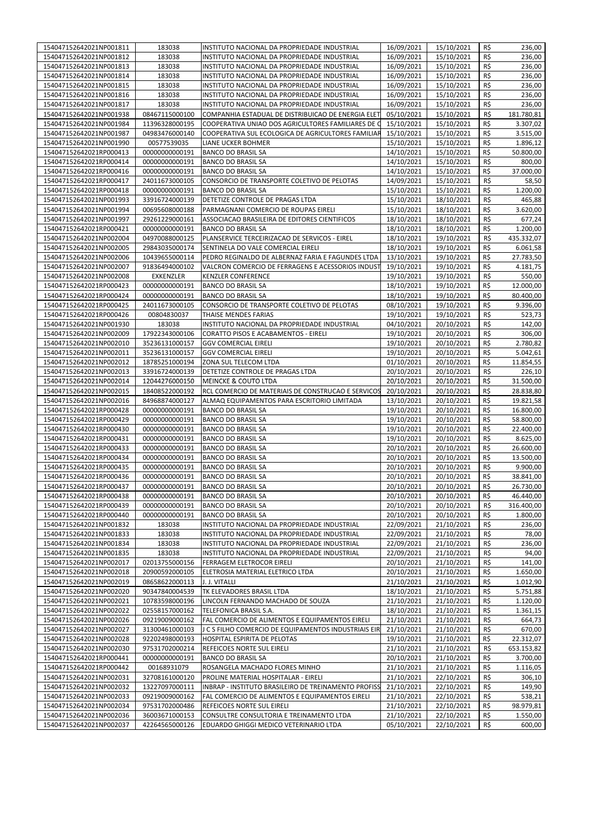| 154047152642021NP001811 | 183038                           | INSTITUTO NACIONAL DA PROPRIEDADE INDUSTRIAL         | 16/09/2021 | 15/10/2021               | R\$        | 236,00     |
|-------------------------|----------------------------------|------------------------------------------------------|------------|--------------------------|------------|------------|
| 154047152642021NP001812 | 183038                           | INSTITUTO NACIONAL DA PROPRIEDADE INDUSTRIAL         | 16/09/2021 | 15/10/2021               | R\$        | 236,00     |
| 154047152642021NP001813 | 183038                           | INSTITUTO NACIONAL DA PROPRIEDADE INDUSTRIAL         | 16/09/2021 | 15/10/2021               | R\$        | 236,00     |
| 154047152642021NP001814 | 183038                           | INSTITUTO NACIONAL DA PROPRIEDADE INDUSTRIAL         | 16/09/2021 | 15/10/2021               | R\$        | 236,00     |
| 154047152642021NP001815 | 183038                           | INSTITUTO NACIONAL DA PROPRIEDADE INDUSTRIAL         | 16/09/2021 | 15/10/2021               | R\$        | 236,00     |
| 154047152642021NP001816 | 183038                           | INSTITUTO NACIONAL DA PROPRIEDADE INDUSTRIAL         | 16/09/2021 | 15/10/2021               | R\$        | 236,00     |
| 154047152642021NP001817 | 183038                           | INSTITUTO NACIONAL DA PROPRIEDADE INDUSTRIAL         | 16/09/2021 | 15/10/2021               | R\$        | 236,00     |
| 154047152642021NP001938 | 08467115000100                   | COMPANHIA ESTADUAL DE DISTRIBUICAO DE ENERGIA ELET   | 05/10/2021 | 15/10/2021               | R\$        | 181.780,81 |
| 154047152642021NP001984 | 11396328000195                   | COOPERATIVA UNIAO DOS AGRICULTORES FAMILIARES DE O   | 15/10/2021 | 15/10/2021               | R\$        | 3.307,02   |
| 154047152642021NP001987 | 04983476000140                   | COOPERATIVA SUL ECOLOGICA DE AGRICULTORES FAMILIAR   | 15/10/2021 | 15/10/2021               | R\$        | 3.515,00   |
| 154047152642021NP001990 | 00577539035                      | LIANE UCKER BOHMER                                   | 15/10/2021 | 15/10/2021               | R\$        | 1.896,12   |
| 154047152642021RP000413 | 00000000000191                   | <b>BANCO DO BRASIL SA</b>                            | 14/10/2021 | 15/10/2021               | R\$        | 50.800,00  |
| 154047152642021RP000414 | 00000000000191                   | <b>BANCO DO BRASIL SA</b>                            | 14/10/2021 | 15/10/2021               | R\$        | 800,00     |
| 154047152642021RP000416 | 00000000000191                   | <b>BANCO DO BRASIL SA</b>                            | 14/10/2021 | 15/10/2021               | R\$        | 37.000,00  |
| 154047152642021RP000417 | 24011673000105                   | CONSORCIO DE TRANSPORTE COLETIVO DE PELOTAS          | 14/09/2021 | 15/10/2021               | R\$        | 58,50      |
| 154047152642021RP000418 | 00000000000191                   | <b>BANCO DO BRASIL SA</b>                            | 15/10/2021 | 15/10/2021               | R\$        | 1.200,00   |
| 154047152642021NP001993 | 33916724000139                   | DETETIZE CONTROLE DE PRAGAS LTDA                     | 15/10/2021 | 18/10/2021               | R\$        | 465,88     |
| 154047152642021NP001994 |                                  |                                                      |            |                          | R\$        |            |
|                         | 00695608000188                   | PARMAGNANI COMERCIO DE ROUPAS EIRELI                 | 15/10/2021 | 18/10/2021               |            | 3.620,00   |
| 154047152642021NP001997 | 29261229000161                   | ASSOCIACAO BRASILEIRA DE EDITORES CIENTIFICOS        | 18/10/2021 | 18/10/2021               | R\$        | 677,24     |
| 154047152642021RP000421 | 00000000000191                   | <b>BANCO DO BRASIL SA</b>                            | 18/10/2021 | 18/10/2021               | R\$        | 1.200,00   |
| 154047152642021NP002004 | 04970088000125                   | PLANSERVICE TERCEIRIZACAO DE SERVICOS - EIREL        | 18/10/2021 | 19/10/2021               | R\$        | 435.332,07 |
| 154047152642021NP002005 | 29843035000174                   | SENTINELA DO VALE COMERCIAL EIRELI                   | 18/10/2021 | 19/10/2021               | R\$        | 6.061,58   |
| 154047152642021NP002006 | 10439655000114                   | PEDRO REGINALDO DE ALBERNAZ FARIA E FAGUNDES LTDA    | 13/10/2021 | 19/10/2021               | R\$        | 27.783,50  |
| 154047152642021NP002007 | 91836494000102                   | VALCRON COMERCIO DE FERRAGENS E ACESSORIOS INDUST    | 19/10/2021 | 19/10/2021               | R\$        | 4.181,75   |
| 154047152642021NP002008 | EXKENZLER                        | <b>KENZLER CONFERENCE</b>                            | 19/10/2021 | 19/10/2021               | R\$        | 550,00     |
| 154047152642021RP000423 | 00000000000191                   | <b>BANCO DO BRASIL SA</b>                            | 18/10/2021 | 19/10/2021               | R\$        | 12.000,00  |
| 154047152642021RP000424 | 00000000000191                   | <b>BANCO DO BRASIL SA</b>                            | 18/10/2021 | 19/10/2021               | R\$        | 80.400,00  |
| 154047152642021RP000425 | 24011673000105                   | CONSORCIO DE TRANSPORTE COLETIVO DE PELOTAS          | 08/10/2021 | 19/10/2021               | R\$        | 9.396,00   |
| 154047152642021RP000426 | 00804830037                      | THAISE MENDES FARIAS                                 | 19/10/2021 | 19/10/2021               | R\$        | 523,73     |
| 154047152642021NP001930 | 183038                           | INSTITUTO NACIONAL DA PROPRIEDADE INDUSTRIAL         | 04/10/2021 | 20/10/2021               | R\$        | 142,00     |
| 154047152642021NP002009 | 17922343000106                   | CORATTO PISOS E ACABAMENTOS - EIRELI                 | 19/10/2021 | 20/10/2021               | R\$        | 306,00     |
| 154047152642021NP002010 | 35236131000157                   | <b>GGV COMERCIAL EIRELI</b>                          | 19/10/2021 | 20/10/2021               | R\$        | 2.780,82   |
| 154047152642021NP002011 | 35236131000157                   | <b>GGV COMERCIAL EIRELI</b>                          | 19/10/2021 | 20/10/2021               | R\$        | 5.042,61   |
| 154047152642021NP002012 | 18785251000194                   | ZONA SUL TELECOM LTDA                                | 01/10/2021 | 20/10/2021               | R\$        | 11.854,55  |
| 154047152642021NP002013 | 33916724000139                   | DETETIZE CONTROLE DE PRAGAS LTDA                     | 20/10/2021 | 20/10/2021               | R\$        | 226,10     |
| 154047152642021NP002014 | 12044276000150                   | MEINCKE & COUTO LTDA                                 | 20/10/2021 | 20/10/2021               | R\$        | 31.500,00  |
| 154047152642021NP002015 | 18408522000192                   | RCL COMERCIO DE MATERIAIS DE CONSTRUCAO E SERVICOS   | 20/10/2021 | 20/10/2021               | R\$        | 28.838,80  |
| 154047152642021NP002016 | 84968874000127                   | ALMAQ EQUIPAMENTOS PARA ESCRITORIO LIMITADA          | 13/10/2021 | 20/10/2021               | R\$        | 19.821,58  |
| 154047152642021RP000428 | 00000000000191                   | <b>BANCO DO BRASIL SA</b>                            | 19/10/2021 | 20/10/2021               | R\$        | 16.800,00  |
| 154047152642021RP000429 | 00000000000191                   | <b>BANCO DO BRASIL SA</b>                            | 19/10/2021 | 20/10/2021               | R\$        | 58.800,00  |
| 154047152642021RP000430 | 00000000000191                   | <b>BANCO DO BRASIL SA</b>                            | 19/10/2021 | 20/10/2021               | R\$        | 22.400,00  |
| 154047152642021RP000431 | 00000000000191                   | <b>BANCO DO BRASIL SA</b>                            | 19/10/2021 | 20/10/2021               | R\$        | 8.625,00   |
| 154047152642021RP000433 | 00000000000191                   | <b>BANCO DO BRASIL SA</b>                            | 20/10/2021 | 20/10/2021               | R\$        | 26.600,00  |
| 154047152642021RP000434 | 00000000000191                   | BANCO DO BRASIL SA                                   | 20/10/2021 | 20/10/2021               | R\$        | 13.500,00  |
| 154047152642021RP000435 | 00000000000191                   | <b>BANCO DO BRASIL SA</b>                            | 20/10/2021 | 20/10/2021               | R\$        | 9.900,00   |
| 154047152642021RP000436 | 00000000000191                   | <b>BANCO DO BRASIL SA</b>                            | 20/10/2021 | 20/10/2021               | R\$        | 38.841,00  |
| 154047152642021RP000437 | 00000000000191                   | <b>BANCO DO BRASIL SA</b>                            | 20/10/2021 | 20/10/2021               | R\$        | 26.730,00  |
| 154047152642021RP000438 | 00000000000191                   | <b>BANCO DO BRASIL SA</b>                            | 20/10/2021 | 20/10/2021               | R\$        | 46.440,00  |
| 154047152642021RP000439 | 00000000000191                   | BANCO DO BRASIL SA                                   | 20/10/2021 | 20/10/2021               | R\$        | 316.400,00 |
| 154047152642021RP000440 | 00000000000191                   | BANCO DO BRASIL SA                                   | 20/10/2021 | 20/10/2021               | R\$        | 1.800,00   |
| 154047152642021NP001832 | 183038                           | INSTITUTO NACIONAL DA PROPRIEDADE INDUSTRIAL         | 22/09/2021 | 21/10/2021               | R\$        | 236,00     |
| 154047152642021NP001833 | 183038                           | INSTITUTO NACIONAL DA PROPRIEDADE INDUSTRIAL         | 22/09/2021 | 21/10/2021               | R\$        | 78,00      |
| 154047152642021NP001834 | 183038                           | INSTITUTO NACIONAL DA PROPRIEDADE INDUSTRIAL         | 22/09/2021 | 21/10/2021               | R\$        | 236,00     |
| 154047152642021NP001835 | 183038                           | INSTITUTO NACIONAL DA PROPRIEDADE INDUSTRIAL         | 22/09/2021 |                          | R\$        | 94,00      |
|                         |                                  |                                                      | 20/10/2021 | 21/10/2021               |            |            |
| 154047152642021NP002017 | 02013755000156<br>20900592000105 | FERRAGEM ELETROCOR EIRELI                            |            | 21/10/2021               | R\$<br>R\$ | 141,00     |
| 154047152642021NP002018 |                                  | ELETROSIA MATERIAL ELETRICO LTDA                     | 20/10/2021 | 21/10/2021<br>21/10/2021 |            | 1.650,00   |
| 154047152642021NP002019 | 08658622000113                   | J. J. VITALLI                                        | 21/10/2021 |                          | R\$        | 1.012,90   |
| 154047152642021NP002020 | 90347840004539                   | TK ELEVADORES BRASIL LTDA                            | 18/10/2021 | 21/10/2021               | R\$        | 5.751,88   |
| 154047152642021NP002021 | 10783598000196                   | LINCOLN FERNANDO MACHADO DE SOUZA                    | 21/10/2021 | 21/10/2021               | R\$        | 1.120,00   |
| 154047152642021NP002022 | 02558157000162                   | TELEFONICA BRASIL S.A.                               | 18/10/2021 | 21/10/2021               | R\$        | 1.361,15   |
| 154047152642021NP002026 | 09219009000162                   | FAL COMERCIO DE ALIMENTOS E EQUIPAMENTOS EIRELI      | 21/10/2021 | 21/10/2021               | R\$        | 664,73     |
| 154047152642021NP002027 | 31300461000103                   | J C S FILHO COMERCIO DE EQUIPAMENTOS INDUSTRIAIS EIR | 21/10/2021 | 21/10/2021               | R\$        | 670,00     |
| 154047152642021NP002028 | 92202498000193                   | HOSPITAL ESPIRITA DE PELOTAS                         | 19/10/2021 | 21/10/2021               | R\$        | 22.312,07  |
| 154047152642021NP002030 | 97531702000214                   | REFEICOES NORTE SUL EIRELI                           | 21/10/2021 | 21/10/2021               | R\$        | 653.153,82 |
| 154047152642021RP000441 | 00000000000191                   | BANCO DO BRASIL SA                                   | 20/10/2021 | 21/10/2021               | R\$        | 3.700,00   |
| 154047152642021RP000442 | 00168931079                      | ROSANGELA MACHADO FLORES MINHO                       | 21/10/2021 | 21/10/2021               | R\$        | 1.116,05   |
| 154047152642021NP002031 | 32708161000120                   | PROLINE MATERIAL HOSPITALAR - EIRELI                 | 21/10/2021 | 22/10/2021               | R\$        | 306,10     |
| 154047152642021NP002032 | 13227097000111                   | INBRAP - INSTITUTO BRASILEIRO DE TREINAMENTO PROFISS | 21/10/2021 | 22/10/2021               | R\$        | 149,90     |
| 154047152642021NP002033 | 09219009000162                   | FAL COMERCIO DE ALIMENTOS E EQUIPAMENTOS EIRELI      | 21/10/2021 | 22/10/2021               | R\$        | 538,21     |
| 154047152642021NP002034 | 97531702000486                   | REFEICOES NORTE SUL EIRELI                           | 21/10/2021 | 22/10/2021               | R\$        | 98.979,81  |
| 154047152642021NP002036 | 36003671000153                   | CONSULTRE CONSULTORIA E TREINAMENTO LTDA             | 21/10/2021 | 22/10/2021               | R\$        | 1.550,00   |
| 154047152642021NP002037 | 42264565000126                   | EDUARDO GHIGGI MEDICO VETERINARIO LTDA               | 05/10/2021 | 22/10/2021               | R\$        | 600,00     |